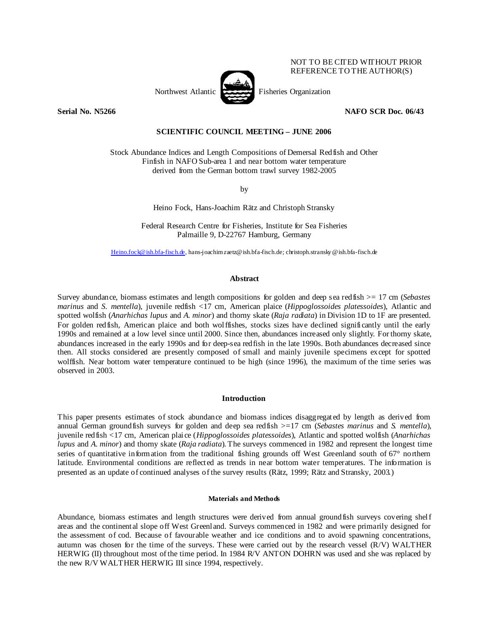

NOT TO BE CITED WITHOUT PRIOR REFERENCE TO THE AUTHOR(S)

**Serial No. N5266 NAFO SCR Doc. 06/43** 

# **SCIENTIFIC COUNCIL MEETING – JUNE 2006**

Stock Abundance Indices and Length Compositions of Demersal Redfish and Other Finfish in NAFO Sub-area 1 and near bottom water temperature derived from the German bottom trawl survey 1982-2005

by

Heino Fock, Hans-Joachim Rätz and Christoph Stransky

Federal Research Centre for Fisheries, Institute for Sea Fisheries Palmaille 9, D-22767 Hamburg, Germany

Heino.fock@ish.bfa-fisch.de, hans-joachim.raetz@ish.bfa-fisch.de; christoph.stransky @ish.bfa-fisch.de

### **Abstract**

Survey abundance, biomass estimates and length compositions for golden and deep sea redfish >= 17 cm (*Sebastes marinus* and *S. mentella*), juvenile redfish <17 cm, American plaice (*Hippoglossoides platessoides*), Atlantic and spotted wolfish (*Anarhichas lupus* and *A. minor*) and thorny skate (*Raja radiata*) in Division 1D to 1F are presented. For golden redfish, American plaice and both wolffishes, stocks sizes have declined significantly until the early 1990s and remained at a low level since until 2000. Since then, abundances increased only slightly. For thorny skate, abundances increased in the early 1990s and for deep-sea redfish in the late 1990s. Both abundances decreased since then. All stocks considered are presently composed of small and mainly juvenile specimens except for spotted wolffish. Near bottom water temperature continued to be high (since 1996), the maximum of the time series was observed in 2003.

# **Introduction**

This paper presents estimates of stock abundance and biomass indices disaggregated by length as derived from annual German groundfish surveys for golden and deep sea redfish >=17 cm (*Sebastes marinus* and *S. mentella*), juvenile redfish <17 cm, American plaice (*Hippoglossoides platessoides*), Atlantic and spotted wolfish (*Anarhichas lupus* and *A. minor*) and thorny skate (*Raja radiata*). The surveys commenced in 1982 and represent the longest time series of quantitative information from the traditional fishing grounds off West Greenland south of 67° northern latitude. Environmental conditions are reflected as trends in near bottom water temperatures. The information is presented as an update of continued analyses of the survey results (Rätz, 1999; Rätz and Stransky, 2003.)

### **Materials and Methods**

Abundance, biomass estimates and length structures were derived from annual groundfish surveys covering shelf areas and the continental slope off West Greenland. Surveys commenced in 1982 and were primarily designed for the assessment of cod. Because of favourable weather and ice conditions and to avoid spawning concentrations, autumn was chosen for the time of the surveys. These were carried out by the research vessel (R/V) WALTHER HERWIG (II) throughout most of the time period. In 1984 R/V ANTON DOHRN was used and she was replaced by the new R/V WALTHER HERWIG III since 1994, respectively.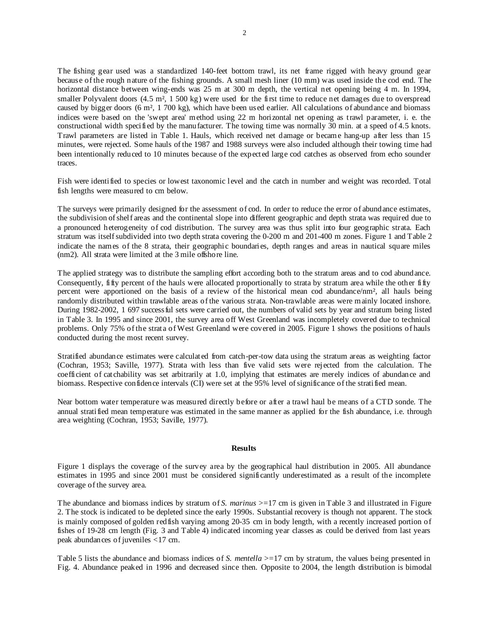The fishing gear used was a standardized 140-feet bottom trawl, its net frame rigged with heavy ground gear because of the rough nature of the fishing grounds. A small mesh liner (10 mm) was used inside the cod end. The horizontal distance between wing-ends was 25 m at 300 m depth, the vertical net opening being 4 m. In 1994, smaller Polyvalent doors  $(4.5 \text{ m}^2, 1500 \text{ kg})$  were used for the first time to reduce net damages due to overspread caused by bigger doors (6 m², 1 700 kg), which have been used earlier. All calculations of abundance and biomass indices were based on the 'swept area' method using 22 m horizontal net opening as trawl parameter, i. e. the constructional width specified by the manufacturer. The towing time was normally 30 min. at a speed of 4.5 knots. Trawl parameters are listed in Table 1. Hauls, which received net damage or became hang-up after less than 15 minutes, were rejected. Some hauls of the 1987 and 1988 surveys were also included although their towing time had been intentionally reduced to 10 minutes because of the expected large cod catches as observed from echo sounder traces.

Fish were identified to species or lowest taxonomic level and the catch in number and weight was recorded. Total fish lengths were measured to cm below.

The surveys were primarily designed for the assessment of cod. In order to reduce the error of abundance estimates, the subdivision of shelf areas and the continental slope into different geographic and depth strata was required due to a pronounced heterogeneity of cod distribution. The survey area was thus split into four geographic strata. Each stratum was itself subdivided into two depth strata covering the 0-200 m and 201-400 m zones. Figure 1 and Table 2 indicate the names of the 8 strata, their geographic boundaries, depth ranges and areas in nautical square miles (nm2). All strata were limited at the 3 mile offshore line.

The applied strategy was to distribute the sampling effort according both to the stratum areas and to cod abundance. Consequently, fifty percent of the hauls were allocated proportionally to strata by stratum area while the other fifty percent were apportioned on the basis of a review of the historical mean cod abundance/nm², all hauls being randomly distributed within trawlable areas of the various strata. Non-trawlable areas were mainly located inshore. During 1982-2002, 1 697 successful sets were carried out, the numbers of valid sets by year and stratum being listed in Table 3. In 1995 and since 2001, the survey area off West Greenland was incompletely covered due to technical problems. Only 75% of the strata of West Greenland were covered in 2005. Figure 1 shows the positions of hauls conducted during the most recent survey.

Stratified abundance estimates were calculated from catch-per-tow data using the stratum areas as weighting factor (Cochran, 1953; Saville, 1977). Strata with less than five valid sets were rejected from the calculation. The coefficient of catchability was set arbitrarily at 1.0, implying that estimates are merely indices of abundance and biomass. Respective confidence intervals (CI) were set at the 95% level of significance of the stratified mean.

Near bottom water temperature was measured directly before or after a trawl haul be means of a CTD sonde. The annual stratified mean temperature was estimated in the same manner as applied for the fish abundance, i.e. through area weighting (Cochran, 1953; Saville, 1977).

### **Results**

Figure 1 displays the coverage of the survey area by the geographical haul distribution in 2005. All abundance estimates in 1995 and since 2001 must be considered significantly underestimated as a result of the incomplete coverage of the survey area.

The abundance and biomass indices by stratum of *S. marinus* >=17 cm is given in Table 3 and illustrated in Figure 2. The stock is indicated to be depleted since the early 1990s. Substantial recovery is though not apparent. The stock is mainly composed of golden redfish varying among 20-35 cm in body length, with a recently increased portion of fishes of 19-28 cm length (Fig. 3 and Table 4) indicated incoming year classes as could be derived from last years peak abundances of juveniles <17 cm.

Table 5 lists the abundance and biomass indices of *S. mentella* >=17 cm by stratum, the values being presented in Fig. 4. Abundance peaked in 1996 and decreased since then. Opposite to 2004, the length distribution is bimodal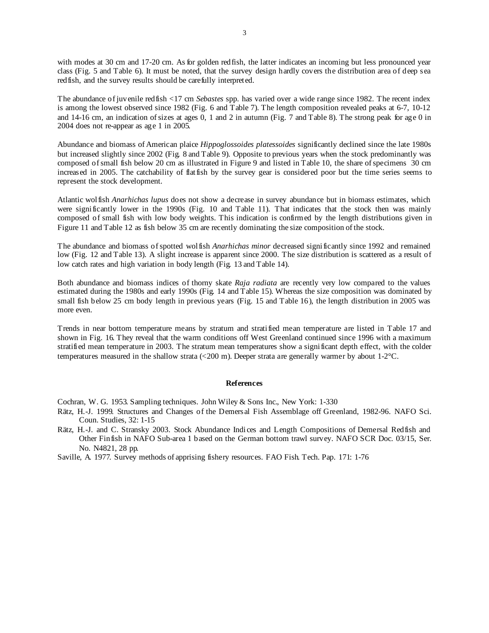with modes at 30 cm and 17-20 cm. As for golden redfish, the latter indicates an incoming but less pronounced year class (Fig. 5 and Table 6). It must be noted, that the survey design hardly covers the distribution area of deep sea redfish, and the survey results should be carefully interpreted.

The abundance of juvenile redfish <17 cm *Sebastes* spp. has varied over a wide range since 1982. The recent index is among the lowest observed since 1982 (Fig. 6 and Table 7). The length composition revealed peaks at 6-7, 10-12 and 14-16 cm, an indication of sizes at ages 0, 1 and 2 in autumn (Fig. 7 and Table 8). The strong peak for age 0 in 2004 does not re-appear as age 1 in 2005.

Abundance and biomass of American plaice *Hippoglossoides platessoides* significantly declined since the late 1980s but increased slightly since 2002 (Fig. 8 and Table 9). Opposite to previous years when the stock predominantly was composed of small fish below 20 cm as illustrated in Figure 9 and listed in Table 10, the share of specimens 30 cm increased in 2005. The catchability of flatfish by the survey gear is considered poor but the time series seems to represent the stock development.

Atlantic wolfish *Anarhichas lupus* does not show a decrease in survey abundance but in biomass estimates, which were significantly lower in the 1990s (Fig. 10 and Table 11). That indicates that the stock then was mainly composed of small fish with low body weights. This indication is confirmed by the length distributions given in Figure 11 and Table 12 as fish below 35 cm are recently dominating the size composition of the stock.

The abundance and biomass of spotted wolfish *Anarhichas minor* decreased significantly since 1992 and remained low (Fig. 12 and Table 13). A slight increase is apparent since 2000. The size distribution is scattered as a result of low catch rates and high variation in body length (Fig. 13 and Table 14).

Both abundance and biomass indices of thorny skate *Raja radiata* are recently very low compared to the values estimated during the 1980s and early 1990s (Fig. 14 and Table 15). Whereas the size composition was dominated by small fish below 25 cm body length in previous years (Fig. 15 and Table 16), the length distribution in 2005 was more even.

Trends in near bottom temperature means by stratum and stratified mean temperature are listed in Table 17 and shown in Fig. 16. They reveal that the warm conditions off West Greenland continued since 1996 with a maximum stratified mean temperature in 2003. The stratum mean temperatures show a significant depth effect, with the colder temperatures measured in the shallow strata (<200 m). Deeper strata are generally warmer by about 1-2°C.

# **References**

Cochran, W. G. 1953. Sampling techniques. John Wiley & Sons Inc., New York: 1-330

- Rätz, H.-J. 1999. Structures and Changes of the Demersal Fish Assemblage off Greenland, 1982-96. NAFO Sci. Coun. Studies, 32: 1-15
- Rätz, H.-J. and C. Stransky 2003. Stock Abundance Indices and Length Compositions of Demersal Redfish and Other Finfish in NAFO Sub-area 1 based on the German bottom trawl survey. NAFO SCR Doc. 03/15, Ser. No. N4821, 28 pp.

Saville, A. 1977. Survey methods of apprising fishery resources. FAO Fish. Tech. Pap. 171: 1-76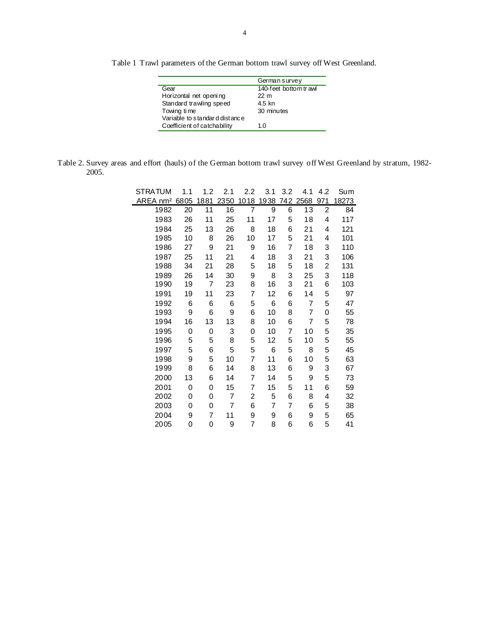Table 1 Trawl parameters of the German bottom trawl survey off West Greenland.

|                               | German survey         |
|-------------------------------|-----------------------|
| Gear                          | 140-feet bottom trawl |
| Horizontal net opening        | 22 m                  |
| Standard trawling speed       | 4.5 kn                |
| Towing time                   | 30 minutes            |
| Variable to standard distance |                       |
| Coefficient of catchability   | 1.0                   |
|                               |                       |

| Table 2. Survey areas and effort (hauls) of the German bottom trawl survey off West Greenland by stratum, 1982- |  |  |  |  |  |
|-----------------------------------------------------------------------------------------------------------------|--|--|--|--|--|
| 2005.                                                                                                           |  |  |  |  |  |

| STRATUM              | 1.1  | 1.2  | 2.1  | 2.2  | 3.1  | 3.2 | 4.1  | 4.2                     | Sum   |
|----------------------|------|------|------|------|------|-----|------|-------------------------|-------|
| AREA nm <sup>2</sup> | 6805 | 1881 | 2350 | 1018 | 1938 | 742 | 2568 | 971                     | 18273 |
| 1982                 | 20   | 11   | 16   | 7    | 9    | 6   | 13   | $\overline{\mathbf{c}}$ | 84    |
| 1983                 | 26   | 11   | 25   | 11   | 17   | 5   | 18   | 4                       | 117   |
| 1984                 | 25   | 13   | 26   | 8    | 18   | 6   | 21   | 4                       | 121   |
| 1985                 | 10   | 8    | 26   | 10   | 17   | 5   | 21   | 4                       | 101   |
| 1986                 | 27   | 9    | 21   | 9    | 16   | 7   | 18   | 3                       | 110   |
| 1987                 | 25   | 11   | 21   | 4    | 18   | 3   | 21   | 3                       | 106   |
| 1988                 | 34   | 21   | 28   | 5    | 18   | 5   | 18   | 2                       | 131   |
| 1989                 | 26   | 14   | 30   | 9    | 8    | 3   | 25   | 3                       | 118   |
| 1990                 | 19   | 7    | 23   | 8    | 16   | 3   | 21   | 6                       | 103   |
| 1991                 | 19   | 11   | 23   | 7    | 12   | 6   | 14   | 5                       | 97    |
| 1992                 | 6    | 6    | 6    | 5    | 6    | 6   | 7    | 5                       | 47    |
| 1993                 | 9    | 6    | 9    | 6    | 10   | 8   | 7    | 0                       | 55    |
| 1994                 | 16   | 13   | 13   | 8    | 10   | 6   | 7    | 5                       | 78    |
| 1995                 | 0    | 0    | 3    | 0    | 10   | 7   | 10   | 5                       | 35    |
| 1996                 | 5    | 5    | 8    | 5    | 12   | 5   | 10   | 5                       | 55    |
| 1997                 | 5    | 6    | 5    | 5    | 6    | 5   | 8    | 5                       | 45    |
| 1998                 | 9    | 5    | 10   | 7    | 11   | 6   | 10   | 5                       | 63    |
| 1999                 | 8    | 6    | 14   | 8    | 13   | 6   | 9    | 3                       | 67    |
| 2000                 | 13   | 6    | 14   | 7    | 14   | 5   | 9    | 5                       | 73    |
| 2001                 | 0    | 0    | 15   | 7    | 15   | 5   | 11   | 6                       | 59    |
| 2002                 | 0    | 0    | 7    | 2    | 5    | 6   | 8    | 4                       | 32    |
| 2003                 | 0    | 0    | 7    | 6    | 7    | 7   | 6    | 5                       | 38    |
| 2004                 | 9    | 7    | 11   | 9    | 9    | 6   | 9    | 5                       | 65    |
| 2005                 | 0    | 0    | 9    | 7    | 8    | 6   | 6    | 5                       | 41    |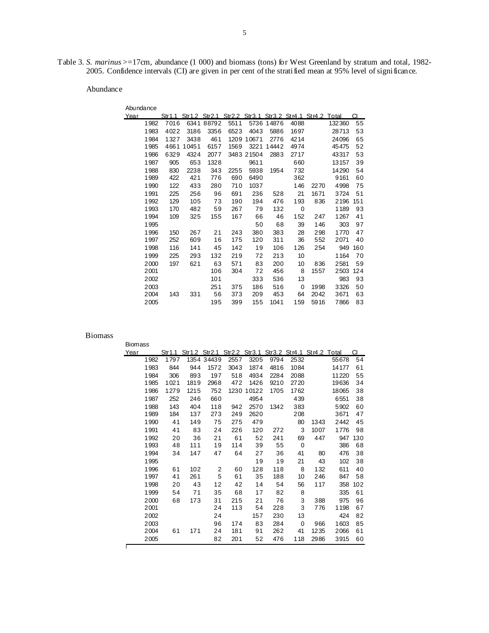Table 3. *S. marinus* >=17cm, abundance (1 000) and biomass (tons) for West Greenland by stratum and total, 1982- 2005. Confidence intervals (CI) are given in per cent of the stratified mean at 95% level of significance.

Abundance

| Abundance |      |       |            |      |            |            |      |                                                               |        |     |
|-----------|------|-------|------------|------|------------|------------|------|---------------------------------------------------------------|--------|-----|
| Year      |      |       |            |      |            |            |      | Str1.1 Str1.2 Str2.1 Str2.2 Str3.1 Str3.2 Str4.1 Str4.2 Total |        | СI  |
| 1982      | 7016 |       | 6341 88792 | 5511 |            | 5736 14876 | 4088 |                                                               | 132360 | 55  |
| 1983      | 4022 | 3186  | 3356       | 6523 | 4043       | 5886       | 1697 |                                                               | 28713  | 53  |
| 1984      | 1327 | 3438  | 461        |      | 1209 10671 | 2776       | 4214 |                                                               | 24096  | 65  |
| 1985      | 4661 | 10451 | 6157       | 1569 | 3221       | 14442      | 4974 |                                                               | 45475  | 52  |
| 1986      | 6329 | 4324  | 2077       |      | 3483 21504 | 2883       | 2717 |                                                               | 43317  | 53  |
| 1987      | 905  | 653   | 1328       |      | 9611       |            | 660  |                                                               | 13157  | 39  |
| 1988      | 830  | 2238  | 343        | 2255 | 5938       | 1954       | 732  |                                                               | 14290  | 54  |
| 1989      | 422  | 421   | 776        | 690  | 6490       |            | 362  |                                                               | 9161   | 60  |
| 1990      | 122  | 433   | 280        | 710  | 1037       |            | 146  | 2270                                                          | 4998   | 75  |
| 1991      | 225  | 256   | 96         | 691  | 236        | 528        | 21   | 1671                                                          | 3724   | 51  |
| 1992      | 129  | 105   | 73         | 190  | 194        | 476        | 193  | 836                                                           | 2196   | 151 |
| 1993      | 170  | 482   | 59         | 267  | 79         | 132        | 0    |                                                               | 1189   | 93  |
| 1994      | 109  | 325   | 155        | 167  | 66         | 46         | 152  | 247                                                           | 1267   | 41  |
| 1995      |      |       |            |      | 50         | 68         | 39   | 146                                                           | 303    | 97  |
| 1996      | 150  | 267   | 21         | 243  | 380        | 383        | 28   | 298                                                           | 1770   | 47  |
| 1997      | 252  | 609   | 16         | 175  | 120        | 311        | 36   | 552                                                           | 2071   | 40  |
| 1998      | 116  | 141   | 45         | 142  | 19         | 106        | 126  | 254                                                           | 949    | 160 |
| 1999      | 225  | 293   | 132        | 219  | 72         | 213        | 10   |                                                               | 1164   | 70  |
| 2000      | 197  | 621   | 63         | 571  | 83         | 200        | 10   | 836                                                           | 2581   | 59  |
| 2001      |      |       | 106        | 304  | 72         | 456        | 8    | 1557                                                          | 2503   | 124 |
| 2002      |      |       | 101        |      | 333        | 536        | 13   |                                                               | 983    | 93  |
| 2003      |      |       | 251        | 375  | 186        | 516        | 0    | 1998                                                          | 3326   | 50  |
| 2004      | 143  | 331   | 56         | 373  | 209        | 453        | 64   | 2042                                                          | 3671   | 63  |
| 2005      |      |       | 195        | 399  | 155        | 1041       | 159  | 5916                                                          | 7866   | 83  |

| <b>Biomass</b> |      |                                                               |            |      |            |      |      |      |       |     |
|----------------|------|---------------------------------------------------------------|------------|------|------------|------|------|------|-------|-----|
| Year           |      | Str1.1 Str1.2 Str2.1 Str2.2 Str3.1 Str3.2 Str4.1 Str4.2 Total |            |      |            |      |      |      |       | CI  |
| 1982           | 1797 |                                                               | 1354 34439 | 2557 | 3205       | 9794 | 2532 |      | 55678 | 54  |
| 1983           | 844  | 944                                                           | 1572       | 3043 | 1874       | 4816 | 1084 |      | 14177 | 61  |
| 1984           | 306  | 893                                                           | 197        | 518  | 4934       | 2284 | 2088 |      | 11220 | 55  |
| 1985           | 1021 | 1819                                                          | 2968       | 472  | 1426       | 9210 | 2720 |      | 19636 | 34  |
| 1986           | 1279 | 1215                                                          | 752        |      | 1230 10122 | 1705 | 1762 |      | 18065 | 38  |
| 1987           | 252  | 246                                                           | 660        |      | 4954       |      | 439  |      | 6551  | 38  |
| 1988           | 143  | 404                                                           | 118        | 942  | 2570       | 1342 | 383  |      | 5902  | 60  |
| 1989           | 184  | 137                                                           | 273        | 249  | 2620       |      | 208  |      | 3671  | 47  |
| 1990           | 41   | 149                                                           | 75         | 275  | 479        |      | 80   | 1343 | 2442  | 45  |
| 1991           | 41   | 83                                                            | 24         | 226  | 120        | 272  | 3    | 1007 | 1776  | 98  |
| 1992           | 20   | 36                                                            | 21         | 61   | 52         | 241  | 69   | 447  | 947   | 130 |
| 1993           | 48   | 111                                                           | 19         | 114  | 39         | 55   | 0    |      | 386   | 68  |
| 1994           | 34   | 147                                                           | 47         | 64   | 27         | 36   | 41   | 80   | 476   | 38  |
| 1995           |      |                                                               |            |      | 19         | 19   | 21   | 43   | 102   | 38  |
| 1996           | 61   | 102                                                           | 2          | 60   | 128        | 118  | 8    | 132  | 611   | 40  |
| 1997           | 41   | 261                                                           | 5          | 61   | 35         | 188  | 10   | 246  | 847   | 58  |
| 1998           | 20   | 43                                                            | 12         | 42   | 14         | 54   | 56   | 117  | 358   | 102 |
| 1999           | 54   | 71                                                            | 35         | 68   | 17         | 82   | 8    |      | 335   | 61  |
| 2000           | 68   | 173                                                           | 31         | 215  | 21         | 76   | 3    | 388  | 975   | 96  |
| 2001           |      |                                                               | 24         | 113  | 54         | 228  | 3    | 776  | 1198  | 67  |
| 2002           |      |                                                               | 24         |      | 157        | 230  | 13   |      | 424   | 82  |
| 2003           |      |                                                               | 96         | 174  | 83         | 284  | 0    | 966  | 1603  | 85  |
| 2004           | 61   | 171                                                           | 24         | 181  | 91         | 262  | 41   | 1235 | 2066  | 61  |
| 2005           |      |                                                               | 82         | 201  | 52         | 476  | 118  | 2986 | 3915  | 60  |
|                |      |                                                               |            |      |            |      |      |      |       |     |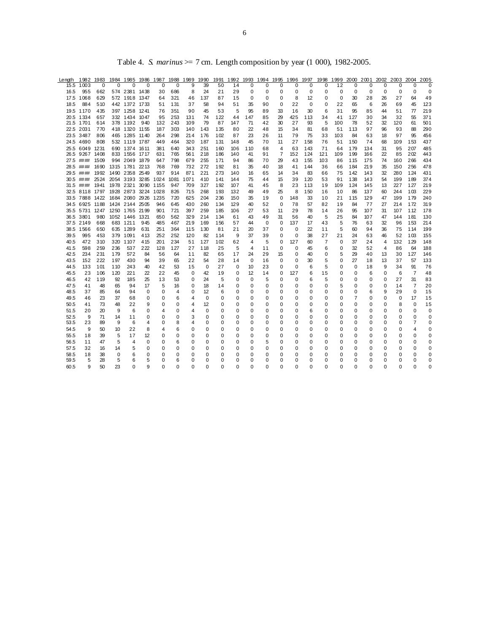| Length       |                                    |          |         |                |              | 1982 1983 1984 1985 1986 1987 1988 1989 1990 |          |             |             |            |            |             |             |                  |          |            |          |           |               |            |               | 1991 1992 1993 1994 1995 1996 1997 1998 1999 2000 2001 2002 2003 2004 2005 |                         |            |
|--------------|------------------------------------|----------|---------|----------------|--------------|----------------------------------------------|----------|-------------|-------------|------------|------------|-------------|-------------|------------------|----------|------------|----------|-----------|---------------|------------|---------------|----------------------------------------------------------------------------|-------------------------|------------|
| 15.5         | 1003                               | 0        | 0       | $\mathbf 0$    | $\Omega$     | $\mathbf 0$                                  | $\Omega$ | 9           | 39          | 50         | 14         | $\Omega$    | $\Omega$    | $\Omega$         | $\Omega$ | 0          | 0        | 12        | 0             | 0          | 0             | 0                                                                          | O                       | $\Omega$   |
| 16.5         | 955                                | 662      |         | 574 2381 1438  |              | 30                                           | 686      | 8           | 24          | 21         | 29         | 0           | 0           | 0                | 0        | 0          | 0        | 0         | 0             | 0          | 0             | 0                                                                          | 0                       | 0          |
|              | 17.5 1068                          | 629      |         | 572 1918 1347  |              | 64                                           | 321      | 46          | 137         | 87         | 15         | $\mathbf 0$ | 0           | 0                | 8        | 12         | 0        | 0         | 30            | 28         | 26            | 27                                                                         | 64                      | 49         |
| 18.5         | 884                                | 510      |         | 442 1372 1733  |              | 51                                           | 131      | 37          | 58          | 94         | 51         | 35          | 90          | $\Omega$         | 22       | $\Omega$   | $\Omega$ | 22        | 65            | 6          | 26            | 69                                                                         | 45                      | 123        |
|              | 19.5 1170                          | 435      |         | 397 1258 1241  |              | 76                                           | 351      | 90          | 45          | 53         | 5          | 95          | 89          | 33               | 16       | 30         | 6        | 31        | 95            | 85         | 44            | 51                                                                         | 77                      | 219        |
|              | 20.5 1334                          | 657      |         | 332 1434 1047  |              | 95                                           | 253      | 131         | 74          | 122        | 44         | 147         | 85          | 29               | 425      | 113        | 34       | 41        | 127           | 30         | 34            | 32                                                                         | 55                      | 371        |
|              | 21.5 1701                          | 614      |         | 378 1192 940   |              | 132                                          | 243      | 109         | 79          | 87         | 147        | 71          | 42          | 30               | 27       | 93         | 5        | 100       | 78            | 52         | 32            | 120                                                                        | 61                      | 501        |
|              | 22.5 2031                          | 770      |         | 418 1320 1155  |              | 187                                          | 303      | 140         | 143         | 135        | 80         | 22          | 48          | 15               | 34       | 81         | 68       | 51        | 113           | 97         | 96            | 93                                                                         | 88                      | 290        |
|              | 23.5 3487                          | 806      |         | 465 1285 1140  |              | 264                                          | 298      | 214         | 176         | 102        | 87         | 23          | 26          | 11               | 79       | 75         | 33       | 103       | 84            | 63         | 18            | 97                                                                         | 95                      | 456        |
|              | 24.5 4690                          | 808      |         | 532 1119 1787  |              | 449                                          | 464      | 320         | 187         | 131        | 148        | 45          | 70          | 11               | 27       | 158        | 76       | 51        | 150           | 74         | 68            | 109                                                                        | 153                     | 437        |
|              | 25.5 6049 1231                     |          |         | 690 1374 1611  |              | 381                                          | 640      | 343         | 251         | 160        | 106        | 110         | 68          | 4                | 63       | 143        | 71       | 64        | 179           | 134        | 31            | 95                                                                         | 207                     | 485        |
|              | 26.5 9267 1408                     |          |         | 833 1556 1717  |              | 631                                          | 765      | 561         | 218         | 186        | 140        | 41          | 91          | $\overline{7}$   | 152      | 124        | 121      | 109       | 199           | 166        | 22            | 85                                                                         | 202                     | 443        |
|              | 27.5 ####                          | 1509     |         | 994 2049 1879  |              | 647                                          | 798      | 679         | 255         | 171        | 94         | 86          | 70          | 29               | 43       | 155        | 103      | 86        | 115           | 175        | 74            | 160                                                                        | 266                     | 434        |
|              | 28.5 #### 1690                     |          |         | 1315 1781 2213 |              | 768                                          | 769      | 732         | 272         | 192        | 81         | 35          | 40          | 18               | 41       | 144        | 36       | 66        | 184           | 219        | 35            | 150                                                                        | 256                     | 478        |
|              | 29.5 #### 1992 1490 2358 2549      |          |         |                |              | 937                                          | 914      | 871         | 221         | 273        | 140        | 16          | 65          | 14               | 34       | 83         | 66       | 75        | 142           | 143        | 32            | 280                                                                        | 124                     | 431        |
|              | 31.5 #### 1941 1978 2321 3090 1155 |          |         |                |              | 30.5 #### 2524 2054 3193 3285 1024 1081      | 947      | 1071<br>709 | 410<br>327  | 141<br>192 | 144<br>107 | 75<br>41    | 44<br>45    | 15<br>8          | 39<br>23 | 120<br>113 | 53<br>19 | 91<br>109 | 138<br>124    | 143<br>145 | 54<br>13      | 199<br>227                                                                 | 189<br>127              | 374<br>219 |
|              | 32.5 8118 1797 1928 2873 3224 1028 |          |         |                |              |                                              | 826      | 715         | 268         | 193        | 132        | 49          | 49          | 25               | 8        | 150        | 16       | 10        | 86            | 137        | 60            | 244                                                                        | 103                     | 229        |
|              | 33.5 7888 1422 1684 2080 2926 1235 |          |         |                |              |                                              | 720      | 625         | 204         | 236        | 150        | 35          | 19          | $\mathbf 0$      | 148      | 33         | 10       | 21        | 115           | 129        | 47            | 199                                                                        | 179                     | 240        |
|              | 34.5 6925 1188 1424 2144 2505      |          |         |                |              | 946                                          | 645      | 430         | 260         | 134        | 129        | 40          | 52          | 0                | 78       | 57         | 82       | 19        | 84            | 77         | 27            | 214                                                                        | 172                     | 319        |
|              | 35.5 5731 1247 1250 1765 2199      |          |         |                |              | 901                                          | 721      | 397         | 259         | 185        | 106        | 27          | 53          | 11               | 29       | 78         | 14       | 26        | 95            | 107        | 31            | 107                                                                        | 112                     | 178        |
|              | 36.5 3801                          | 980      |         | 1052 1446 1321 |              | 650                                          | 562      | 329         | 214         | 134        | 61         | 43          | 49          | 31               | 56       | 40         | 5        | 25        | 84            | 107        | 47            | 144                                                                        | 181                     | 130        |
|              | 37.5 2149                          | 668      |         | 683 1211       | 945          | 485                                          | 467      | 219         | 169         | 156        | 57         | 44          | $\mathbf 0$ | $\mathbf 0$      | 137      | 17         | 43       | 5         | 76            | 63         | 32            | 96                                                                         | 153                     | 214        |
|              | 38.5 1566                          | 650      |         | 635 1289       | 631          | 251                                          | 364      | 115         | 130         | 81         | 21         | 20          | 37          | 0                | $\Omega$ | 22         | 11       | 5         | 60            | 94         | 36            | 75                                                                         | 114                     | 199        |
| 39.5         | 995                                | 453      |         | 379 1091       | 413          | 252                                          | 252      | 120         | 82          | 114        | 9          | 37          | 39          | $\mathbf 0$      | 0        | 38         | 27       | 21        | 24            | 63         | 46            | 52                                                                         | 103                     | 155        |
| 40.5         | 472                                | 310      |         | 320 1107       | 415          | 201                                          | 234      | 51          | 127         | 102        | 62         | 4           | 5           | $\Omega$         | 127      | 60         | 7        | 0         | 37            | 24         | 4             | 132                                                                        | 129                     | 148        |
| 41.5         | 598                                | 259      | 236     | 537            | 222          | 128                                          | 127      | 27          | 118         | 25         | 5          | 4           | 11          | $\Omega$         | $\Omega$ | 45         | 6        | 0         | 32            | 52         | 4             | 86                                                                         | 64                      | 188        |
| 42.5         | 234                                | 231      | 179     | 572            | 84           | 56                                           | 64       | 11          | 82          | 65         | 17         | 24          | 29          | 15               | 0        | 40         | 0        | 5         | 29            | 40         | 13            | 30                                                                         | 127                     | 146        |
| 43.5         | 152                                | 222      | 197     | 430            | 94           | 39                                           | 65       | 22          | 54          | 28         | 14         | 0           | 16          | 0                | 0        | 30         | 5        | 0         | 27            | 18         | 13            | 37                                                                         | 57                      | 133        |
| 44.5         | 133                                | 101      | 110     | 243            | 40           | 42                                           | 53       | 15          | 0           | 27         | 0          | 10          | 23          | $\mathbf 0$      | 0        | 6          | 5        | 0         | 0             | 18         | 9             | 34                                                                         | 91                      | 76         |
| 45.5         | 23                                 | 106      | 120     | 221            | 22           | 22                                           | 45       | 0           | 42          | 19         | 0          | 12          | 14          | 0                | 127      | 6          | 15       | $\Omega$  | 0             | 6          | $\Omega$      | 6                                                                          | 7                       | 48         |
| 46.5         | 42                                 | 119      | 92      | 185            | 25           | 13                                           | 53       | 0           | 24          | 5          | 0          | 0           | 5           | 0                | 0        | 6          | 5        | 0         | 0             | 0          | 0             | 27                                                                         | 31                      | 83         |
| 47.5         | 41                                 | 48       | 65      | 94             | 17           | 5                                            | 16       | 0           | 18          | 14         | 0          | 0           | 0           | $\mathbf 0$      | 0        | 0          | 0        | 5         | $\Omega$      | 0          | $\Omega$      | 14                                                                         | $\overline{7}$          | 20         |
| 48.5         | 37                                 | 85       | 64      | 94             | 0            | 0                                            | 4        | 0           | 12          | 6          | 0          | 0           | 0           | 0                | 0        | 0          | 0        | 0         | $\Omega$      | 6          | 9             | 29                                                                         | 0                       | 15         |
| 49.5<br>50.5 | 46                                 | 23       | 37      | 68<br>22       | 0<br>9       | 0                                            | 6        | 4           | 0<br>12     | 0          | 0          | 0           | 0           | 0<br>$\mathbf 0$ | 0        | 0          | 0        | 0<br>0    | 7             | 0          | $\Omega$      | 0                                                                          | 17<br>$\mathbf 0$       | 15<br>15   |
|              | 41                                 | 73       | 48      |                |              | 0                                            | 0        | 4           |             | 0          | 0          | 0           | 0           |                  | 0        | 0          | 0        |           | 0             | 0          | 0             | 8                                                                          |                         |            |
| 51.5         | 20                                 | 20       | 9       | 6              | 0            | 4                                            | 0        | 4           | $\mathbf 0$ | 0          | 0          | 0           | 0           | $\mathbf 0$      | 0        | 6          | 0        | 0         | 0<br>$\Omega$ | 0          | 0<br>$\Omega$ | 0<br>$\Omega$                                                              | $\mathbf 0$<br>$\Omega$ | 0          |
| 52.5<br>53.5 | 9<br>23                            | 71<br>89 | 14<br>9 | 11<br>6        | 0<br>4       | 0<br>0                                       | 0<br>8   | 3<br>4      | 0<br>0      | 0<br>0     | 0<br>0     | 0<br>0      | 0<br>0      | 0<br>0           | 0<br>0   | 0<br>0     | 0<br>0   | 0<br>0    | 0             | 0<br>0     | 0             | 0                                                                          | $\overline{7}$          | 0<br>0     |
| 54.5         | 9                                  | 50       | 10      | 22             | 8            | 4                                            | 6        | 0           | 0           | 0          | 0          | 0           | 0           | 0                | 0        | 0          | 0        | 0         | 0             | 0          | 0             | 0                                                                          | 4                       | 0          |
| 55.5         | 18                                 | 39       | 5       | 17             | 12           | 0                                            | $\Omega$ | 0           | 0           | $\Omega$   | $\Omega$   | $\Omega$    | $\Omega$    | $\Omega$         | 0        | $\Omega$   | $\Omega$ | $\Omega$  | $\Omega$      | $\Omega$   | $\Omega$      | 0                                                                          | $\Omega$                | 0          |
| 56.5         | 11                                 | 47       | 5       | 4              | $\Omega$     | $\Omega$                                     | 6        | 0           | 0           | 0          | 0          | 0           | 5           | $\mathbf 0$      | 0        | 0          | 0        | 0         | 0             | 0          | $\Omega$      | $\Omega$                                                                   | $\Omega$                | $\Omega$   |
| 57.5         | 32                                 | 16       | 14      | 5              | 0            | 0                                            | 0        | 0           | 0           | 0          | 0          | 0           | 0           | 0                | 0        | 0          | 0        | 0         | 0             | 0          | 0             | 0                                                                          | 0                       | 0          |
| 58.5         | 18                                 | 38       | 0       | 6              | 0            | 0                                            | 0        | 0           | 0           | 0          | 0          | 0           | 0           | 0                | 0        | 0          | 0        | 0         | $\Omega$      | 0          | $\Omega$      | 0                                                                          | $\Omega$                | 0          |
| 59.5         | 5                                  | 28       | 5       | 6              | 5            | 0                                            | 6        | $\Omega$    | 0           | 0          | 0          | 0           | 0           | 0                | 0        | 0          | 0        | $\Omega$  | $\Omega$      | 0          | O             | 0                                                                          | 0                       | 0          |
| 60.5         | $\mathbf{Q}$                       | 50       | 23      | $\Omega$       | $\mathbf{Q}$ | $\Omega$                                     | O        | 0           | $\Omega$    | 0          | $\Omega$   | $\Omega$    | $\Omega$    | $\Omega$         | $\Omega$ | O          | 0        | 0         | $\Omega$      | $\Omega$   | $\Omega$      | $\Omega$                                                                   | $\Omega$                | $\Omega$   |

Table 4. *S. marinus* >= 7 cm. Length composition by year (1 000), 1982-2005.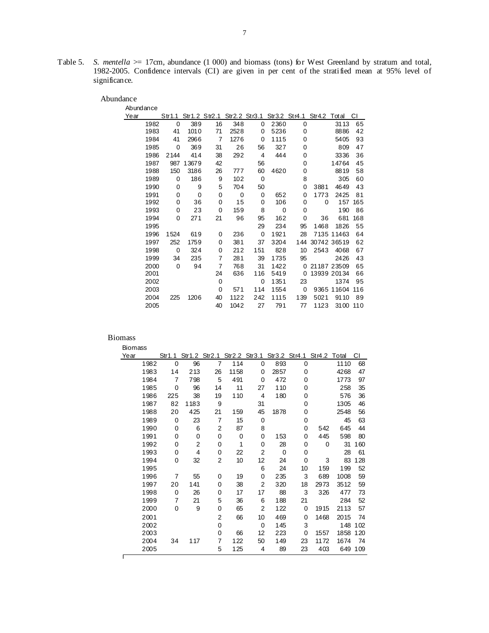Table 5. *S. mentella*  $\geq$  17cm, abundance (1 000) and biomass (tons) for West Greenland by stratum and total, 1982-2005. Confidence intervals (CI) are given in per cent of the stratified mean at 95% level of significance.

| Abundance |      |          |             |          |             |      |          |                                                               |             |     |
|-----------|------|----------|-------------|----------|-------------|------|----------|---------------------------------------------------------------|-------------|-----|
| Year      |      |          |             |          |             |      |          | Str1.1 Str1.2 Str2.1 Str2.2 Str3.1 Str3.2 Str4.1 Str4.2 Total |             | СI  |
| 1982      | 0    | 389      | 16          | 348      | 0           | 2360 | 0        |                                                               | 3113        | 65  |
| 1983      | 41   | 1010     | 71          | 2528     | 0           | 5236 | 0        |                                                               | 8886        | 42  |
| 1984      | 41   | 2966     | 7           | 1276     | 0           | 1115 | 0        |                                                               | 5405        | 93  |
| 1985      | 0    | 369      | 31          | 26       | 56          | 327  | 0        |                                                               | 809         | 47  |
| 1986      | 2144 | 414      | 38          | 292      | 4           | 444  | 0        |                                                               | 3336        | 36  |
| 1987      | 987  | 13679    | 42          |          | 56          |      | 0        |                                                               | 14764       | 45  |
| 1988      | 150  | 3186     | 26          | 777      | 60          | 4620 | 0        |                                                               | 8819        | 58  |
| 1989      | 0    | 186      | 9           | 102      | 0           |      | 8        |                                                               | 305         | 60  |
| 1990      | 0    | 9        | 5           | 704      | 50          |      | 0        | 3881                                                          | 4649        | 43  |
| 1991      | 0    | $\Omega$ | 0           | $\Omega$ | $\Omega$    | 652  | 0        | 1773                                                          | 2425        | 81  |
| 1992      | 0    | 36       | 0           | 15       | 0           | 106  | 0        | 0                                                             | 157         | 165 |
| 1993      | 0    | 23       | $\mathbf 0$ | 159      | 8           | 0    | 0        |                                                               | 190         | 86  |
| 1994      | 0    | 271      | 21          | 96       | 95          | 162  | 0        | 36                                                            | 681         | 168 |
| 1995      |      |          |             |          | 29          | 234  | 95       | 1468                                                          | 1826        | 55  |
| 1996      | 1524 | 619      | 0           | 236      | $\mathbf 0$ | 1921 | 28       |                                                               | 7135 11463  | 64  |
| 1997      | 252  | 1759     | 0           | 381      | 37          | 3204 | 144      |                                                               | 30742 36519 | 62  |
| 1998      | 0    | 324      | 0           | 212      | 151         | 828  | 10       | 2543                                                          | 4068        | 67  |
| 1999      | 34   | 235      | 7           | 281      | 39          | 1735 | 95       |                                                               | 2426        | 43  |
| 2000      | 0    | 94       | 7           | 768      | 31          | 1422 | $\Omega$ |                                                               | 21187 23509 | 65  |
| 2001      |      |          | 24          | 636      | 116         | 5419 | 0        |                                                               | 13939 20134 | 66  |
| 2002      |      |          | $\mathbf 0$ |          | $\Omega$    | 1351 | 23       |                                                               | 1374        | 95  |
| 2003      |      |          | 0           | 571      | 114         | 1554 | 0        |                                                               | 9365 11604  | 116 |
| 2004      | 225  | 1206     | 40          | 1122     | 242         | 1115 | 139      | 5021                                                          | 9110        | 89  |
| 2005      |      |          | 40          | 1042     | 27          | 791  | 77       | 1123                                                          | 3100        | 110 |

| <b>Biomass</b> |          |                                                               |                |      |                |      |    |      |      |     |
|----------------|----------|---------------------------------------------------------------|----------------|------|----------------|------|----|------|------|-----|
| Year           |          | Str1.1 Str1.2 Str2.1 Str2.2 Str3.1 Str3.2 Str4.1 Str4.2 Total |                |      |                |      |    |      |      | СI  |
| 1982           | 0        | 96                                                            | 7              | 114  | 0              | 893  | 0  |      | 1110 | 68  |
| 1983           | 14       | 213                                                           | 26             | 1158 | 0              | 2857 | 0  |      | 4268 | 47  |
| 1984           | 7        | 798                                                           | 5              | 491  | $\Omega$       | 472  | 0  |      | 1773 | 97  |
| 1985           | 0        | 96                                                            | 14             | 11   | 27             | 110  | 0  |      | 258  | 35  |
| 1986           | 225      | 38                                                            | 19             | 110  | 4              | 180  | 0  |      | 576  | 36  |
| 1987           | 82       | 1183                                                          | 9              |      | 31             |      | 0  |      | 1305 | 46  |
| 1988           | 20       | 425                                                           | 21             | 159  | 45             | 1878 | 0  |      | 2548 | 56  |
| 1989           | 0        | 23                                                            | $\overline{7}$ | 15   | 0              |      | 0  |      | 45   | 63  |
| 1990           | 0        | 6                                                             | 2              | 87   | 8              |      | 0  | 542  | 645  | 44  |
| 1991           | 0        | 0                                                             | 0              | 0    | 0              | 153  | 0  | 445  | 598  | 80  |
| 1992           | 0        | 2                                                             | 0              | 1    | 0              | 28   | 0  | 0    | 31   | 160 |
| 1993           | 0        | 4                                                             | 0              | 22   | 2              | 0    | 0  |      | 28   | 61  |
| 1994           | 0        | 32                                                            | 2              | 10   | 12             | 24   | 0  | 3    | 83   | 128 |
| 1995           |          |                                                               |                |      | 6              | 24   | 10 | 159  | 199  | 52  |
| 1996           | 7        | 55                                                            | 0              | 19   | 0              | 235  | 3  | 689  | 1008 | 59  |
| 1997           | 20       | 141                                                           | 0              | 38   | $\overline{2}$ | 320  | 18 | 2973 | 3512 | 59  |
| 1998           | 0        | 26                                                            | 0              | 17   | 17             | 88   | 3  | 326  | 477  | 73  |
| 1999           | 7        | 21                                                            | 5              | 36   | 6              | 188  | 21 |      | 284  | 52  |
| 2000           | $\Omega$ | 9                                                             | 0              | 65   | 2              | 122  | 0  | 1915 | 2113 | 57  |
| 2001           |          |                                                               | 2              | 66   | 10             | 469  | 0  | 1468 | 2015 | 74  |
| 2002           |          |                                                               | 0              |      | 0              | 145  | 3  |      | 148  | 102 |
| 2003           |          |                                                               | 0              | 66   | 12             | 223  | 0  | 1557 | 1858 | 120 |
| 2004           | 34       | 117                                                           | 7              | 122  | 50             | 149  | 23 | 1172 | 1674 | 74  |
| 2005           |          |                                                               | 5              | 125  | 4              | 89   | 23 | 403  | 649  | 109 |
|                |          |                                                               |                |      |                |      |    |      |      |     |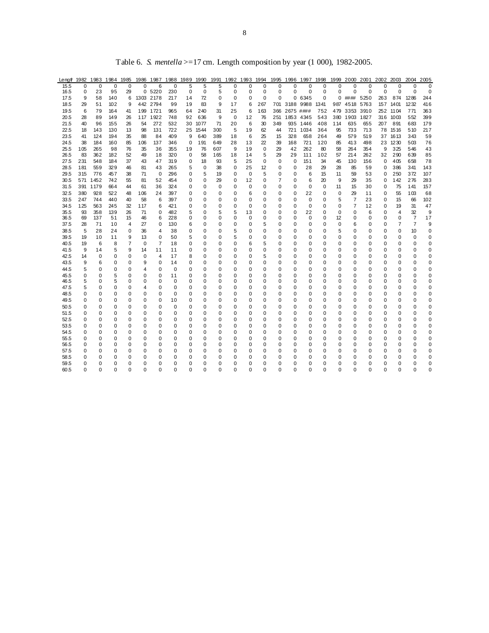| Lengt 1982   |          |          | 1983 1984 1985 |          |          |                |                |          |               |          |          |          |               |                         |               |                    |          |          |               | 1986 1987 1988 1989 1990 1991 1992 1993 1994 1995 1996 1997 1998 1999 2000 2001 2002 2003 2004 2005 |          |                |                |               |
|--------------|----------|----------|----------------|----------|----------|----------------|----------------|----------|---------------|----------|----------|----------|---------------|-------------------------|---------------|--------------------|----------|----------|---------------|-----------------------------------------------------------------------------------------------------|----------|----------------|----------------|---------------|
| 15.5         | $\Omega$ | $\Omega$ | $\Omega$       | $\Omega$ | $\Omega$ | 6              | $\Omega$       | 5        | 5             | 5        | O        | O        | $\Omega$      | $\Omega$                | $\Omega$      | $\Omega$           | $\Omega$ | $\Omega$ | $\Omega$      | $\Omega$                                                                                            | $\Omega$ | O              | $\Omega$       | $\Omega$      |
| 16.5         | 0        | 23       | 95             | 29       |          | 0 5220         | 230            | 0        | 0             | 5        | 0        | 0        | 0             | 0                       | 0             | 0                  | 0        | $\Omega$ | 0             | 0                                                                                                   | 0        | 0              | 0              | 0             |
| 17.5         | 9        | 58       | 140            | 6        |          | 1303 2178      | 217            | 14       | 72            | $\Omega$ | 0        | $\Omega$ | 0             | $\Omega$                |               | 0 6345             | 0        |          | 0 #### 5250   |                                                                                                     |          | 263 874        | 1286           | 244           |
| 18.5         | 29       | 51       | 102            | 9        |          | 442 2794       | 99             | 19       | 83            | 9        | 17       | 6        | 267           |                         |               | 701 3188 9988 1341 |          |          | 987 4518 5763 |                                                                                                     |          | 157 1401       | 1232           | 416           |
| 19.5         | 6        | 79       | 164            | 41       |          | 199 1721       | 965            | 64       | 240           | 31       | 25       | 6        | 163           |                         | 366 2675 #### |                    | 752      |          | 479 3353 3910 |                                                                                                     |          | 252 1104       | 771            | 363           |
| 20.5         | 28       | 89       | 149            | 26       |          | 117 1922       | 748            | 92       | 636           | 9        | 0        | 12       | 76            |                         | 251 1853 4345 |                    | 543      |          | 380 1903 1827 |                                                                                                     |          | 316 1003       | 552            | 399           |
| 21.5         | 40       | 96       | 155            | 26       | 54       | 272            | 532            | 30       | 1077          | 71       | 20       | 6        | 30            | 349                     |               | 935 1446           | 408      | 114      | 635           | 655                                                                                                 |          | 207 891        | 683            | 179           |
| 22.5         | 18       | 143      | 130            | 13       | 98       | 131            | 722            |          | 25 1544       | 300      | 5        | 19       | 62            | 44                      |               | 721 1034           | 364      | 95       | 733           | 713                                                                                                 |          | 78 1516        | 510            | 217           |
| 23.5         | 41       | 124      | 194            | 35       | 88       | 84             | 409            | 9        | 640           | 389      | 18       | 6        | 25            | 15                      | 328           | 658                | 264      | 49       | 579           | 519                                                                                                 |          | 37 1613        | 343            | 59            |
| 24.5         | 38       | 184      | 160            | 85       | 106      | 137            | 346            | 0        | 191           | 649      | 28       | 13       | 22            | 39                      | 168           | 721                | 120      | 85       | 413           | 498                                                                                                 |          | 23 1230        | 503            | 76            |
| 25.5         | 105      | 265      | 98             | 76       | 35       | 36             | 355            | 19       | 76            | 607      | 9        | 19       | 0             | 29                      | 42            | 262                | 80       | 58       | 264           | 354                                                                                                 | 9        | 325            | 546            | 43            |
| 26.5         | 83       | 362      | 182            | 52       | 49       | 18             | 320            | 0        | 58            | 165      | 18       | 14       | 5             | 29                      | 29            | 111                | 102      | 57       | 214           | 262                                                                                                 | 32       | 290            | 639            | 85            |
| 27.5         | 231      | 548      | 184            | 37       | 43       | 47             | 319            | 0        | 18            | 93       | 5        | 25       | 0             | 0                       | 0             | 151                | 34       | 45       | 130           | 156                                                                                                 | 0        | 405            | 658            | 78            |
| 28.5         | 181      | 559      | 329            | 46       | 81       | 43             | 265            | 5        | 0             | 38       | $\Omega$ | 25       | 12            | $\Omega$                | 0             | 28                 | 29       | 28       | 85            | 59                                                                                                  | $\Omega$ | 386            | 341            | 143           |
| 29.5         | 315      | 776      | 457            | 38       | 71       | $\mathbf 0$    | 296            | 0        | 5             | 19       | 0        | 0        | 5             | 0                       | 0             | 6                  | 15       | 11       | 59            | 53                                                                                                  | 0        | 250            | 372            | 107           |
| 30.5         |          | 571 1452 | 742            | 55       | 81       | 52             | 454            | 0        | 0             | 29       | 0        | 12       | 0             | 7                       | $\Omega$      | 6                  | 20       | 9        | 29            | 35                                                                                                  | 0        | 142            | 276            | 283           |
| 31.5         |          | 391 1179 | 664            | 44       | 61       | 36             | 324            | 0        | 0             | 0        | 0        | 0        | 0             | 0                       | $\Omega$      | 0                  | 0        | 11       | 15            | 30                                                                                                  | 0        | 75             | 141            | 157           |
| 32.5         | 380      | 928      | 522            | 48       | 106      | 24             | 397            | 0        | $\Omega$      | 0        | 0        | 6        | $\Omega$      | $\Omega$                | $\Omega$      | 22                 | $\Omega$ | $\Omega$ | 29            | 11                                                                                                  | $\Omega$ | 55             | 103            | 68            |
| 33.5         | 247      | 744      | 440            | 40       | 58       | 6              | 397            | 0        | $\Omega$      | 0        | 0        | $\Omega$ | 0             | $\Omega$                | 0             | $\Omega$           | O        | 5        | 7             | 23                                                                                                  | 0        | 15             | 66             | 102           |
| 34.5         | 125      | 563      | 245            | 32       | 117      | 6              | 421            | 0        | 0             | 0        | 0        | 0        | 0             | 0                       | 0             | 0                  | 0        | 0        | 7             | 12                                                                                                  | 0        | 19             | 31             | 47            |
| 35.5         | 93       | 358      | 139            | 26       | 71       | 0              | 482            | 5        | 0             | 5        | 5        | 13       | $\Omega$      | $\Omega$                | 0             | 22                 | O        | $\Omega$ | 0             | 6                                                                                                   | $\Omega$ | 4              | 32             | 9             |
| 36.5         | 69       | 137      | 51             | 15       | 46       | 6              | 228            | 0        | 0             | 0        | 0        | 0        | 0             | 0                       | 0             | 0                  | 0        | 12       | 0             | 0                                                                                                   | 0        | 0              | 7              | 17            |
| 37.5         | 28       | 71       | 10             | 4        | 27       | 0              | 130            | 6        | 0             | 0        | 0        | $\Omega$ | 5             | $\mathbf 0$             | 0             | 0                  | $\Omega$ | 0        | 6             | 0                                                                                                   | 0        | $\overline{7}$ | $\overline{7}$ | 9             |
| 38.5         | 5        | 28       | 24             | 0        | 36       | 4              | 38             | 0        | 0             | 0        | 5        | 0        | 0             | 0                       | 0             | 0                  | 0        | 5        | 0             | 0                                                                                                   | 0        | 0              | 10             | 0             |
| 39.5         | 19       | 10       | 11             | 9        | 13       | $\Omega$       | 50             | 5        | 0             | 0        | 5        | 0        | $\Omega$      | $\Omega$                | $\Omega$      | 0                  | $\Omega$ | 0        | $\Omega$      | $\Omega$                                                                                            | $\Omega$ | 0              | $\Omega$       | 0             |
| 40.5         | 19       | 6        | 8              | 7        | 0        | $\overline{7}$ | 18             | 0        | 0             | 0        | 0        | 6        | 5             | $\mathbf 0$             | 0             | 0                  | 0        | 0        | 0             | 0                                                                                                   | 0        | 0              | 0              | 0             |
| 41.5         | 9        | 14       | 5              | 9        | 14       | 11             | 11             | 0        | 0             | 0        | 0        | 0        | 0             | 0                       | 0             | 0                  | 0        | 0        | 0             | 0                                                                                                   | 0        | 0              | 0              | 0             |
| 42.5         | 14       | 0        | $\Omega$       | $\Omega$ | 0        | 4              | 17             | 8        | 0             | 0        | 0        | $\Omega$ | 5             | $\mathbf 0$             | 0             | 0                  | $\Omega$ | 0        | 0             | 0                                                                                                   | $\Omega$ | 0              | $\Omega$       | 0             |
| 43.5<br>44.5 | 9        | 6        | 0<br>$\Omega$  | $\Omega$ | 9        | 0              | 14<br>$\Omega$ | 0        | 0             | 0        | 0        | 0        | 0<br>$\Omega$ | $\mathbf 0$<br>$\Omega$ | 0<br>$\Omega$ | 0<br>$\Omega$      | 0<br>0   | 0<br>0   | 0<br>$\Omega$ | 0<br>$\Omega$                                                                                       | 0        | 0<br>0         | 0<br>$\Omega$  | 0<br>$\Omega$ |
| 45.5         | 5        | 0<br>0   | 5              | 0<br>ŋ   | 4<br>0   | 0<br>0         | 11             | 0<br>0   | 0<br>$\Omega$ | 0<br>0   | 0<br>0   | 0<br>0   | 0             | $\mathbf 0$             | 0             | $\Omega$           | O        | 0        | $\Omega$      | 0                                                                                                   | 0<br>0   | 0              | $\Omega$       | 0             |
| 46.5         | 0<br>5   | 0        | 5              | $\Omega$ | 0        | O              | $\Omega$       | 0        | $\Omega$      | 0        | 0        | $\Omega$ | $\Omega$      | $\Omega$                | 0             | $\Omega$           | O        | 0        | $\Omega$      | $\Omega$                                                                                            | 0        | 0              | $\Omega$       | 0             |
| 47.5         | 5        | 0        | 0              | 0        | 4        | O              | 0              | 0        | 0             | 0        | 0        | 0        | 0             | $\mathbf 0$             | 0             | 0                  | 0        | 0        | 0             | 0                                                                                                   | 0        | 0              | 0              | 0             |
| 48.5         | 0        | 0        | 0              | 0        | 0        | 0              | 0              | 0        | 0             | 0        | 0        | 0        | 0             | $\mathbf 0$             | 0             | 0                  | O        | 0        | $\Omega$      | 0                                                                                                   | 0        | 0              | $\Omega$       | 0             |
| 49.5         | 0        | 0        | 0              | $\Omega$ | 0        | 0              | 10             | 0        | 0             | 0        | 0        | 0        | 0             | $\mathbf 0$             | 0             | 0                  | 0        | 0        | 0             | 0                                                                                                   | 0        | 0              | 0              | 0             |
| 50.5         | 0        | 0        | 0              | 0        | U        | O              | 0              | 0        | 0             | 0        | 0        | 0        | 0             | $\mathbf 0$             | 0             | 0                  | 0        | 0        | 0             | 0                                                                                                   | 0        | 0              | 0              | 0             |
| 51.5         | 0        | 0        | 0              | 0        | 0        | 0              | $\Omega$       | 0        | 0             | 0        | 0        | 0        | 0             | $\mathbf 0$             | 0             | $\Omega$           | $\Omega$ | 0        | $\Omega$      | 0                                                                                                   | 0        | 0              | $\Omega$       | 0             |
| 52.5         | 0        | 0        | 0              | 0        | 0        | 0              | 0              | 0        | 0             | 0        | 0        | 0        | 0             | $\mathbf 0$             | 0             | 0                  | 0        | 0        | 0             | 0                                                                                                   | 0        | 0              | 0              | 0             |
| 53.5         | 0        | 0        | $\Omega$       | 0        | 0        | 0              | 0              | 0        | 0             | 0        | 0        | 0        | $\Omega$      | $\mathbf 0$             | $\Omega$      | $\Omega$           | $\Omega$ | 0        | $\Omega$      | $\Omega$                                                                                            | $\Omega$ | 0              | $\Omega$       | 0             |
| 54.5         | 0        | 0        | 0              | $\Omega$ | U        | O              | 0              | 0        | 0             | 0        | 0        | $\Omega$ | 0             | $\mathbf 0$             | 0             | $\Omega$           | 0        | 0        | 0             | 0                                                                                                   | 0        | 0              | 0              | 0             |
| 55.5         | 0        | O        | 0              | 0        | U        | O              | 0              | 0        | 0             | 0        | 0        | 0        | 0             | $\mathbf 0$             | 0             | 0                  | 0        | 0        | 0             | 0                                                                                                   | 0        | 0              | ŋ              | 0             |
| 56.5         | 0        | 0        | 0              | 0        | 0        | O              | 0              | 0        | 0             | 0        | 0        | $\Omega$ | 0             | 0                       | 0             | 0                  | 0        | 0        | 0             | 0                                                                                                   | 0        | 0              | 0              | 0             |
| 57.5         |          |          | 0              |          |          |                | O              | 0        | 0             | 0        | 0        | U        | 0             | 0                       | 0             | 0                  | 0        | 0        | 0             | 0                                                                                                   | 0        | 0              | 0              | 0             |
| 58.5         | U        | 0        | 0              | ŋ        | U        | O              | 0              | U        | $\Omega$      | 0        | 0        | 0        | O             | 0                       | 0             | 0                  | $\Omega$ | 0        | $\Omega$      | 0                                                                                                   | 0        | 0              | 0              | 0             |
| 59.5         |          |          | 0              |          |          |                |                |          | ۵             | 0        |          |          | $\Omega$      | 0                       | C             | $\Omega$           | $\Omega$ | $\Omega$ | $\Omega$      | 0                                                                                                   | 0        | 0              | 0              | 0             |
| 60.5         | O        | O        | O              | O        | U        | O              | $\Omega$       | $\Omega$ | n             | O        | U        | O        | $\Omega$      | O                       | $\Omega$      | $\Omega$           | $\Omega$ | O        | $\Omega$      | $\Omega$                                                                                            | $\Omega$ | O              | $\Omega$       | 0             |

Table 6. *S. mentella* >=17 cm. Length composition by year (1 000), 1982-2005.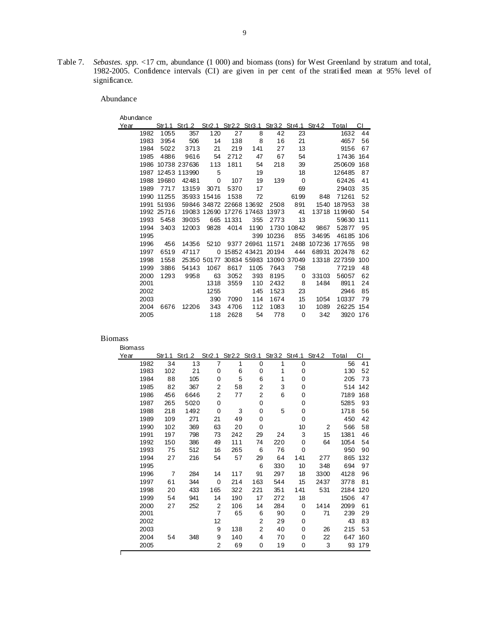Table 7. *Sebastes. spp.* <17 cm, abundance (1 000) and biomass (tons) for West Greenland by stratum and total, 1982-2005. Confidence intervals (CI) are given in per cent of the stratified mean at 95% level of significance.

Abundance

| Abundanc |  |  |
|----------|--|--|

| Abundance |      |            |              |                         |             |             |       |             |                                                               |               |     |
|-----------|------|------------|--------------|-------------------------|-------------|-------------|-------|-------------|---------------------------------------------------------------|---------------|-----|
| Year      |      |            |              |                         |             |             |       |             | Str1.1 Str1.2 Str2.1 Str2.2 Str3.1 Str3.2 Str4.1 Str4.2 Total |               | CI. |
|           | 1982 | 1055       | 357          | 120                     | 27          | 8           | 42    | 23          |                                                               | 1632          | 44  |
|           | 1983 | 3954       | 506          | 14                      | 138         | 8           | 16    | 21          |                                                               | 4657          | 56  |
|           | 1984 | 5022       | 3713         | 21                      | 219         | 141         | 27    | 13          |                                                               | 9156          | 67  |
|           | 1985 | 4886       | 9616         | 54                      | 2712        | 47          | 67    | 54          |                                                               | 17436         | 164 |
|           | 1986 |            | 10738 237636 | 113                     | 1811        | 54          | 218   | 39          |                                                               | 250609        | 168 |
|           | 1987 |            | 12453 113990 | 5                       |             | 19          |       | 18          |                                                               | 126485        | 87  |
|           | 1988 | 19680      | 42481        | 0                       | 107         | 19          | 139   | $\Omega$    |                                                               | 62426         | 41  |
|           | 1989 | 7717       | 13159        | 3071                    | 5370        | 17          |       | 69          |                                                               | 29403         | 35  |
|           | 1990 | 11255      |              | 35933 15416             | 1538        | 72          |       | 6199        | 848                                                           | 71261         | 52  |
|           | 1991 | 51936      |              | 59846 34872 22668 13692 |             |             | 2508  | 891         | 1540                                                          | 187953        | 38  |
|           |      | 1992 25716 |              | 19083 12690             | 17276 17463 |             | 13973 | 41          | 13718                                                         | 119960        | 54  |
|           | 1993 | 5458       | 39035        | 665                     | 11331       | 355         | 2773  | 13          |                                                               | 59630         | 111 |
|           | 1994 | 3403       | 12003        | 9828                    | 4014        | 1190        |       | 1730 10842  | 9867                                                          | 52877         | 95  |
|           | 1995 |            |              |                         |             | 399         | 10236 | 855         | 34695                                                         | 46185         | 106 |
|           | 1996 | 456        | 14356        | 5210                    |             | 9377 26961  | 11571 | 2488        |                                                               | 107236 177655 | 98  |
|           | 1997 | 6519       | 47117        | 0                       |             | 15852 43421 | 20194 | 444         | 68931                                                         | 202478        | 62  |
|           | 1998 | 1558       |              | 25350 50177             |             | 30834 55983 |       | 13090 37049 |                                                               | 13318 227359  | 100 |
|           | 1999 | 3886       | 54143        | 1067                    | 8617        | 1105        | 7643  | 758         |                                                               | 77219         | 48  |
|           | 2000 | 1293       | 9958         | 63                      | 3052        | 393         | 8195  | 0           | 33103                                                         | 56057         | 62  |
|           | 2001 |            |              | 1318                    | 3559        | 110         | 2432  | 8           | 1484                                                          | 8911          | 24  |
|           | 2002 |            |              | 1255                    |             | 145         | 1523  | 23          |                                                               | 2946          | 85  |
|           | 2003 |            |              | 390                     | 7090        | 114         | 1674  | 15          | 1054                                                          | 10337         | 79  |
|           | 2004 | 6676       | 12206        | 343                     | 4706        | 112         | 1083  | 10          | 1089                                                          | 26225         | 154 |
|           | 2005 |            |              | 118                     | 2628        | 54          | 778   | $\Omega$    | 342                                                           | 3920          | 176 |

| <b>Biomass</b> |      |                |                                                         |                |     |                |     |             |      |       |     |
|----------------|------|----------------|---------------------------------------------------------|----------------|-----|----------------|-----|-------------|------|-------|-----|
| Year           |      |                | Str1.1 Str1.2 Str2.1 Str2.2 Str3.1 Str3.2 Str4.1 Str4.2 |                |     |                |     |             |      | Total | СI  |
|                | 1982 | 34             | 13                                                      | 7              | 1   | 0              | 1   | $\mathbf 0$ |      | 56    | 41  |
|                | 1983 | 102            | 21                                                      | 0              | 6   | 0              | 1   | 0           |      | 130   | 52  |
|                | 1984 | 88             | 105                                                     | 0              | 5   | 6              | 1   | 0           |      | 205   | 73  |
|                | 1985 | 82             | 367                                                     | 2              | 58  | 2              | 3   | 0           |      | 514   | 142 |
|                | 1986 | 456            | 6646                                                    | 2              | 77  | 2              | 6   | 0           |      | 7189  | 168 |
|                | 1987 | 265            | 5020                                                    | 0              |     | $\mathbf 0$    |     | 0           |      | 5285  | 93  |
|                | 1988 | 218            | 1492                                                    | 0              | 3   | $\mathbf 0$    | 5   | 0           |      | 1718  | 56  |
|                | 1989 | 109            | 271                                                     | 21             | 49  | $\mathbf 0$    |     | $\Omega$    |      | 450   | 42  |
|                | 1990 | 102            | 369                                                     | 63             | 20  | $\mathbf 0$    |     | 10          | 2    | 566   | 58  |
|                | 1991 | 197            | 798                                                     | 73             | 242 | 29             | 24  | 3           | 15   | 1381  | 46  |
|                | 1992 | 150            | 386                                                     | 49             | 111 | 74             | 220 | 0           | 64   | 1054  | 54  |
|                | 1993 | 75             | 512                                                     | 16             | 265 | 6              | 76  | $\Omega$    |      | 950   | 90  |
|                | 1994 | 27             | 216                                                     | 54             | 57  | 29             | 64  | 141         | 277  | 865   | 132 |
|                | 1995 |                |                                                         |                |     | 6              | 330 | 10          | 348  | 694   | 97  |
|                | 1996 | $\overline{7}$ | 284                                                     | 14             | 117 | 91             | 297 | 18          | 3300 | 4128  | 96  |
|                | 1997 | 61             | 344                                                     | $\mathbf 0$    | 214 | 163            | 544 | 15          | 2437 | 3778  | 81  |
|                | 1998 | 20             | 433                                                     | 165            | 322 | 221            | 351 | 141         | 531  | 2184  | 120 |
|                | 1999 | 54             | 941                                                     | 14             | 190 | 17             | 272 | 18          |      | 1506  | 47  |
|                | 2000 | 27             | 252                                                     | $\overline{2}$ | 106 | 14             | 284 | 0           | 1414 | 2099  | 61  |
|                | 2001 |                |                                                         | $\overline{7}$ | 65  | 6              | 90  | 0           | 71   | 239   | 29  |
|                | 2002 |                |                                                         | 12             |     | 2              | 29  | 0           |      | 43    | 83  |
|                | 2003 |                |                                                         | 9              | 138 | $\overline{2}$ | 40  | 0           | 26   | 215   | 53  |
|                | 2004 | 54             | 348                                                     | 9              | 140 | 4              | 70  | 0           | 22   | 647   | 160 |
|                | 2005 |                |                                                         | 2              | 69  | 0              | 19  | 0           | 3    | 93    | 179 |
|                |      |                |                                                         |                |     |                |     |             |      |       |     |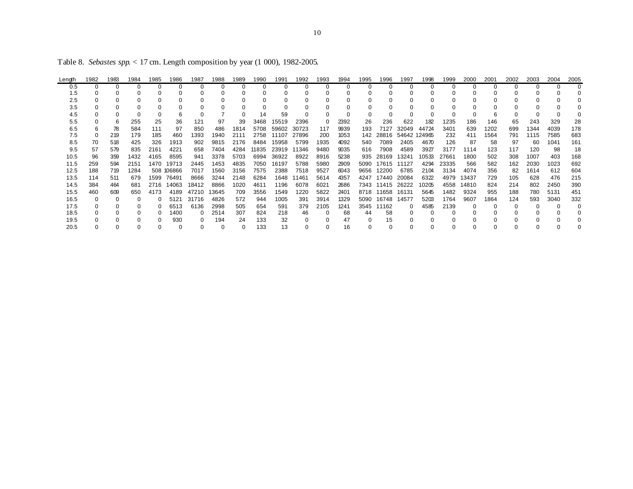| Length | 1982 | 1983 | 1984 | 1985     | 1986       | 1987  | 1988  | 1989 | 1990  | 1991  | 1992  | 1993 | 1994 | 1995     | 1996  | 1997         | 1998  | 1999  | 2000  | 2001 | 2002 | 2003 | 2004 | 2005 |
|--------|------|------|------|----------|------------|-------|-------|------|-------|-------|-------|------|------|----------|-------|--------------|-------|-------|-------|------|------|------|------|------|
| 0.5    |      | 0    | 0    | $\Omega$ | 0          |       |       | 0    | 0     | 0     |       |      |      | $\Omega$ |       |              |       | 0     | 0     |      |      |      |      |      |
| 1.5    |      |      |      |          |            |       |       |      |       |       |       |      |      |          |       |              |       |       |       |      |      |      |      |      |
| 2.5    |      |      |      |          |            |       |       |      |       |       |       |      |      |          |       |              |       |       |       |      |      |      |      |      |
| 3.5    |      |      |      |          |            |       |       |      |       |       |       |      |      |          |       |              |       |       |       |      |      |      |      |      |
| 4.5    |      |      |      |          |            |       |       |      | 14    | 59    |       |      |      |          |       |              |       |       |       | 6    |      |      |      |      |
| 5.5    |      | 6.   | 255  | 25       | 36         | 121   | 97    | 39   | 3468  | 15519 | 2396  |      | 2392 | 26       | 236   | 622          | 182   | 1235  | 186   | 146  | 65   | 243  | 329  | 28   |
| 6.5    |      | 78   | 584  | 111      | 97         | 850   | 486   | 1814 | 5708  | 59602 | 30723 | 117  | 9939 | 193      | 7127  | 32049        | 44724 | 3401  | 639   | 1202 | 699  | 1344 | 4039 | 178  |
| 7.5    |      | 219  | 179  | 185      | 460        | 1393  | 1940  | 2111 | 2758  | 11107 | 27896 | 200  | 1053 | 142      | 28816 | 54642 124965 |       | 232   | 411   | 1564 | 791  | 1115 | 7585 | 683  |
| 8.5    | 70   | 518  | 425  | 326      | 1913       | 902   | 9815  | 2176 | 8484  | 15958 | 5799  | 1935 | 4092 | 540      | 7089  | 2405         | 4670  | 126   | 87    | 58   | 97   | 60   | 1041 | 161  |
| 9.5    | 57   | 579  | 835  | 2161     | 4221       | 658   | 7404  | 4284 | 11835 | 23919 | 11346 | 9480 | 9035 | 616      | 7908  | 4589         | 3927  | 3177  | 1114  | 123  | 117  | 120  | 98   | 18   |
| 10.5   | 96   | 359  | 1432 | 4165     | 8595       | 941   | 3378  | 5703 | 6994  | 36922 | 8922  | 8916 | 5238 | 935      | 28169 | 13241        | 10533 | 27661 | 1800  | 502  | 308  | 1007 | 403  | 168  |
| 11.5   | 259  | 594  | 2151 | 1470     | 19713      | 2445  | 1453  | 4835 | 7050  | 16197 | 5788  | 5980 | 2909 | 5090     | 17615 | 11127        | 4294  | 23335 | 566   | 582  | 162  | 2030 | 1023 | 692  |
| 12.5   | 188  | 719  | 1284 |          | 508 106866 | 7017  | 1560  | 3156 | 7575  | 2388  | 7518  | 9527 | 6043 | 9656     | 12200 | 6785         | 2104  | 3134  | 4074  | 356  | 82   | 1614 | 612  | 604  |
| 13.5   | 114  | 511  | 679  | 1599     | 76491      | 8666  | 3244  | 2148 | 6284  | 1648  | 11461 | 5614 | 4357 | 4247     | 17440 | 20084        | 6322  | 4979  | 13437 | 729  | 105  | 628  | 476  | 215  |
| 14.5   | 384  | 464  | 681  | 2716     | 14063      | 18412 | 8866  | 1020 | 4611  | 1196  | 6078  | 6021 | 2686 | 7343     | 11415 | 26222        | 10205 | 4558  | 14810 | 824  | 214  | 802  | 2450 | 390  |
| 15.5   | 460  | 609  | 650  | 4173     | 4189       | 47210 | 13645 | 709  | 3556  | 1549  | 1220  | 5822 | 2401 | 8718     | 11658 | 16131        | 5645  | 1482  | 9324  | 955  | 188  | 780  | 5131 | 451  |
| 16.5   |      |      |      | 0        | 5121       | 31716 | 4826  | 572  | 944   | 1005  | 391   | 3914 | 1329 | 5090     | 16748 | 14577        | 5203  | 1764  | 9607  | 1864 | 124  | 593  | 3040 | 332  |
| 17.5   |      |      |      |          | 6513       | 6136  | 2998  | 505  | 654   | 591   | 379   | 2105 | 1241 | 3545     | 11162 | 0            | 4585  | 2139  |       |      |      |      |      |      |
| 18.5   |      |      |      |          | 1400       | 0     | 2514  | 307  | 824   | 218   | 46    |      | 68   | 44       | 58    |              |       |       |       |      |      |      |      |      |
| 19.5   |      |      |      |          | 930        | 0     | 194   | 24   | 133   | 32    |       |      | 47   | $\Omega$ | 15    |              |       |       |       |      |      |      |      |      |
| 20.5   |      |      |      |          |            |       |       |      | 133   | 13    |       |      | 16   |          |       |              |       |       |       |      |      |      |      |      |
|        |      |      |      |          |            |       |       |      |       |       |       |      |      |          |       |              |       |       |       |      |      |      |      |      |

Table 8. *Sebastes spp.* < 17 cm. Length composition by year (1 000), 1982-2005.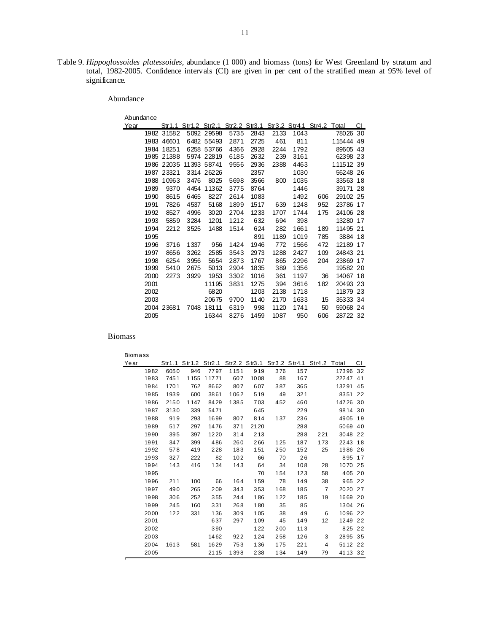Table 9. *Hippoglossoides platessoides*, abundance (1 000) and biomass (tons) for West Greenland by stratum and total, 1982-2005. Confidence intervals (CI) are given in per cent of the stratified mean at 95% level of significance.

Abundance

| Abundance |            |                                                               |             |      |      |      |      |     |           |    |
|-----------|------------|---------------------------------------------------------------|-------------|------|------|------|------|-----|-----------|----|
| Year      |            | Str1.1 Str1.2 Str2.1 Str2.2 Str3.1 Str3.2 Str4.1 Str4.2 Total |             |      |      |      |      |     |           | СI |
| 1982      | 31582      |                                                               | 5092 29598  | 5735 | 2843 | 2133 | 1043 |     | 78026     | 30 |
|           | 1983 46601 |                                                               | 6482 55493  | 2871 | 2725 | 461  | 811  |     | 11544449  |    |
| 1984      | 18251      |                                                               | 6258 53766  | 4366 | 2928 | 2244 | 1792 |     | 89605 43  |    |
|           | 1985 21388 |                                                               | 5974 22819  | 6185 | 2632 | 239  | 3161 |     | 62398 23  |    |
|           | 1986 22035 |                                                               | 11393 58741 | 9556 | 2936 | 2388 | 4463 |     | 111512 39 |    |
|           | 1987 23321 |                                                               | 3314 26226  |      | 2357 |      | 1030 |     | 56248 26  |    |
| 1988      | 10963      | 3476                                                          | 8025        | 5698 | 3566 | 800  | 1035 |     | 33563 18  |    |
| 1989      | 9370       | 4454                                                          | 11362       | 3775 | 8764 |      | 1446 |     | 39171 28  |    |
| 1990      | 8615       | 6465                                                          | 8227        | 2614 | 1083 |      | 1492 | 606 | 29102 25  |    |
| 1991      | 7826       | 4537                                                          | 5168        | 1899 | 1517 | 639  | 1248 | 952 | 23786     | 17 |
| 1992      | 8527       | 4996                                                          | 3020        | 2704 | 1233 | 1707 | 1744 | 175 | 24106 28  |    |
| 1993      | 5859       | 3284                                                          | 1201        | 1212 | 632  | 694  | 398  |     | 13280     | 17 |
| 1994      | 2212       | 3525                                                          | 1488        | 1514 | 624  | 282  | 1661 | 189 | 11495 21  |    |
| 1995      |            |                                                               |             |      | 891  | 1189 | 1019 | 785 | 3884      | 18 |
| 1996      | 3716       | 1337                                                          | 956         | 1424 | 1946 | 772  | 1566 | 472 | 12189     | 17 |
| 1997      | 8656       | 3262                                                          | 2585        | 3543 | 2973 | 1288 | 2427 | 109 | 24843     | 21 |
| 1998      | 6254       | 3956                                                          | 5654        | 2873 | 1767 | 865  | 2296 | 204 | 23869     | 17 |
| 1999      | 5410       | 2675                                                          | 5013        | 2904 | 1835 | 389  | 1356 |     | 19582 20  |    |
| 2000      | 2273       | 3929                                                          | 1953        | 3302 | 1016 | 361  | 1197 | 36  | 14067 18  |    |
| 2001      |            |                                                               | 11195       | 3831 | 1275 | 394  | 3616 | 182 | 20493 23  |    |
| 2002      |            |                                                               | 6820        |      | 1203 | 2138 | 1718 |     | 11879 23  |    |
| 2003      |            |                                                               | 20675       | 9700 | 1140 | 2170 | 1633 | 15  | 35333 34  |    |
|           | 2004 23681 | 7048                                                          | 18111       | 6319 | 998  | 1120 | 1741 | 50  | 59068 24  |    |
| 2005      |            |                                                               | 16344       | 8276 | 1459 | 1087 | 950  | 606 | 28722 32  |    |

## Biomass

Biom a ss

| Year |      |      | Str1.1 Str1.2 Str2.1 Str2.2 Str3.1 Str3.2 Str4.1 Str4.2 Total |       |      |      |     |     |     |          | СI |
|------|------|------|---------------------------------------------------------------|-------|------|------|-----|-----|-----|----------|----|
|      | 1982 | 6050 | 946                                                           | 7797  | 1151 | 919  | 376 | 157 |     | 17396    | 32 |
|      | 1983 | 7451 | 1155                                                          | 11771 | 607  | 1008 | 88  | 167 |     | 22247 41 |    |
|      | 1984 | 1701 | 762                                                           | 8662  | 807  | 607  | 387 | 365 |     | 13291    | 45 |
|      | 1985 | 1939 | 600                                                           | 3861  | 1062 | 519  | 49  | 321 |     | 8351 22  |    |
|      | 1986 | 2150 | 1147                                                          | 8429  | 1385 | 703  | 452 | 460 |     | 14726 30 |    |
|      | 1987 | 3130 | 339                                                           | 5471  |      | 645  |     | 229 |     | 9814 30  |    |
|      | 1988 | 919  | 293                                                           | 1699  | 807  | 814  | 137 | 236 |     | 4905 19  |    |
|      | 1989 | 517  | 297                                                           | 1476  | 371  | 2120 |     | 288 |     | 5069 40  |    |
|      | 1990 | 395  | 397                                                           | 1220  | 314  | 213  |     | 288 | 221 | 3048 22  |    |
|      | 1991 | 347  | 399                                                           | 486   | 260  | 266  | 125 | 187 | 173 | 2243 18  |    |
|      | 1992 | 578  | 419                                                           | 228   | 183  | 151  | 250 | 152 | 25  | 1986 26  |    |
|      | 1993 | 327  | 222                                                           | 82    | 102  | 66   | 70  | 26  |     | 895      | 17 |
|      | 1994 | 143  | 416                                                           | 134   | 143  | 64   | 34  | 108 | 28  | 1070 25  |    |
|      | 1995 |      |                                                               |       |      | 70   | 154 | 123 | 58  | 405 20   |    |
|      | 1996 | 211  | 100                                                           | 66    | 164  | 159  | 78  | 149 | 38  | 965 22   |    |
|      | 1997 | 490  | 265                                                           | 209   | 343  | 353  | 168 | 185 | 7   | 2020 27  |    |
|      | 1998 | 306  | 252                                                           | 355   | 244  | 186  | 122 | 185 | 19  | 1669 20  |    |
|      | 1999 | 245  | 160                                                           | 331   | 268  | 180  | 35  | 85  |     | 1304 26  |    |
|      | 2000 | 122  | 331                                                           | 136   | 309  | 105  | 38  | 49  | 6   | 1096 22  |    |
|      | 2001 |      |                                                               | 637   | 297  | 109  | 45  | 149 | 12  | 1249 22  |    |
|      | 2002 |      |                                                               | 390   |      | 122  | 200 | 113 |     | 825 22   |    |
|      | 2003 |      |                                                               | 1462  | 922  | 124  | 258 | 126 | 3   | 2895 35  |    |
|      | 2004 | 1613 | 581                                                           | 1629  | 753  | 136  | 175 | 221 | 4   | 5112 22  |    |
|      | 2005 |      |                                                               | 2115  | 1398 | 238  | 134 | 149 | 79  | 4113 32  |    |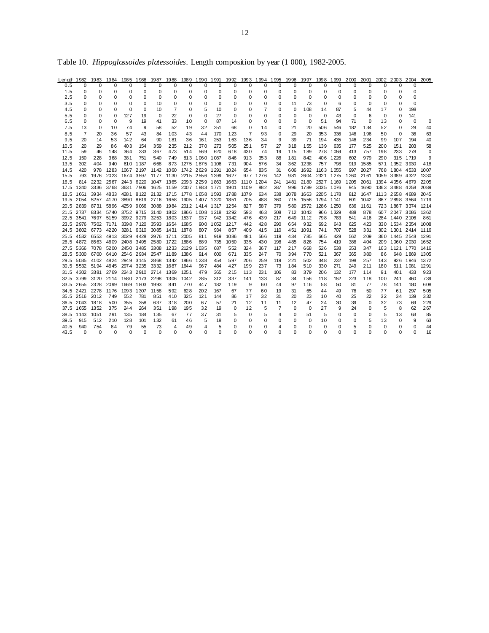| Length            | 1982           | 1983                | 1984                   | 1985 1986  |            |                                    |                          |              |                     |          |                |                |                |                      |                  | 1987 1988 1989 1990 1991 1992 1993 1994 1995 1996 1997 1998 1999 2000 2001 |              |                 |            |               |              | 2002 2003 2004                 |                 | 2005        |
|-------------------|----------------|---------------------|------------------------|------------|------------|------------------------------------|--------------------------|--------------|---------------------|----------|----------------|----------------|----------------|----------------------|------------------|----------------------------------------------------------------------------|--------------|-----------------|------------|---------------|--------------|--------------------------------|-----------------|-------------|
| 0.5               | <sup>0</sup>   | <sup>0</sup>        | 0                      | $\Omega$   | $\Omega$   | $\Omega$                           | $\Omega$                 | <sup>0</sup> | 0                   | $\Omega$ | $\Omega$       | $\Omega$       | $\Omega$       | $\Omega$             | $\Omega$         | $\Omega$                                                                   | <sup>0</sup> | $\Omega$        | $\Omega$   | U             | <sup>0</sup> | <sup>0</sup>                   | ŋ               |             |
| 1.5               | 0              | 0                   | 0                      | 0          | 0          | 0                                  | 0                        | 0            | 0                   | 0        | 0              | 0              | 0              | 0                    | 0                | 0                                                                          | 0            | 0               | 0          | 0             | 0            | 0                              | 0               |             |
| 2.5               | 0              | 0                   | $\Omega$               | 0          | $\Omega$   | 0                                  | 0                        | 0            | 0                   | 0        | 0              | 0              | 0              | 0                    | $\Omega$         | $\mathbf 0$                                                                | 0            | 0               | 0          | 0             | 0            | $\Omega$                       | $\Omega$        |             |
| 3.5               | O              | 0                   | 0                      | 0          | 0          | 10                                 | 0                        | 0            | 0                   | $\Omega$ | 0              | 0              | 0              | 0                    | 11               | 73                                                                         | 0            | 6               | 0          | 0             | 0            | 0                              | $\Omega$        |             |
| 4.5               | 0              | 0                   | 0                      | 0          | $\Omega$   | 10                                 | $\overline{7}$           | 0            | 5                   | 10       | 0              | 0              | $\overline{7}$ | 0                    | $\Omega$         | 108                                                                        | 14           | 87              | 5          | 44            | 17           | 0                              | 198             |             |
| 5.5<br>6.5        | 0              | 0                   | $\Omega$<br>$\Omega$   | 127        | 19         | 0                                  | 22<br>33                 | 0<br>10      | 0                   | 27<br>87 | $\Omega$       | 0              | 0              | 0                    | 0<br>$\mathbf 0$ | 0                                                                          | 0<br>51      | 43              | 0<br>71    | 6             | 0<br>13      | 0                              | 141<br>$\Omega$ |             |
| 7.5               | 0<br>13        | 0<br>0              | 10                     | 9<br>74    | 19<br>9    | 41<br>58                           | 52                       | 19           | 0<br>32             | 251      | 14<br>68       | 0<br>0         | 0<br>14        | 0                    | 21               | 0<br>20                                                                    | 506          | 94<br>546       | 182        | 0<br>134      | 52           | 0<br>0                         | 28              | 0<br>40     |
| 8.5               | $\overline{7}$ | 20                  | 36                     | 57         | 43         | 84                                 | 103                      | 43           | 44                  | 170      | 123            | $\overline{7}$ | 93             | 0<br>0               | 29               | 20                                                                         | 353          | 336             | 146        | 196           | 50           | $\Omega$                       | 36              | 63          |
| 9.5               | 20             | 14                  | 53                     | 142        | 64         | 90                                 | 181                      | 36           | 161                 | 253      | 163            | 136            | 34             | 9                    | 39               | 71                                                                         | 194          | 435             | 146        | 234           | 99           | 107                            | 194             | 40          |
| 10.5              | 20             | 29                  | 86                     | 403        | 154        | 359                                | 235                      | 212          | 370                 | 273      | 505            | 251            | 57             | 27                   | 318              | 155                                                                        | 139          | 635             | 177        | 525           | 200          | 151                            | 203             | 58          |
| 11.5              | 59             | 46                  | 148                    | 364        | 333        | 367                                | 473                      | 514          | 569                 | 620      | 618            | 430            | 74             | 19                   | 115              | 189                                                                        |              | 278 1059        | 413        | 757           | 198          | 233                            | 278             | 0           |
| 12.5              | 150            | 228                 | 368                    | 381        | 751        | 540                                | 749                      |              | 813 1060 1087       |          | 846            | 913            | 353            | 88                   | 181              | 842                                                                        | 406          | 1226            | 602        | 979           | 290          |                                | 315 1719        | 9           |
| 13.5              | 302            | 404                 | 940                    |            | 610 1187   | 668                                | 873                      |              | 1275 1875 1106      |          | 731            | 904            | 576            | 34                   | 362              | 1238                                                                       | 757          | 798             | 919        | 1585          |              | 571 1352 3930                  |                 | 418         |
| 14.5              | 420            | 978                 | 1283                   |            | 1067 2197  | 1142                               |                          |              | 1060 1742 2629 1291 |          | 1024           | 654            | 835            | 31                   | 606              | 1692                                                                       | 1163 1055    |                 | 997        | 2027          |              | 768 1804 4533                  |                 | 1007        |
| 15.5              | 793            | 1976                | 2023                   |            | 1674 3597  |                                    | 1177 1130                |              | 2215 2556 1399      |          | 1627           |                | 977 1276       | 142                  | 981              | 2604                                                                       | 2321 1275    |                 | 1 2 6 0    | 2161          |              | 1059 3389 4322                 |                 | 1330        |
| 16.5              | 814            | 2232                | 2567                   | 2443 6220  |            |                                    | 1047 1365                |              | 2093 2259 1863      |          | 1663           | 1110           | 1204           | 241                  | 1481             | 2180                                                                       | 2527 1169    |                 | 1205       | 2061          |              | 1394 4056 4679                 |                 | 2205        |
| 17.5              | 1340           | 3336                | 3768                   |            | 3631 7906  | 1625 1159                          |                          |              | 2007 1883 1771      |          | 1901           | 1109           | 882            | 287                  | 996              | 1789                                                                       | 3035 1076    |                 | 945        | 1690          |              | 1363 3488 4258                 |                 | 2089        |
| 18.5              | 1661           |                     | 3934 4833              |            | 4281 8122  |                                    | 2132 1715 1778 1658 1593 |              |                     |          | 1788           | 1079           | 634            | 338                  | 1078             | 1663                                                                       | 2205 1178    |                 | 812        | 1647          |              | 1113 2658 4689                 |                 | 2045        |
| 19.5 2054         |                | 5257 4170           |                        |            |            | 3890 8619 2716 1658                |                          |              | 1905 1407 1320      |          | 1851           | 705            | 488            | 360                  | 715              | 1556                                                                       | 1794 1141    |                 | 601        | 1042          |              | 867 2898 3564                  |                 | 1719        |
| 20.5 2839         |                | 8731                | 5896                   |            | 4259 9066  | 3088                               | 1984                     |              | 2012 1414 1317      |          | 1254           | 827            | 587            | 379                  | 580              | 1572                                                                       | 1286 1250    |                 | 636        | 1161          |              | 723 1867 3374                  |                 | 1214        |
| 21.5 2737<br>22.5 | 3541           |                     | 8334 5740<br>7697 5159 |            | 3992 9279  | 3752 9715 3140 1802 1866 1008 1218 | 3253 1803                | 1537         | 937                 | 942      | 12.92<br>1342  | 593<br>476     | 463<br>439     | 308<br>217           | 712<br>649       | 1043<br>1112                                                               | 798          | 966 1329<br>783 | 488<br>541 | 878<br>416    |              | 607 2047 3086<br>284 1440 2106 |                 | 1362<br>861 |
| 23.5 2976         |                | 7502 7171           |                        |            | 3398 7120  | 3593                               | 1654                     | 1685         | 900                 | 1052     | 1217           | 442            | 428            | 290                  | 654              | 932                                                                        | 692          | 643             | 625        | 423           |              | 330 1534 2354                  |                 | 1008        |
| 24.5 3802         |                | 6773                | 42 20                  |            | 3281 6310  | 3085                               | 1431                     | 1878         | 807                 | 934      | 857            | 409            | 415            | 110                  | 451              | 1091                                                                       | 741          | 707             | 528        | 331           |              | 302 1301 2414                  |                 | 1116        |
|                   |                | 25.5 4532 6553 4913 |                        | 3029 4428  |            | 2976 1711                          |                          | 2005         | 811                 | 919      | 1086           | 481            | 566            | 119                  | 434              | 785                                                                        | 665          | 429             | 562        | 209           |              | 360 1445 2548                  |                 | 1291        |
| 26.5 4872         |                | 8563                | 4609                   |            | 2408 3495  | 2580 1722                          |                          | 1886         | 889                 | 735      | 10.50          | 335            | 430            | 198                  | 485              | 826                                                                        | 754          | 419             | 386        | 404           |              | 209 1060 2030                  |                 | 1652        |
| 27.5 5366         |                | 7078                | 5200                   | 2450 3485  |            | 3308                               | 1233                     | 2129         | 1035                | 687      | 552            | 324            | 367            | 117                  | 217              | 668                                                                        | 526          | 538             | 353        | 347           |              | 163 1121 1770                  |                 | 1416        |
| 28.5 5300         |                |                     | 6700 6410              | 2546 2934  |            | 2547 1189                          |                          | 1386         | 914                 | 600      | 671            | 335            | 247            | 70                   | 394              | 770                                                                        | 521          | 367             | 365        | 380           | 86           |                                | 648 1869        | 1305        |
|                   |                | 29.5 5035 4102 4824 |                        | 2949 3145  |            | 2868                               | 1342                     | 1866         | 1238                | 454      | 597            | 206            | 259            | 119                  | 221              | 502                                                                        | 348          | 232             | 198        | 257           | 143          |                                | 926 1946        | 1372        |
| 30.5              | 5532           | 5194                | 4645                   |            | 2974 3235  | 3332                               | 1687                     | 1644         | 967                 | 484      | 427            | 199            | 237            | 73                   | 184              | 510                                                                        | 330          | 271             | 249        | 211           | 180          | 511                            | 1081            | 1291        |
|                   |                | 31.5 4302 3381      | 2769                   |            | 2243 2910  | 2714                               | 1369                     | 1251         | 479                 | 365      | 215            | 113            | 231            | 106                  | 83               | 379                                                                        | 206          | 132             | 177        | 114           | 91           | 401                            | 433             | 923         |
| 32.5 3799         |                | 31 20               | 2114                   | 1580 2173  |            | 2298                               | 1306                     | 1042         | 285                 | 312      | 337            | 141            | 133            | 87                   | 34               | 156                                                                        | 118          | 152             | 223        | 118           | 100          | 241                            | 460             | 739         |
|                   |                | 33.5 2655 2328 2099 |                        | 1669 1803  |            | 1993                               | 841                      | 770          | 447                 | 182      | 119            | 9              | 60             | 44                   | 97               | 116                                                                        | 58           | 50              | 81         | 77            | 78           | 141                            | 180             | 608         |
| 34.5 2421         |                | 2278                | 1176                   | 1093 1307  |            | 1158                               | 592                      | 628          | 202                 | 167      | 67             | 77             | 60             | 19                   | 31               | 65                                                                         | 44           | 49              | 76         | 50            | 77           | 61                             | 297             | 505         |
|                   | 35.5 2516 2012 |                     | 749                    | 552        | 781        | 851                                | 410                      | 325          | 121                 | 144      | 86             | 17             | 32             | 31                   | 20               | 23                                                                         | 10           | 40              | 25         | 22            | 32           | 34                             | 139             | 332         |
| 36.5<br>37.5 1655 | 2043           | 1818<br>1352        | 500<br>375             | 355<br>244 | 358<br>264 | 637<br>351                         | 318<br>198               | 200<br>195   | 67<br>32            | 57<br>19 | 21<br>$\Omega$ | 12<br>12       | 11<br>5        | 11<br>$\overline{7}$ | 12<br>$\Omega$   | 47<br>$\Omega$                                                             | 24<br>27     | 30<br>9         | 39<br>24   | 0<br>$\Omega$ | 32<br>5      | 73<br>8                        | 69<br>62        | 229<br>267  |
| 38.5              | 1143           | 1051                | 291                    | 135        | 184        | 135                                | 67                       | 77           | 37                  | 31       | 5              | 0              | 5              | 4                    | $\Omega$         | 51                                                                         | 5            | $\Omega$        | $\Omega$   | 0             | 5            | 13                             | 63              | 85          |
| 39.5              | 915            | 512                 | 210                    | 128        | 101        | 132                                | 61                       | 46           | 5                   | 18       | $\Omega$       | 0              | 0              | 0                    | 0                | 0                                                                          | 10           | 0               | $\Omega$   | 5             | 13           | 0                              | 9               | 63          |
| 40.5              |                |                     |                        |            |            |                                    |                          |              |                     |          |                |                |                |                      |                  |                                                                            |              |                 |            |               |              |                                |                 |             |
|                   | 940            | 754                 | 84                     | 79         | 55         | 73                                 | 4                        | 49           | 4                   | 5        | $\Omega$       | 0              | 0              | 4                    | $\mathbf 0$      | 0                                                                          | $\Omega$     | $\Omega$        | 5          | 0             | $\Omega$     | 0                              | $\Omega$        | 44          |

Table 10. *Hippoglossoides platessoides*. Length composition by year (1 000), 1982-2005.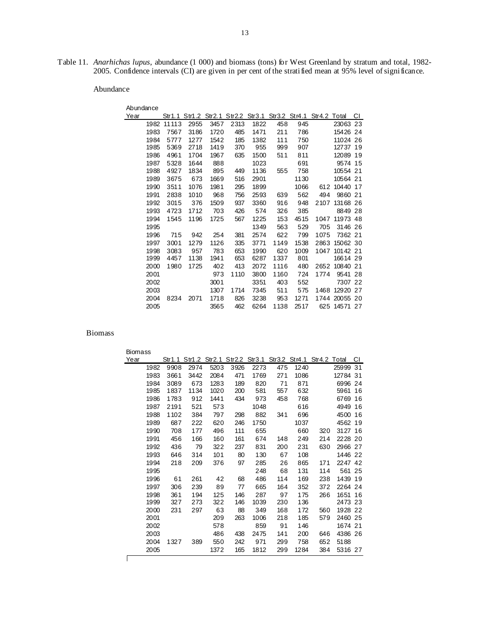Table 11. *Anarhichas lupus*, abundance (1 000) and biomass (tons) for West Greenland by stratum and total, 1982- 2005. Confidence intervals (CI) are given in per cent of the stratified mean at 95% level of significance.

Abundance

| Abundance |       |                                                               |      |      |      |      |      |      |               |    |
|-----------|-------|---------------------------------------------------------------|------|------|------|------|------|------|---------------|----|
| Year      |       | Str1.1 Str1.2 Str2.1 Str2.2 Str3.1 Str3.2 Str4.1 Str4.2 Total |      |      |      |      |      |      |               | СI |
| 1982      | 11113 | 2955                                                          | 3457 | 2313 | 1822 | 458  | 945  |      | 23063 23      |    |
| 1983      | 7567  | 3186                                                          | 1720 | 485  | 1471 | 211  | 786  |      | 15426 24      |    |
| 1984      | 5777  | 1277                                                          | 1542 | 185  | 1382 | 111  | 750  |      | 11024 26      |    |
| 1985      | 5369  | 2718                                                          | 1419 | 370  | 955  | 999  | 907  |      | 12737 19      |    |
| 1986      | 4961  | 1704                                                          | 1967 | 635  | 1500 | 511  | 811  |      | 12089 19      |    |
| 1987      | 5328  | 1644                                                          | 888  |      | 1023 |      | 691  |      | 9574 15       |    |
| 1988      | 4927  | 1834                                                          | 895  | 449  | 1136 | 555  | 758  |      | 10554 21      |    |
| 1989      | 3675  | 673                                                           | 1669 | 516  | 2901 |      | 1130 |      | 10564 21      |    |
| 1990      | 3511  | 1076                                                          | 1981 | 295  | 1899 |      | 1066 | 612  | 10440 17      |    |
| 1991      | 2838  | 1010                                                          | 968  | 756  | 2593 | 639  | 562  | 494  | 9860 21       |    |
| 1992      | 3015  | 376                                                           | 1509 | 937  | 3360 | 916  | 948  | 2107 | 13168 26      |    |
| 1993      | 4723  | 1712                                                          | 703  | 426  | 574  | 326  | 385  |      | 8849 28       |    |
| 1994      | 1545  | 1196                                                          | 1725 | 567  | 1225 | 153  | 4515 | 1047 | 11973 48      |    |
| 1995      |       |                                                               |      |      | 1349 | 563  | 529  | 705  | 3146 26       |    |
| 1996      | 715   | 942                                                           | 254  | 381  | 2574 | 622  | 799  | 1075 | 7362 21       |    |
| 1997      | 3001  | 1279                                                          | 1126 | 335  | 3771 | 1149 | 1538 | 2863 | 15062 30      |    |
| 1998      | 3083  | 957                                                           | 783  | 653  | 1990 | 620  | 1009 |      | 1047 10142 21 |    |
| 1999      | 4457  | 1138                                                          | 1941 | 653  | 6287 | 1337 | 801  |      | 16614 29      |    |
| 2000      | 1980  | 1725                                                          | 402  | 413  | 2072 | 1116 | 480  | 2652 | 10840 21      |    |
| 2001      |       |                                                               | 973  | 1110 | 3800 | 1160 | 724  | 1774 | 9541 28       |    |
| 2002      |       |                                                               | 3001 |      | 3351 | 403  | 552  |      | 7307 22       |    |
| 2003      |       |                                                               | 1307 | 1714 | 7345 | 511  | 575  | 1468 | 12920 27      |    |
| 2004      | 8234  | 2071                                                          | 1718 | 826  | 3238 | 953  | 1271 |      | 1744 20055 20 |    |
| 2005      |       |                                                               | 3565 | 462  | 6264 | 1138 | 2517 |      | 625 14571 27  |    |

| <b>Biomass</b> |      |      |      |      |      |                                                               |     |      |     |          |    |
|----------------|------|------|------|------|------|---------------------------------------------------------------|-----|------|-----|----------|----|
| Year           |      |      |      |      |      | Str1.1 Str1.2 Str2.1 Str2.2 Str3.1 Str3.2 Str4.1 Str4.2 Total |     |      |     |          | СI |
|                | 1982 | 9908 | 2974 | 5203 | 3926 | 2273                                                          | 475 | 1240 |     | 25999 31 |    |
|                | 1983 | 3661 | 3442 | 2084 | 471  | 1769                                                          | 271 | 1086 |     | 12784 31 |    |
|                | 1984 | 3089 | 673  | 1283 | 189  | 820                                                           | 71  | 871  |     | 6996 24  |    |
|                | 1985 | 1837 | 1134 | 1020 | 200  | 581                                                           | 557 | 632  |     | 5961     | 16 |
|                | 1986 | 1783 | 912  | 1441 | 434  | 973                                                           | 458 | 768  |     | 6769     | 16 |
|                | 1987 | 2191 | 521  | 573  |      | 1048                                                          |     | 616  |     | 4949     | 16 |
|                | 1988 | 1102 | 384  | 797  | 298  | 882                                                           | 341 | 696  |     | 4500     | 16 |
|                | 1989 | 687  | 222  | 620  | 246  | 1750                                                          |     | 1037 |     | 4562 19  |    |
|                | 1990 | 708  | 177  | 496  | 111  | 655                                                           |     | 660  | 320 | 3127 16  |    |
|                | 1991 | 456  | 166  | 160  | 161  | 674                                                           | 148 | 249  | 214 | 2228 20  |    |
|                | 1992 | 436  | 79   | 322  | 237  | 831                                                           | 200 | 231  | 630 | 2966 27  |    |
|                | 1993 | 646  | 314  | 101  | 80   | 130                                                           | 67  | 108  |     | 1446 22  |    |
|                | 1994 | 218  | 209  | 376  | 97   | 285                                                           | 26  | 865  | 171 | 2247 42  |    |
|                | 1995 |      |      |      |      | 248                                                           | 68  | 131  | 114 | 561      | 25 |
|                | 1996 | 61   | 261  | 42   | 68   | 486                                                           | 114 | 169  | 238 | 1439 19  |    |
|                | 1997 | 306  | 239  | 89   | 77   | 665                                                           | 164 | 352  | 372 | 2264 24  |    |
|                | 1998 | 361  | 194  | 125  | 146  | 287                                                           | 97  | 175  | 266 | 1651     | 16 |
|                | 1999 | 327  | 273  | 322  | 146  | 1039                                                          | 230 | 136  |     | 2473 23  |    |
|                | 2000 | 231  | 297  | 63   | 88   | 349                                                           | 168 | 172  | 560 | 1928 22  |    |
|                | 2001 |      |      | 209  | 263  | 1006                                                          | 218 | 185  | 579 | 2460 25  |    |
|                | 2002 |      |      | 578  |      | 859                                                           | 91  | 146  |     | 1674 21  |    |
|                | 2003 |      |      | 486  | 438  | 2475                                                          | 141 | 200  | 646 | 4386 26  |    |
|                | 2004 | 1327 | 389  | 550  | 242  | 971                                                           | 299 | 758  | 652 | 5188     |    |
|                | 2005 |      |      | 1372 | 165  | 1812                                                          | 299 | 1284 | 384 | 5316 27  |    |
|                |      |      |      |      |      |                                                               |     |      |     |          |    |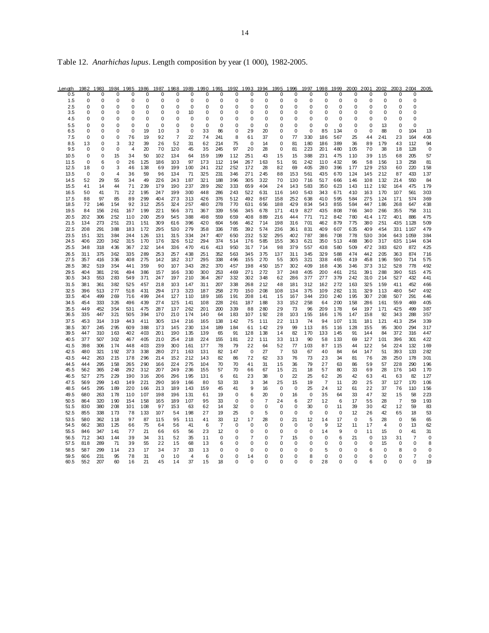| Table 12. Anarhichas lupus. Length composition by year (1 000), 1982-2005. |  |  |  |
|----------------------------------------------------------------------------|--|--|--|
|                                                                            |  |  |  |

| Length       | 1982        | 1983              | 1984             | 1985                 | 1986                | 1987        | 1988           | 1989             | 1990       | 1991                       | 1992             | 1993           | 1994                 | 1995              | 1996              | 1997              | 1998           | 1999        | 2000              | 2001                       | 2002                 | 2003                 | 2004                 | 2005              |
|--------------|-------------|-------------------|------------------|----------------------|---------------------|-------------|----------------|------------------|------------|----------------------------|------------------|----------------|----------------------|-------------------|-------------------|-------------------|----------------|-------------|-------------------|----------------------------|----------------------|----------------------|----------------------|-------------------|
| 0.5          | 0           | 0                 | 0                | 0                    | $\Omega$            | $\Omega$    | 0              | 0                | 0          | 0                          | 0                | 0              | 0                    | 0                 | 0                 | 0                 | 0              | 0           | 0                 | 0                          | 0                    | 0                    | 0                    |                   |
| 1.5<br>2.5   | 0<br>0      | 0<br>$\mathbf{0}$ | 0<br>0           | 0<br>0               | 0<br>$\overline{0}$ | 0<br>0      | 0<br>0         | 0<br>$\mathbf 0$ | 0<br>0     | $\mathbf 0$<br>$\mathbf 0$ | 0<br>0           | 0<br>0         | 0<br>$\Omega$        | 0<br>$\Omega$     | 0<br>0            | 0<br>$\Omega$     | 0<br>$\Omega$  | 0<br>0      | 0<br>0            | $\mathbf 0$<br>$\mathbf 0$ | $\Omega$<br>$\Omega$ | 0<br>0               | 0<br>0               |                   |
| 3.5          | 0           | 0                 | 0                | 0                    | $\Omega$            | 0           | 0              | 10               | 0          | 0                          | 0                | 0              | 0                    | 0                 | 0                 | 0                 | 0              | 0           | 0                 | 0                          | $\mathbf 0$          | 0                    | 0                    |                   |
| 4.5          | 0           | 0                 | 0                | 0                    | $\Omega$            | $\Omega$    | 0              | 0                | 0          | 0                          | 0                | 0              | O                    | 0                 | $\Omega$          | 0                 | በ              | 0           | 0                 | 0                          | $\mathbf 0$          | $\Omega$             | 0                    |                   |
| 5.5          | 0           | 0                 | 0                | $\mathbf 0$          | $\mathbf 0$         | $\mathbf 0$ | 0              | 0                | 0          | 0                          | 0                | 0              | 0                    | 0                 | 0                 | 0                 | 0              | 0           | 0                 | 0                          | 13                   | 0                    | $\mathbf 0$          |                   |
| 6.5          | 0           | $\mathbf 0$       | $\mathbf 0$      | $\mathbf 0$          | 19                  | 10          | 3              | 0                | 33         | 86                         | 0                | 29             | 20                   | 0                 | $\mathbf 0$       | 0                 | 85             | 134         | 0                 | $\mathbf 0$                | 88                   | 0                    | 104                  | 13                |
| 7.5<br>8.5   | 0           | 0<br>$\mathbf 0$  | 0                | 76                   | 19<br>39            | 92<br>26    | $\overline{7}$ | 22<br>31         | 74<br>62   | 241<br>214                 | 8<br>75          | 61<br>$\Omega$ | 37<br>14             | 0<br>$\Omega$     | 77<br>81          | 330<br>180        | 186            | 567<br>389  | 25<br>36          | 44<br>89                   | 241<br>179           | 23<br>43             | 164                  | 406               |
| 9.5          | 13<br>0     | $\mathbf 0$       | 3<br>$\mathbf 0$ | 32<br>$\overline{4}$ | 20                  | 70          | 52<br>120      | 45               | 35         | 245                        | 97               | 20             | 28                   | 0                 | 81                | 223               | 186<br>201     | 480         | 105               | 70                         | 38                   | 18                   | 112<br>128           | 94<br>$\mathbf 0$ |
| 10.5         | 0           | 0                 | 15               | 34                   | 50                  | 102         | 134            | 64               | 159        | 199                        | 112              | 251            | 43                   | 15                | 15                | 388               | 231            | 475         | 110               | 39                         | 115                  | 68                   | 205                  | 57                |
| 11.5         | 0           | 6                 | 0                | 26                   | 125                 | 186         | 103            | 97               | 173        | 112                        | 194              | 267            | 163                  | 51                | 91                | 242               | 110            | 432         | 96                | 58                         | 156                  | 13                   | 258                  | 81                |
| 12.5         | 18          | 0                 | 3                | 46                   | 138                 | 69          | 199            | 100              | 241        | 212                        | 252              | 172            | 28                   | 82                | 69                | 405               | 280            | 396         | 177               | 129                        | 253                  | 60                   | 220                  | 158               |
| 13.5         | $\mathbf 0$ | $\mathbf 0$<br>29 | $\overline{4}$   | 36<br>34             | 59<br>49            | 96<br>226   | 134<br>243     | 71               | 325        | 231                        | 346<br>396       | 271<br>305     | 245<br>322           | 88<br>70          | 153<br>130        | 561<br>716        | 435<br>517     | 670         | 124<br>146        | 145<br>108                 | 212<br>132           | 87<br>214            | 433<br>550           | 137<br>84         |
| 14.5<br>15.5 | 52<br>41    | 14                | 55<br>44         | 71                   | 239                 | 179         | 190            | 187<br>237       | 321<br>289 | 188<br>292                 | 333              | 659            | 404                  | 24                | 143               | 583               | 350            | 666<br>623  | 143               | 112                        | 192                  | 164                  | 475                  | 179               |
| 16.5         | 50          | 41                | 71               | 22                   | 195                 | 247         | 199            | 300              | 448        | 286                        | 243              | 522            | 631                  | 116               | 140               | 543               | 343            | 671         | 410               | 163                        | 170                  | 107                  | 561                  | 303               |
| 17.5         | 88          | 97                | 85               | 89                   | 299                 | 404         | 273            | 313              | 426        | 376                        | 512              | 492            | 867                  | 158               | 252               | 638               | 410            | 595         | 584               | 275                        | 124                  | 171                  | 574                  | 369               |
| 18.5         | 72          | 146               | 154              | 92                   | 312                 | 255         | 324            | 257              | 480        | 278                        | 770              | 631            | 656                  | 188               | 429               | 834               | 543            | 855         | 584               | 447                        | 186                  | 268                  | 647                  | 438               |
| 19.5         | 84          | 156               | 261              | 167                  | 199                 | 221<br>259  | 566            | 371              | 367        | 339                        | 556              | 345            | 678                  | 171               | 419<br>444        | 827               | 435            | 808         | 766               | 340<br>414                 | 266                  | 355                  | 758                  | 311               |
| 20.5<br>21.5 | 202<br>134  | 306<br>273        | 252<br>251       | 110<br>231           | 200<br>151          | 309         | 545<br>616     | 388<br>396       | 498<br>420 | 559<br>604                 | 659<br>566       | 408<br>462     | 889<br>714           | 216<br>198        | 316               | 771<br>701        | 712<br>462     | 842<br>879  | 780<br>775        | 380                        | 172<br>251           | 401<br>435           | 886<br>1128          | 475<br>509        |
| 22.5         | 208         | 291               | 388              | 183                  | 172                 | 295         | 530            | 279              | 358        | 336                        | 785              | 392            | 574                  | 236               | 361               | 831               | 409            | 607         | 635               | 409                        | 454                  | 331                  | 1167                 | 479               |
| 23.5         | 151         | 321               | 384              | 244                  | 126                 | 131         | 315            | 334              | 247        | 407                        | 650              | 232            | 532                  | 295               | 402               | 787               | 386            | 708         | 778               | 530                        | 304                  | 643                  | 1059                 | 384               |
| 24.5         | 406         | 220               | 362              | 315                  | 170                 | 176         | 326            | 512              | 294        | 374                        | 514              | 176            | 585                  | 155               | 363               | 621               | 350            | 513         | 488               | 360                        | 317                  | 635                  | 1144                 | 634               |
| 25.5         | 348         | 318               | 436              | 367                  | 232                 | 144         | 336            | 470              | 416        | 413                        | 950              | 317            | 714                  | 98                | 379               | 557               | 438            | 580         | 509               | 472                        | 383                  | 620                  | 872                  | 425               |
| 26.5<br>27.5 | 311<br>357  | 375<br>416        | 362<br>336       | 335<br>408           | 289<br>275          | 253<br>142  | 257<br>182     | 438<br>317       | 251<br>295 | 352<br>338                 | 563<br>496       | 345<br>155     | 375<br>270           | 137<br>55         | 311<br>305        | 345<br>321        | 329<br>338     | 588<br>465  | 474<br>419        | 442<br>458                 | 205<br>196           | 363<br>590           | 874<br>714           | 716<br>575        |
| 28.5         | 382         | 519               | 354              | 441                  | 359                 | 90          | 107            | 343              | 282        | 370                        | 457              | 198            | 450                  | 157               | 302               | 409               | 168            | 436         | 346               | 373                        | 312                  | 528                  | 778                  | 492               |
| 29.5         | 404         | 381               | 291              | 494                  | 386                 | 157         | 166            | 330              | 300        | 253                        | 469              | 271            | 272                  | 37                | 248               | 405               | 200            | 461         | 251               | 391                        | 288                  | 390                  | 515                  | 475               |
| 30.5         | 343         | 553               | 283              | 549                  | 371                 | 247         | 197            | 210              | 364        | 267                        | 332              | 302            | 348                  | 62                | 286               | 377               | 277            | 379         | 242               | 310                        | 214                  | 527                  | 432                  | 441               |
| 31.5         | 381         | 361               | 382              | 525                  | 457                 | 218         | 103            | 147              | 311        | 207                        | 338              | 268            | 212                  | 48                | 181               | 312               | 162            | 272         | 163               | 325                        | 159                  | 411                  | 452                  | 466               |
| 32.5<br>33.5 | 396<br>404  | 513<br>499        | 277<br>269       | 518<br>716           | 431<br>499          | 294<br>244  | 173<br>127     | 323<br>110       | 187<br>189 | 258<br>165                 | 270<br>191       | 150<br>208     | 208<br>141           | 108<br>15         | 134<br>167        | 375<br>344        | 109<br>230     | 282<br>240  | 131<br>195        | 329<br>307                 | 113<br>208           | 480<br>507           | 547<br>291           | 492<br>446        |
| 34.5         | 454         | 333               | 326              | 496                  | 439                 | 274         | 125            | 141              | 108        | 228                        | 261              | 187            | 188                  | 33                | 152               | 258               | 64             | 200         | 158               | 286                        | 161                  | 559                  | 469                  | 405               |
| 35.5         | 449         | 452               | 354              | 531                  | 475                 | 287         | 137            | 262              | 201        | 200                        | 339              | 88             | 280                  | 29                | 73                | 96                | 209            | 178         | 64                | 197                        | 171                  | 425                  | 499                  | 387               |
| 36.5         | 335         | 447               | 321              | 505                  | 394                 | 170         | 210            | 174              | 140        | 64                         | 183              | 107            | 192                  | 28                | 103               | 155               | 166            | 176         | 147               | 158                        | 92                   | 343                  | 288                  | 357               |
| 37.5         | 453         | 314               | 319              | 443                  | 411                 | 305         | 134            | 216<br>230       | 165        | 138                        | 142              | 75             | 111                  | 22                | 113               | 74                | 94             | 107         | 131               | 181                        | 121<br>95            | 413<br>300           | 254<br>294           | 339<br>317        |
| 38.5<br>39.5 | 307<br>447  | 245<br>310        | 295<br>163       | 609<br>402           | 388<br>403          | 173<br>201  | 145<br>190     | 135              | 134<br>139 | 189<br>65                  | 184<br>91        | 61<br>128      | 142<br>138           | 29<br>14          | 99<br>82          | 113<br>170        | 85<br>133      | 116<br>145  | 128<br>91         | 155<br>144                 | 84                   | 372                  | 316                  | 447               |
| 40.5         | 377         | 507               | 302              | 467                  | 405                 | 210         | 254            | 218              | 224        | 155                        | 181              | 22             | 111                  | 33                | 113               | 90                | 58             | 133         | 69                | 127                        | 101                  | 396                  | 301                  | 422               |
| 41.5         | 398         | 306               | 174              | 448                  | 403                 | 239         | 300            | 161              | 177        | 78                         | 79               | 22             | 64                   | 52                | 77                | 103               | 87             | 115         | 44                | 122                        | 54                   | 224                  | 132                  | 169               |
| 42.5         | 480         | 321               | 192              | 373                  | 338                 | 280         | 271            | 163              | 131        | 82                         | 147              | 0              | 27                   | 7                 | 53                | 67                | 40             | 84          | 64                | 147                        | 51                   | 393                  | 133                  | 282               |
| 43.5<br>44.5 | 442<br>444  | 263<br>295        | 215<br>158       | 178<br>265           | 296<br>290          | 214<br>166  | 152<br>224     | 212<br>275       | 143<br>104 | 82<br>70                   | 86<br>70         | 72<br>41       | 62<br>31             | 33<br>15          | 76<br>36          | 73<br>79          | 23<br>27       | 34<br>63    | 81<br>86          | 76<br>59                   | 28<br>57             | 250<br>228           | 178<br>290           | 301<br>196        |
| 45.5         | 562         | 365               | 248              | 292                  | 312                 | 207         | 249            | 236              | 155        | 57                         | 70               | 66             | 67                   | 15                | 21                | 18                | 57             | 80          | 33                | 69                         | 28                   | 176                  | 143                  | 170               |
| 46.5         | 527         | 275               | 229              | 190                  | 316                 | 206         | 296            | 195              | 131        | 6                          | 61               | 23             | 38                   | 0                 | 22                | 25                | 62             | 26          | 42                | 63                         | 41                   | 63                   | 82                   | 127               |
| 47.5         | 569         | 299               | 143              | 149                  | 221                 | 290         | 169            | 166              | 80         | 53                         | 33               | 3              | 34                   | 25                | 15                | 19                | $\overline{7}$ | 11          | 20                | 25                         | 37                   | 127                  | 170                  | 106               |
| 48.5         | 645         | 295               | 189              | 220                  | 166                 | 213         | 189            | 143              | 159        | 45                         | 41               | 9              | 16                   | $\Omega$          | 0                 | 25                | 24             | 12          | 61                | 22                         | 37                   | 76                   | 110                  | 156               |
| 49.5<br>50.5 | 680<br>864  | 263<br>320        | 178<br>190       | 110<br>154           | 107<br>158          | 198<br>165  | 196<br>189     | 131<br>107       | 61<br>95   | 19<br>33                   | $\mathbf 0$<br>0 | 6<br>0         | 20<br>$\overline{7}$ | $\mathbf 0$<br>24 | 16<br>6           | $\mathbf 0$<br>27 | 35<br>12       | 64<br>6     | 33<br>17          | 47<br>55                   | 32<br>28             | 15<br>$\overline{7}$ | 58<br>59             | 223<br>193        |
| 51.5         | 830         | 380               | 208              | 101                  | 108                 | 97          | 153            | 63               | 62         | 14                         | 32               | 0              | $\Omega$             | $\Omega$          | 0                 | 30                | $\mathbf 0$    | 11          | 39                | 30                         | 42                   | 12                   | 59                   | 83                |
| 52.5         | 855         | 338               | 173              | 78                   | 133                 | 107         | 54             | 198              | 27         | 19                         | 25               | 0              | 5                    | 0                 | 0                 | $\mathbf 0$       | $\mathbf 0$    | $\mathbf 0$ | 12                | 26                         | 42                   | 65                   | 18                   | 53                |
| 53.5         | 580         | 362               | 118              | 97                   | 87                  | 115         | 95             | 111              | 41         | 33                         | 12               | 17             | 28                   | 0                 | 21                | 12                | 14             | 17          | $\mathbf 0$       | 5                          | 28                   | 0                    | 56                   | 65                |
| 54.5         | 662         | 383               | 125              | 66                   | 75                  | 64          | 56             | 41               | 6          | 7                          | 0                | 0<br>0         | 0                    | 0                 | 0                 | 0                 | 9              | 12          | 11<br>$\mathbf 0$ | 17                         | 4                    | 0<br>$\mathbf 0$     | 13                   | 62                |
| 55.5<br>56.5 | 846<br>712  | 347<br>343        | 141<br>144       | 77<br>39             | 21<br>34            | 66<br>31    | 65<br>52       | 56<br>35         | 23<br>11   | 12<br>0                    | 0<br>0           | 7              | 0<br>0               | 0<br>7            | $\mathbf 0$<br>15 | $\mathbf 0$<br>0  | 14<br>0        | 9<br>6      | 21                | 11<br>0                    | 15<br>13             | 31                   | 41<br>$\overline{7}$ | 31<br>0           |
| 57.5         | 818         | 289               | 71               | 39                   | 55                  | 22          | 15             | 68               | 13         | 6                          | 0                | 0              | U                    | 0                 | 0                 | 0                 | 0              | 0           | 0                 | 0                          | 15                   | 0                    | 0                    | 8                 |
| 58.5         | 587         | 299               | 114              | 23                   | 17                  | 34          | 37             | 33               | 13         | 0                          | 0                | 0              | 0                    | 0                 | $\Omega$          | $\Omega$          | 5              | 0           | $\mathbf 0$       | 6                          | 0                    | 8                    | 0                    | 0                 |
| 59.5         | 606         | 231               | 95               | 78                   | 31                  | $\mathbf 0$ | 10             | $\overline{4}$   | 6          | $\mathbf 0$                | 0                | 14             | O                    | 0                 | 0                 | 8                 | 0              | 0           | $\mathbf 0$       | 0                          | $\Omega$             | 0                    | $\overline{7}$       | 0                 |
| 60.5         | 552         | 207               | 60               | 16                   | 21                  | 45          | 14             | 37               | 15         | 18                         | $\Omega$         | 0              | O                    | $\Omega$          | $\Omega$          | $\Omega$          | 28             | $\Omega$    | $\Omega$          | 6                          | $\Omega$             | 0                    | $\Omega$             | 19                |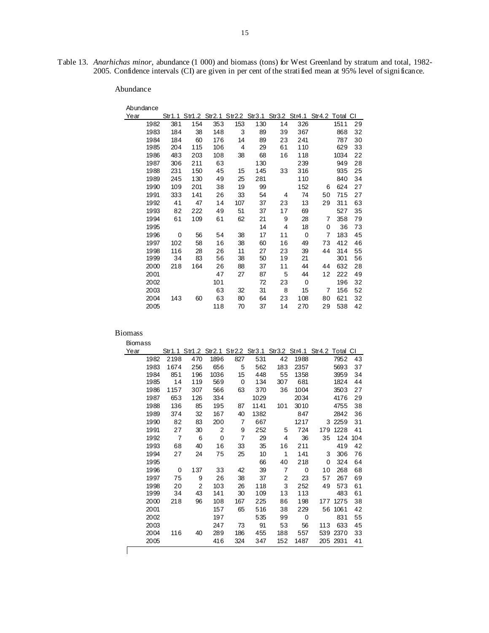Table 13. *Anarhichas minor*, abundance (1 000) and biomass (tons) for West Greenland by stratum and total, 1982- 2005. Confidence intervals (CI) are given in per cent of the stratified mean at 95% level of significance.

### Abundance

| Abundance |     |                                                                  |     |     |     |    |     |    |      |    |
|-----------|-----|------------------------------------------------------------------|-----|-----|-----|----|-----|----|------|----|
| Year      |     | Str1.1 Str1.2 Str2.1 Str2.2 Str3.1 Str3.2 Str4.1 Str4.2 Total CI |     |     |     |    |     |    |      |    |
| 1982      | 381 | 154                                                              | 353 | 153 | 130 | 14 | 326 |    | 1511 | 29 |
| 1983      | 184 | 38                                                               | 148 | 3   | 89  | 39 | 367 |    | 868  | 32 |
| 1984      | 184 | 60                                                               | 176 | 14  | 89  | 23 | 241 |    | 787  | 30 |
| 1985      | 204 | 115                                                              | 106 | 4   | 29  | 61 | 110 |    | 629  | 33 |
| 1986      | 483 | 203                                                              | 108 | 38  | 68  | 16 | 118 |    | 1034 | 22 |
| 1987      | 306 | 211                                                              | 63  |     | 130 |    | 239 |    | 949  | 28 |
| 1988      | 231 | 150                                                              | 45  | 15  | 145 | 33 | 316 |    | 935  | 25 |
| 1989      | 245 | 130                                                              | 49  | 25  | 281 |    | 110 |    | 840  | 34 |
| 1990      | 109 | 201                                                              | 38  | 19  | 99  |    | 152 | 6  | 624  | 27 |
| 1991      | 333 | 141                                                              | 26  | 33  | 54  | 4  | 74  | 50 | 715  | 27 |
| 1992      | 41  | 47                                                               | 14  | 107 | 37  | 23 | 13  | 29 | 311  | 63 |
| 1993      | 82  | 222                                                              | 49  | 51  | 37  | 17 | 69  |    | 527  | 35 |
| 1994      | 61  | 109                                                              | 61  | 62  | 21  | 9  | 28  | 7  | 358  | 79 |
| 1995      |     |                                                                  |     |     | 14  | 4  | 18  | 0  | 36   | 73 |
| 1996      | 0   | 56                                                               | 54  | 38  | 17  | 11 | 0   | 7  | 183  | 45 |
| 1997      | 102 | 58                                                               | 16  | 38  | 60  | 16 | 49  | 73 | 412  | 46 |
| 1998      | 116 | 28                                                               | 26  | 11  | 27  | 23 | 39  | 44 | 314  | 55 |
| 1999      | 34  | 83                                                               | 56  | 38  | 50  | 19 | 21  |    | 301  | 56 |
| 2000      | 218 | 164                                                              | 26  | 88  | 37  | 11 | 44  | 44 | 632  | 28 |
| 2001      |     |                                                                  | 47  | 27  | 87  | 5  | 44  | 12 | 222  | 49 |
| 2002      |     |                                                                  | 101 |     | 72  | 23 | 0   |    | 196  | 32 |
| 2003      |     |                                                                  | 63  | 32  | 31  | 8  | 15  | 7  | 156  | 52 |
| 2004      | 143 | 60                                                               | 63  | 80  | 64  | 23 | 108 | 80 | 621  | 32 |
| 2005      |     |                                                                  | 118 | 70  | 37  | 14 | 270 | 29 | 538  | 42 |

#### Biomass

| Year |      |      |     |                |                |      |                |      | Str1.1 Str1.2 Str2.1 Str2.2 Str3.1 Str3.2 Str4.1 Str4.2 Total CI |          |     |
|------|------|------|-----|----------------|----------------|------|----------------|------|------------------------------------------------------------------|----------|-----|
|      | 1982 | 2198 | 470 | 1896           | 827            | 531  | 42             | 1988 |                                                                  | 7952     | 43  |
|      | 1983 | 1674 | 256 | 656            | 5              | 562  | 183            | 2357 |                                                                  | 5693     | 37  |
|      | 1984 | 851  | 196 | 1036           | 15             | 448  | 55             | 1358 |                                                                  | 3959     | 34  |
|      | 1985 | 14   | 119 | 569            | 0              | 134  | 307            | 681  |                                                                  | 1824     | 44  |
|      | 1986 | 1157 | 307 | 566            | 63             | 370  | 36             | 1004 |                                                                  | 3503     | 27  |
|      | 1987 | 653  | 126 | 334            |                | 1029 |                | 2034 |                                                                  | 4176     | 29  |
|      | 1988 | 136  | 85  | 195            | 87             | 1141 | 101            | 3010 |                                                                  | 4755     | 38  |
|      | 1989 | 374  | 32  | 167            | 40             | 1382 |                | 847  |                                                                  | 2842     | 36  |
|      | 1990 | 82   | 83  | 200            | 7              | 667  |                | 1217 |                                                                  | 3 2259   | 31  |
|      | 1991 | 27   | 30  | $\overline{2}$ | 9              | 252  | 5              | 724  | 179                                                              | 1228     | 41  |
|      | 1992 | 7    | 6   | 0              | $\overline{7}$ | 29   | 4              | 36   | 35                                                               | 124      | 104 |
|      | 1993 | 68   | 40  | 16             | 33             | 35   | 16             | 211  |                                                                  | 419      | 42  |
|      | 1994 | 27   | 24  | 75             | 25             | 10   | 1              | 141  | 3                                                                | 306      | 76  |
|      | 1995 |      |     |                |                | 66   | 40             | 218  | 0                                                                | 324      | 64  |
|      | 1996 | 0    | 137 | 33             | 42             | 39   | $\overline{7}$ | 0    | 10                                                               | 268      | 68  |
|      | 1997 | 75   | 9   | 26             | 38             | 37   | 2              | 23   | 57                                                               | 267      | 69  |
|      | 1998 | 20   | 2   | 103            | 26             | 118  | 3              | 252  | 49                                                               | 573      | 61  |
|      | 1999 | 34   | 43  | 141            | 30             | 109  | 13             | 113  |                                                                  | 483      | 61  |
|      | 2000 | 218  | 96  | 108            | 167            | 225  | 86             | 198  | 177                                                              | 1275     | 38  |
|      | 2001 |      |     | 157            | 65             | 516  | 38             | 229  | 56                                                               | 1061     | 42  |
|      | 2002 |      |     | 197            |                | 535  | 99             | 0    |                                                                  | 831      | 55  |
|      | 2003 |      |     | 247            | 73             | 91   | 53             | 56   | 113                                                              | 633      | 45  |
|      | 2004 | 116  | 40  | 289            | 186            | 455  | 188            | 557  |                                                                  | 539 2370 | 33  |
|      | 2005 |      |     | 416            | 324            | 347  | 152            | 1487 |                                                                  | 205 2931 | 41  |
|      |      |      |     |                |                |      |                |      |                                                                  |          |     |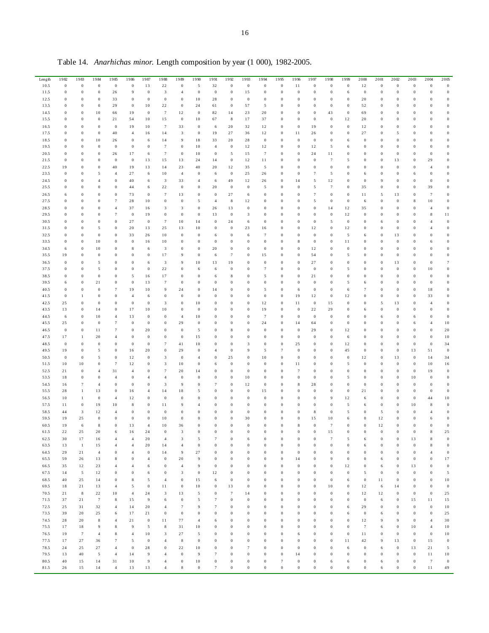| Length | 1982             | 1983             | 1984             | 1985             | 1986             | 1987             | 1988                    | 1989             | 1990             | 1991             | 1992             | 1993             | 1994             | 1995             | 1996             | 1997             | 1998             | 1999             | 2000             | 2001             | 2002             | 2003             | 2004             | 2005             |
|--------|------------------|------------------|------------------|------------------|------------------|------------------|-------------------------|------------------|------------------|------------------|------------------|------------------|------------------|------------------|------------------|------------------|------------------|------------------|------------------|------------------|------------------|------------------|------------------|------------------|
| 10.5   | $\,0\,$          | $\,0\,$          | $\,0\,$          | $\boldsymbol{0}$ | $\,0\,$          | 13               | $2\sqrt{2}$             | $\,0\,$          | $\sqrt{5}$       | 32               | $\boldsymbol{0}$ | $\,0\,$          | $\,0\,$          | $\boldsymbol{0}$ | 11               | $\,0\,$          | $\,0\,$          | $\boldsymbol{0}$ | 12               | $\boldsymbol{0}$ | $\boldsymbol{0}$ | $\,0\,$          | $\,0\,$          | $\boldsymbol{0}$ |
| 11.5   | $\boldsymbol{0}$ | $\boldsymbol{0}$ | $\,0\,$          | 26               | $\overline{9}$   | $\boldsymbol{0}$ | $\overline{\mathbf{3}}$ | $\overline{4}$   | $\,0\,$          | $\boldsymbol{0}$ | $\boldsymbol{0}$ | 15               | $\boldsymbol{0}$ | $\boldsymbol{0}$ | $\boldsymbol{0}$ | $\,0\,$          | $\bf{0}$         | 6                | $\bf{0}$         | $\,0\,$          | $\boldsymbol{0}$ | $\bf{0}$         | $\,0$            | $\,0\,$          |
|        |                  |                  |                  |                  |                  |                  |                         |                  |                  |                  |                  |                  |                  |                  |                  |                  |                  |                  |                  |                  |                  |                  |                  |                  |
| 12.5   | $\boldsymbol{0}$ | $\boldsymbol{0}$ | $\boldsymbol{0}$ | 33               | $\bf{0}$         | $\bf{0}$         | $\bf{0}$                | $\boldsymbol{0}$ | 10               | 28               | $\bf{0}$         | $\boldsymbol{0}$ | $\boldsymbol{0}$ | $\bf{0}$         | $\boldsymbol{0}$ | $\bf{0}$         | $\bf{0}$         | $\boldsymbol{0}$ | 20               | $\bf{0}$         | $\bf{0}$         | $\bf{0}$         | $\theta$         | $\boldsymbol{0}$ |
| 13.5   | $\boldsymbol{0}$ | $\boldsymbol{0}$ | $\bf{0}$         | 29               | $\bf{0}$         | 10               | 22                      | $\boldsymbol{0}$ | 24               | 61               | $\bf{0}$         | 57               | 5                | $\boldsymbol{0}$ | $\mathbf{0}$     | $\bf{0}$         | $\bf{0}$         | $\boldsymbol{0}$ | 52               | $\bf{0}$         | $\bf{0}$         | $\mathbf{0}$     | $\theta$         | $\bf{0}$         |
| 14.5   | $\boldsymbol{0}$ | $\boldsymbol{0}$ | 10               | 66               | 19               | $\bf{0}$         | $\tau$                  | 12               | $\bf{0}$         | 82               | 14               | 23               | 20               | $\boldsymbol{0}$ | $\boldsymbol{0}$ | $\bf{0}$         | 43               | $\boldsymbol{0}$ | 69               | $\bf{0}$         | $\bf{0}$         | $\mathbf{0}$     | $\theta$         | $\bf{0}$         |
| 15.5   | $\bf{0}$         | $\,0$            | $\boldsymbol{0}$ | 21               | 54               | $10\,$           | 15                      | $\boldsymbol{0}$ | $10$             | 67               | $\,$ 8           | 17               | 37               | $\boldsymbol{0}$ | $\bf{0}$         | $\,0\,$          | $\boldsymbol{0}$ | 12               | $20\,$           | $\boldsymbol{0}$ | $\Omega$         | $\bf{0}$         | $\bf{0}$         | $\bf{0}$         |
|        |                  |                  |                  |                  |                  |                  |                         |                  |                  |                  |                  |                  |                  |                  |                  |                  |                  |                  |                  |                  |                  |                  |                  |                  |
| 16.5   | $\boldsymbol{0}$ | $\,0$            | $\boldsymbol{0}$ | $\,0\,$          | 19               | $1\,0$           | $\tau$                  | 33               | $\boldsymbol{0}$ | 6                | 20               | 32               | 12               | $\boldsymbol{0}$ | $\bf{0}$         | 19               | $\bf{0}$         | $\,0\,$          | 12               | $\boldsymbol{0}$ | $\Omega$         | $\bf{0}$         | $\bf{0}$         | $\Omega$         |
| 17.5   | $\,0$            | $\,0$            | $\boldsymbol{0}$ | 40               | $\overline{4}$   | 16               | 14                      | 3                | $\,0\,$          | 19               | 27               | 36               | 12               | $\boldsymbol{0}$ | 11               | 26               | $\boldsymbol{0}$ | $\,0\,$          | $27\,$           | $\,0\,$          | 5                | $\boldsymbol{0}$ | $\bf{0}$         | $\boldsymbol{0}$ |
| 18.5   | $\boldsymbol{0}$ | $\boldsymbol{0}$ | 10               | 26               | $\,0\,$          | 6                | 14                      | 9                | 18               | 33               | 20               | 28               | $\bf{0}$         | $\boldsymbol{0}$ | $\bf{0}$         | $\bf{0}$         | $\bf{0}$         | 6                | $\bf{0}$         | $\bf{0}$         | $\bf{0}$         | $\bf{0}$         | $\bf{0}$         | $\bf{0}$         |
| 19.5   | $\boldsymbol{0}$ | $\boldsymbol{0}$ | $\bf{0}$         | $\bf{0}$         | $\boldsymbol{0}$ | $\boldsymbol{0}$ | $\tau$                  | $\boldsymbol{0}$ | 10               | $\overline{4}$   | $\bf{0}$         | 12               | 12               | $\boldsymbol{0}$ | $\bf{0}$         | 12               | 5                | 6                | $\bf{0}$         | $\bf{0}$         | $\bf{0}$         | $\bf{0}$         | $\bf{0}$         | $\bf{0}$         |
|        |                  |                  |                  |                  |                  |                  |                         |                  |                  |                  |                  |                  |                  |                  |                  |                  |                  |                  |                  |                  |                  |                  |                  |                  |
| 20.5   | $\boldsymbol{0}$ | $\boldsymbol{0}$ | $\bf{0}$         | 26               | 17               | 6                | $\tau$                  | $\boldsymbol{0}$ | 10               | $\bf{0}$         | 5                | 15               | $\overline{7}$   | $\bf{0}$         | $\boldsymbol{0}$ | 24               | 11               | $\boldsymbol{0}$ | $\overline{0}$   | $\bf{0}$         | $\bf{0}$         | $\mathbf{0}$     | $\theta$         | $\bf{0}$         |
| 21.5   | $\boldsymbol{0}$ | $\boldsymbol{0}$ | $\boldsymbol{0}$ | $\,0\,$          | $\,0\,$          | 13               | 15                      | 13               | 24               | 14               | $\,0\,$          | 12               | 11               | $\boldsymbol{0}$ | $\bf{0}$         | $\,0\,$          | 7                | 5                | $\overline{0}$   | $\boldsymbol{0}$ | 13               | $\boldsymbol{0}$ | 29               | $\Omega$         |
| 22.5   | 19               | $\,0$            | $\boldsymbol{0}$ | 40               | 19               | 13               | 14                      | 23               | 40               | 20               | 12               | 35               | 5                | $\,0\,$          | $\bf{0}$         | $\bf{0}$         | $\boldsymbol{0}$ | $\boldsymbol{0}$ | $\overline{0}$   | $\boldsymbol{0}$ | $\bf{0}$         | $\bf{0}$         | $\overline{4}$   | $\bf{0}$         |
| 23.5   | $\boldsymbol{0}$ | $\boldsymbol{0}$ | 5                | $\overline{4}$   | 27               | 6                | $10\,$                  | $\overline{4}$   | $\,0\,$          | 6                | $\boldsymbol{0}$ | 25               | 26               | $\bf{0}$         | $\boldsymbol{0}$ | $\tau$           | 5                | $\boldsymbol{0}$ | 6                | $\bf{0}$         | $\bf{0}$         | 6                | $\boldsymbol{0}$ | $\boldsymbol{0}$ |
|        |                  |                  |                  |                  |                  |                  |                         |                  |                  |                  |                  |                  |                  |                  |                  |                  |                  |                  |                  |                  |                  |                  |                  |                  |
| 24.5   | $\,0$            | $\boldsymbol{0}$ | $\overline{4}$   | $\,0\,$          | 40               | 6                | $\overline{\mathbf{3}}$ | 33               | $\overline{4}$   | 6                | 49               | 12               | 26               | $\boldsymbol{0}$ | 14               | 5                | 12               | $\boldsymbol{0}$ | $\,0\,$          | 9                | $\boldsymbol{0}$ | $\boldsymbol{0}$ | $\boldsymbol{0}$ | $\Omega$         |
| 25.5   | $\boldsymbol{0}$ | $\boldsymbol{0}$ | $\bf{0}$         | $\boldsymbol{0}$ | 44               | 6                | 22                      | $\bf{0}$         | $\boldsymbol{0}$ | 20               | $\,0\,$          | $\boldsymbol{0}$ | 5                | $\boldsymbol{0}$ | $\mathbf{0}$     | 5                | $\tau$           | $\boldsymbol{0}$ | 35               | $\bf{0}$         | $\bf{0}$         | $\bf{0}$         | 39               | $\bf{0}$         |
| 26.5   | 6                | $\boldsymbol{0}$ | $\bf{0}$         | $\boldsymbol{0}$ | 73               | $\boldsymbol{0}$ | $\tau$                  | 13               | $\boldsymbol{0}$ | $\boldsymbol{0}$ | 27               | 6                | $\boldsymbol{0}$ | $\boldsymbol{0}$ | $\boldsymbol{0}$ | $\tau$           | $\bf{0}$         | $\bf{0}$         | 11               | 5                | 13               | $\bf{0}$         | $\tau$           | $\bf{0}$         |
| 27.5   | $\boldsymbol{0}$ | $\boldsymbol{0}$ | $\bf{0}$         | $\tau$           | 28               | $10\,$           | $\,0\,$                 | $\,0\,$          | 5                | $\,4\,$          | $\,$ 8 $\,$      | 12               | $\boldsymbol{0}$ | $\boldsymbol{0}$ | $\bf{0}$         | $\sqrt{5}$       | $\boldsymbol{0}$ | $\,0\,$          | 6                | $\,0\,$          | $\bf{0}$         | 8                | $1\,0$           | $\bf{0}$         |
|        |                  |                  |                  |                  |                  |                  |                         |                  |                  |                  |                  |                  |                  |                  |                  |                  |                  |                  |                  |                  |                  |                  |                  |                  |
| 28.5   | $\boldsymbol{0}$ | $\boldsymbol{0}$ | $\bf{0}$         | $\overline{4}$   | 37               | 16               | 3                       | 3                | $\,0\,$          | 26               | 13               | $\boldsymbol{0}$ | $\overline{0}$   | $\,0\,$          | $\bf{0}$         | $\bf{0}$         | 14               | 12               | 35               | $\bf{0}$         | $\Omega$         | $\bf{0}$         | $\overline{4}$   | $\boldsymbol{0}$ |
| 29.5   | $\boldsymbol{0}$ | $\,0$            | $\boldsymbol{0}$ | $\tau$           | $\,0\,$          | 19               | $\bf{0}$                | $\boldsymbol{0}$ | $\,0\,$          | 13               | $\,0\,$          | 3                | $\boldsymbol{0}$ | $\bf{0}$         | $\boldsymbol{0}$ | $\bf{0}$         | $\bf{0}$         | 12               | $\bf{0}$         | $\bf{0}$         | $\bf{0}$         | $\bf{0}$         | 8                | $1\,1$           |
| 30.5   | $\boldsymbol{0}$ | $\boldsymbol{0}$ | $\boldsymbol{0}$ | $\,0\,$          | 27               | $\bf{0}$         | $\boldsymbol{7}$        | 10               | 14               | $\,0\,$          | 24               | 6                | $\bf{0}$         | 0                | $\boldsymbol{0}$ | $\bf{0}$         | 5                | $\boldsymbol{0}$ | $\bf{0}$         | 6                | $\boldsymbol{0}$ | $\bf{0}$         | $\overline{4}$   | $\bf{0}$         |
| 31.5   | $\boldsymbol{0}$ | $\boldsymbol{0}$ | 5                | $\boldsymbol{0}$ | 20               | 13               | 25                      | 13               | 10               | $\boldsymbol{0}$ | $\bf{0}$         | 23               | 16               | $\boldsymbol{0}$ | $\boldsymbol{0}$ | 12               | $\bf{0}$         | 12               | $\bf{0}$         | $\bf{0}$         | $\bf{0}$         | $\mathbf{0}$     | $\overline{4}$   | $\bf{0}$         |
|        |                  |                  |                  |                  |                  |                  |                         |                  |                  |                  |                  |                  |                  |                  |                  |                  |                  |                  |                  |                  |                  |                  |                  |                  |
| 32.5   | $\boldsymbol{0}$ | $\boldsymbol{0}$ | $\bf{0}$         | $\bf{0}$         | 33               | 26               | 10                      | $\boldsymbol{0}$ | $\boldsymbol{0}$ | 6                | $\bf{0}$         | 6                | $\overline{7}$   | $\boldsymbol{0}$ | $\mathbf{0}$     | $\bf{0}$         | $\bf{0}$         | 5                | 6                | $\bf{0}$         | 13               | $\mathbf{0}$     | $\theta$         | $\bf{0}$         |
| 33.5   | $\boldsymbol{0}$ | $\,0$            | 10               | $\,0\,$          | $\,0\,$          | 16               | $10\,$                  | $\boldsymbol{0}$ | $\boldsymbol{0}$ | $\boldsymbol{0}$ | $\boldsymbol{0}$ | $\,0\,$          | $\boldsymbol{0}$ | $\boldsymbol{0}$ | 8                | $\bf{0}$         | $\boldsymbol{0}$ | $1\,1$           | $\bf{0}$         | $\boldsymbol{0}$ | $\boldsymbol{0}$ | $\bf{0}$         | 6                | $\mathbf{0}$     |
| 34.5   | 6                | $\,0$            | 10               | $\,0\,$          | $\,$ 8 $\,$      | 6                | $\overline{\mathbf{3}}$ | $\boldsymbol{0}$ | $\,0\,$          | 20               | $\boldsymbol{0}$ | $\,0\,$          | $\boldsymbol{0}$ | $\,0\,$          | $\bf{0}$         | 12               | $\boldsymbol{0}$ | $\,0\,$          | $\bf{0}$         | $\boldsymbol{0}$ | $\bf{0}$         | $\bf{0}$         | $\bf{0}$         | $\bf{0}$         |
| 35.5   | 19               | $\,0$            | $\boldsymbol{0}$ | $\,0\,$          | $\,0\,$          | $\boldsymbol{0}$ | 17                      | 9                | $\boldsymbol{0}$ | 6                | 7                | $\bf{0}$         | 15               | $\,0\,$          | $\boldsymbol{0}$ | 54               | $\bf{0}$         | 5                | $\boldsymbol{0}$ | $\boldsymbol{0}$ | $\bf{0}$         | $\bf{0}$         | $\boldsymbol{0}$ | $\boldsymbol{0}$ |
|        |                  |                  |                  |                  |                  |                  |                         |                  |                  |                  |                  |                  |                  |                  |                  |                  |                  |                  |                  |                  |                  |                  |                  |                  |
| 36.5   | $\bf{0}$         | $\boldsymbol{0}$ | 5                | $\,0\,$          | $\bf{0}$         | 6                | $\overline{\mathbf{3}}$ | 9                | 10               | 13               | 19               | $\bf{0}$         | $\boldsymbol{0}$ | $\boldsymbol{0}$ | $\boldsymbol{0}$ | 27               | $\bf{0}$         | $\bf{0}$         | $\bf{0}$         | $\bf{0}$         | 13               | $\bf{0}$         | $\boldsymbol{0}$ | 7                |
| 37.5   | $\boldsymbol{0}$ | $\boldsymbol{0}$ | 5                | $\bf{0}$         | $\bf{0}$         | $\boldsymbol{0}$ | 22                      | $\boldsymbol{0}$ | 6                | 6                | $\bf{0}$         | $\bf{0}$         | 7                | $\boldsymbol{0}$ | $\boldsymbol{0}$ | $\bf{0}$         | $\bf{0}$         | 5                | $\overline{0}$   | $\bf{0}$         | $\bf{0}$         | $\bf{0}$         | 10               | $\bf{0}$         |
| 38.5   | $\boldsymbol{0}$ | $\boldsymbol{0}$ | $\bf{0}$         | $\bf{0}$         | 5                | 16               | 17                      | $\boldsymbol{0}$ | $\boldsymbol{0}$ | 6                | 8                | $\bf{0}$         | 5                | $\boldsymbol{0}$ | $\boldsymbol{0}$ | 21               | $\bf{0}$         | $\boldsymbol{0}$ | $\overline{0}$   | $\bf{0}$         | $\bf{0}$         | $\bf{0}$         | $\bf{0}$         | $\bf{0}$         |
| 39.5   |                  | $\,0$            | 21               | $\,0\,$          | $\,0\,$          |                  |                         | $\,0\,$          |                  | $\,0\,$          | $\bf{0}$         | $\mathbf{0}$     |                  | $\,0\,$          | $\bf{0}$         | $\,0\,$          | $\boldsymbol{0}$ |                  |                  | $\mathbf{0}$     | $\bf{0}$         | $\bf{0}$         |                  | $\bf{0}$         |
|        | 6                |                  |                  |                  |                  | 13               | 7                       |                  | $\boldsymbol{0}$ |                  |                  |                  | $\boldsymbol{0}$ |                  |                  |                  |                  | 5                | 6                |                  |                  |                  | $\bf{0}$         |                  |
| 40.5   | $\boldsymbol{0}$ | $\,0$            | $\boldsymbol{0}$ | $\tau$           | 19               | $1\,0$           | 9                       | 24               | $\,0\,$          | 14               | $\overline{0}$   | $\mathbf{0}$     | 5                | $\,0\,$          | 6                | $\bf{0}$         | $\boldsymbol{0}$ | 6                | $\overline{7}$   | $\mathbf{0}$     | $\bf{0}$         | $\boldsymbol{0}$ | $1\,8$           | $\Omega$         |
| 41.5   | $\,0$            | $\mathbf{1}$     | $\boldsymbol{0}$ | $\,0\,$          | $\overline{4}$   | 6                | $\boldsymbol{0}$        | $\boldsymbol{0}$ | $\,0\,$          | $\,0\,$          | $\bf{0}$         | $\boldsymbol{0}$ | $\,0\,$          | $\,0\,$          | 19               | 12               | $\bf{0}$         | 12               | $\boldsymbol{0}$ | $\boldsymbol{0}$ | $\bf{0}$         | $\bf{0}$         | 33               | $\boldsymbol{0}$ |
| 42.5   | 25               | $\,0$            | $\boldsymbol{0}$ | $\,0\,$          | $\,0\,$          | $\boldsymbol{0}$ | 3                       | $\boldsymbol{0}$ | 10               | $\boldsymbol{0}$ | $\bf{0}$         | $\boldsymbol{0}$ | 12               | $\boldsymbol{0}$ | 11               | $\bf{0}$         | 15               | $\boldsymbol{0}$ | $\bf{0}$         | 5                | 13               | $\bf{0}$         | $\overline{4}$   | $\boldsymbol{0}$ |
| 43.5   | 13               | $\boldsymbol{0}$ | 14               | $\boldsymbol{0}$ | 17               | 10               | 10                      | $\boldsymbol{0}$ | $\bf{0}$         | $\boldsymbol{0}$ | $\overline{0}$   | $\bf{0}$         | 19               | $\bf{0}$         | $\boldsymbol{0}$ | 22               | 29               | $\bf{0}$         | 6                | $\bf{0}$         | $\bf{0}$         | $\bf{0}$         | $\bf{0}$         | $\boldsymbol{0}$ |
|        |                  |                  |                  |                  |                  |                  |                         |                  |                  |                  |                  |                  |                  |                  |                  |                  |                  |                  |                  |                  |                  |                  |                  |                  |
| 44.5   | 6                | $\boldsymbol{0}$ | 10               | $\overline{4}$   | 13               | $\bf{0}$         | $\boldsymbol{0}$        | $\overline{4}$   | 10               | $\boldsymbol{0}$ | $\overline{0}$   | $\bf{0}$         | $\overline{7}$   | $\boldsymbol{0}$ | $\bf{0}$         | $\bf{0}$         | $\bf{0}$         | $\boldsymbol{0}$ | $\overline{0}$   | 6                | $\overline{0}$   | 6                | $\theta$         | $\bf{0}$         |
| 45.5   | 25               | $\,0\,$          | $\boldsymbol{0}$ | $\tau$           | $\,0\,$          | $\boldsymbol{0}$ | $\bf{0}$                | 29               | $\bf{0}$         | $\boldsymbol{0}$ | $\bf{0}$         | $\,0\,$          | 24               | $\boldsymbol{0}$ | 14               | 64               | $\bf{0}$         | $\,0\,$          | $\bf{0}$         | $\bf{0}$         | $\Omega$         | 6                | $\overline{4}$   | $10$             |
| 46.5   | $\boldsymbol{0}$ | $\,0$            | 11               | $\tau$           | $\,0\,$          | 20               | $\boldsymbol{0}$        | $\,0\,$          | 5                | $\,0\,$          | 8                | $\bf{0}$         | $\boldsymbol{0}$ | $\,0\,$          | $\,0\,$          | 29               | $\bf{0}$         | 12               | $\overline{0}$   | $\boldsymbol{0}$ | $\mathbf{0}$     | $\bf{0}$         | $\,0$            | 20               |
|        |                  |                  |                  |                  |                  |                  |                         |                  |                  |                  |                  |                  |                  |                  |                  |                  |                  |                  |                  |                  |                  |                  |                  |                  |
| 47.5   | 17               | $\mathbf{1}$     | 20               | $\overline{4}$   | $\,0\,$          | $\bf{0}$         | $\boldsymbol{0}$        | $\boldsymbol{0}$ | 15               | $\boldsymbol{0}$ | $\bf{0}$         | $\boldsymbol{0}$ | $\boldsymbol{0}$ | $\bf{0}$         | $\bf{0}$         | $\bf{0}$         | $\bf{0}$         | 6                | $\bf{0}$         | $\bf{0}$         | $\bf{0}$         | $\bf{0}$         | $\boldsymbol{0}$ | $1\,0$           |
| 48.5   | $\bf{0}$         | $\,0$            | $\boldsymbol{0}$ | $\,0\,$          | $\,0\,$          | $\bf{0}$         | $\tau$                  | 41               | $10$             | $\,0\,$          | $\bf{0}$         | 3                | $\boldsymbol{0}$ | $\,0\,$          | 25               | $\bf{0}$         | $\bf{0}$         | 12               | $\bf{0}$         | $\bf{0}$         | $\boldsymbol{0}$ | $\bf{0}$         | $\,0\,$          | 34               |
| 49.5   | 19               | $\boldsymbol{0}$ | 5                | $\boldsymbol{0}$ | 16               | 20               | $\boldsymbol{0}$        | 29               | $\boldsymbol{0}$ | $\overline{4}$   | $\overline{0}$   | 9                | 5                | $\overline{7}$   | $\boldsymbol{0}$ | $\bf{0}$         | $\bf{0}$         | 45               | $\bf{0}$         | $\bf{0}$         | $\bf{0}$         | 13               | 51               | $\bf{0}$         |
| 50.5   | $\bf{0}$         | $\boldsymbol{0}$ | 5                | $\boldsymbol{0}$ | 12               | $\bf{0}$         | 3                       | $\bf{0}$         | $\overline{4}$   | $\boldsymbol{0}$ | 25               | $\bf{0}$         | 10               | $\boldsymbol{0}$ | $\bf{0}$         | $\bf{0}$         | $\bf{0}$         | $\bf{0}$         | 12               | $\bf{0}$         | 13               | $\bf{0}$         | 14               | 34               |
|        |                  |                  |                  | $\tau$           |                  |                  |                         |                  |                  |                  |                  |                  |                  |                  |                  |                  |                  |                  |                  |                  | $\boldsymbol{0}$ |                  |                  |                  |
| 51.5   | $10$             | $10$             | $\boldsymbol{0}$ |                  | 12               | $\boldsymbol{0}$ | 3                       | $1\,0$           | $\boldsymbol{0}$ | 6                | $\,0\,$          | $\,0\,$          | $\boldsymbol{0}$ | $\boldsymbol{0}$ | 11               | $\bf{0}$         | $\bf{0}$         | 5                | $\bf{0}$         | $\,0\,$          |                  | $\,0\,$          | $1\,0$           | 16               |
| 52.5   | 21               | $\,0\,$          | $\overline{4}$   | 31               | $\overline{4}$   | $\bf{0}$         | $\boldsymbol{7}$        | $20\,$           | 14               | $\,0\,$          | $\bf{0}$         | $\boldsymbol{0}$ | $\bf{0}$         | $\boldsymbol{0}$ | $\tau$           | $\bf{0}$         | $\bf{0}$         | $\boldsymbol{0}$ | $\bf{0}$         | $\bf{0}$         | $\bf{0}$         | $\bf{0}$         | 19               | $\boldsymbol{0}$ |
| 53.5   | 18               | $\boldsymbol{0}$ | $\,0\,$          | $\overline{4}$   | $\,0\,$          | $\overline{4}$   | $\overline{4}$          | $\bf{0}$         | $\,0\,$          | $\,0\,$          | $\boldsymbol{0}$ | $10\,$           | $\,0\,$          | $\boldsymbol{0}$ | $\,0\,$          | $\,0\,$          | $\bf{0}$         | 5                | $\bf{0}$         | $\bf{0}$         | $\bf{0}$         | $1\,0$           | $\boldsymbol{0}$ | $\boldsymbol{0}$ |
| 54.5   | 16               | $\tau$           | $\overline{4}$   | $\bf{0}$         | $\,0\,$          | $\boldsymbol{0}$ | 3                       | 9                | $\boldsymbol{0}$ | $\boldsymbol{7}$ | $\bf{0}$         | 12               | $\bf{0}$         | $\boldsymbol{0}$ | 8                | 28               | $\bf{0}$         | $\boldsymbol{0}$ | $\bf{0}$         | $\bf{0}$         | $\bf{0}$         | $\bf{0}$         | $\bf{0}$         | $\bf{0}$         |
|        |                  |                  |                  |                  |                  |                  |                         |                  |                  |                  |                  |                  |                  |                  |                  |                  |                  |                  |                  |                  |                  |                  |                  |                  |
| 55.5   | 28               | $\mathbf{1}$     | 13               | $\bf{0}$         | 16               | $\overline{4}$   | 14                      | 18               | 5                | $\boldsymbol{0}$ | $\bf{0}$         | $\bf{0}$         | 15               | $\boldsymbol{0}$ | $\boldsymbol{0}$ | $\bf{0}$         | $\bf{0}$         | $\bf{0}$         | 21               | $\bf{0}$         | $\overline{0}$   | $\bf{0}$         | $\bf{0}$         | $\bf{0}$         |
| 56.5   | 10               | $\mathbf{1}$     | $\bf{0}$         | $\overline{4}$   | 12               | $\boldsymbol{0}$ | $\bf{0}$                | $\boldsymbol{0}$ | $\boldsymbol{0}$ | $\boldsymbol{0}$ | $\overline{0}$   | $\bf{0}$         | $\overline{0}$   | $\boldsymbol{0}$ | $\mathbf{0}$     | $\bf{0}$         | 9                | 12               | 6                | $\bf{0}$         | $\overline{0}$   | $\bf{0}$         | 44               | $1\,0$           |
| 57.5   | 11               | $\boldsymbol{0}$ | 19               | $10$             | $\,$ 8 $\,$      | $\,0\,$          | 11                      | 9                | $\overline{4}$   | $\boldsymbol{0}$ | $\bf{0}$         | $\,0\,$          | $\bf{0}$         | $\,0\,$          | $\bf{0}$         | $\boldsymbol{0}$ | $\bf{0}$         | 5                | 6                | $\,0\,$          | $\Omega$         | $1\,0$           | 8                | $\mathbf{0}$     |
| 58.5   | 44               | $\mathbf{3}$     | 12               | $\overline{4}$   | $\,0\,$          | $\,0\,$          | $\boldsymbol{0}$        | $\boldsymbol{0}$ | $\boldsymbol{0}$ | $\boldsymbol{0}$ | $\boldsymbol{0}$ | $\boldsymbol{0}$ | $\overline{0}$   | $\boldsymbol{0}$ | $\bf{0}$         | $\,$ 8 $\,$      | $\boldsymbol{0}$ | 5                | $\boldsymbol{0}$ | 5                | $\bf{0}$         | $\boldsymbol{0}$ | $\overline{4}$   | $\bf{0}$         |
|        |                  |                  | $\,0\,$          |                  | $\,0\,$          | $\,0\,$          | $1\,0$                  |                  |                  |                  |                  |                  |                  |                  |                  |                  |                  |                  |                  |                  |                  |                  |                  | $\boldsymbol{0}$ |
| 59.5   | 19               | 25               |                  | $\,0\,$          |                  |                  |                         | $\boldsymbol{0}$ | $\,0\,$          | $\,0\,$          | $\boldsymbol{0}$ | 30               | $\boldsymbol{0}$ | $\,0\,$          | $\boldsymbol{0}$ | 15               | $1\,0$           | 6                | $\boldsymbol{0}$ | 12               | $\boldsymbol{0}$ | $\,0\,$          | 6                |                  |
| 60.5   | 19               | 6                | $\,$ 8 $\,$      | $\,0\,$          | 13               | $\,$ 4 $\,$      | $10\,$                  | 36               | $\boldsymbol{0}$ | $\,0\,$          | $\boldsymbol{0}$ | $\,0\,$          | $\boldsymbol{0}$ | $\,0\,$          | $\bf 8$          | $\,0\,$          | $\tau$           | $\,0\,$          | $\boldsymbol{0}$ | 12               | $\boldsymbol{0}$ | $\,0\,$          | $\boldsymbol{0}$ | $\boldsymbol{0}$ |
| 61.5   | 22               | 25               | 20               | 6                | 16               | 24               | $\bf{0}$                | 3                | $\mathbf{0}$     | $\mathbf{0}$     | $\overline{0}$   | $\bf{0}$         | $\overline{0}$   | $\overline{0}$   | $\bf{0}$         | $\bf{0}$         | 15               | $\bf{0}$         | $\overline{0}$   | $\bf{0}$         | $\overline{0}$   | $\mathbf{0}$     |                  | 25               |
| 62.5   | 30               | 17               | 16               | $\overline{4}$   | $\overline{4}$   | 20               | $\overline{4}$          | 3                | 5                | 7                | $\bf{0}$         | 6                | $\boldsymbol{0}$ | $\boldsymbol{0}$ | $\boldsymbol{0}$ | $\bf{0}$         | 7                | 5                | 6                | $\bf{0}$         | $\bf{0}$         | 13               | 8                | $\bf{0}$         |
| 63.5   | 13               | -1               | 15               | $\overline{4}$   | $\overline{4}$   | 20               | 14                      | $\,4\,$          | $\boldsymbol{0}$ | $\,0\,$          | $\boldsymbol{0}$ | $\boldsymbol{0}$ | $\,0\,$          | $\boldsymbol{0}$ | $\,0\,$          | $\,0\,$          | $\boldsymbol{0}$ | $\,0\,$          | 6                | $\,0\,$          | $\bf{0}$         | $\,0\,$          | $\,$ 8 $\,$      | $\boldsymbol{0}$ |
|        |                  |                  |                  |                  |                  |                  |                         |                  |                  |                  |                  |                  |                  |                  |                  |                  |                  |                  |                  |                  |                  |                  |                  |                  |
| 64.5   | 29               | 21               | $\overline{4}$   | $\,0\,$          | $\overline{4}$   | $\boldsymbol{0}$ | 14                      | 9                | 27               | $\,0\,$          | $\bf{0}$         | $\,0\,$          | $\boldsymbol{0}$ | $\boldsymbol{0}$ | $\bf{0}$         | $\boldsymbol{0}$ | $\bf{0}$         | $\,0\,$          | $\bf{0}$         | $\,0\,$          | $\bf{0}$         | $\,0\,$          | $\overline{4}$   | $\boldsymbol{0}$ |
| 65.5   | 59               | 26               | 13               | 8                | $\bf{0}$         | $\overline{4}$   | $\boldsymbol{0}$        | 20               | 9                | $\,0\,$          | $\bf{0}$         | $\bf{0}$         | 0                | $\boldsymbol{0}$ | 14               | $\bf{0}$         | 9                | $\,0\,$          | $\bf{0}$         | 6                | $\boldsymbol{0}$ | $\bf{0}$         | $\boldsymbol{0}$ | 17               |
| 66.5   | 35               | 12               | 23               | $\overline{4}$   | $\overline{4}$   | 6                | $\boldsymbol{0}$        | $\overline{4}$   | 9                | $\boldsymbol{0}$ | $\bf{0}$         | $\bf{0}$         | $\boldsymbol{0}$ | $\bf{0}$         | $\bf{0}$         | $\bf{0}$         | $\bf{0}$         | 12               | $\bf{0}$         | 6                | $\boldsymbol{0}$ | 13               | $\boldsymbol{0}$ | $\boldsymbol{0}$ |
| 67.5   | 14               | 5                | 12               | $\bf{0}$         | $\boldsymbol{0}$ | 6                | $\boldsymbol{0}$        | 3                | $\boldsymbol{0}$ | 12               | $\bf{0}$         | $\bf{0}$         | $\boldsymbol{0}$ | $\bf{0}$         | $\bf{0}$         | $\bf{0}$         | $\bf{0}$         | $\,0\,$          | 5                | $\bf{0}$         | $\bf{0}$         | $\bf{0}$         | $\boldsymbol{0}$ | 5                |
|        |                  |                  |                  |                  |                  |                  |                         |                  |                  |                  |                  |                  |                  |                  |                  |                  |                  |                  |                  |                  |                  |                  |                  |                  |
| 68.5   | 40               | 25               | 14               | $\,0\,$          | 8                | 5                | $\overline{4}$          | $\boldsymbol{0}$ | 15               | 6                | $\bf{0}$         | $\bf{0}$         | $\boldsymbol{0}$ | $\boldsymbol{0}$ | $\bf{0}$         | $\bf{0}$         | $\bf{0}$         | 6                | $\bf{0}$         | 11               | $\bf{0}$         | $\bf{0}$         | $\bf{0}$         | $1\,0$           |
| 69.5   | 18               | 21               | 13               | $\overline{4}$   | 5                | $\boldsymbol{0}$ | 11                      | $\,0\,$          | 10               | $\,0\,$          | 13               | $\boldsymbol{0}$ | $\boldsymbol{0}$ | $\boldsymbol{0}$ | $\bf{0}$         | $\,0\,$          | 10               | $\boldsymbol{0}$ | 12               | 6                | 14               | $\,0\,$          | $\bf{0}$         | $\boldsymbol{0}$ |
| 70.5   | 21               | $\bf8$           | 22               | $10$             | $\overline{4}$   | 24               | $\mathbf{3}$            | 13               | 5                | $\,0\,$          | 7                | 14               | $\boldsymbol{0}$ | $\boldsymbol{0}$ | $\bf{0}$         | $\bf{0}$         | $\bf{0}$         | $\,0\,$          | 12               | 12               | $\bf{0}$         | $\,0\,$          | $\,0\,$          | 25               |
| 71.5   | 37               | 21               | $7\phantom{.0}$  | $\,$ 8 $\,$      | 15               | 9                | 6                       | $\boldsymbol{0}$ | 5                | $\boldsymbol{7}$ | $\bf{0}$         | $\bf{0}$         | 0                | $\bf{0}$         | $\boldsymbol{0}$ | $\bf{0}$         | $\bf{0}$         | $\,0\,$          | $\bf{0}$         | 6                | $\bf{0}$         | 15               | 11               | 15               |
|        |                  |                  |                  |                  |                  |                  |                         |                  |                  |                  |                  |                  |                  |                  |                  |                  |                  |                  |                  |                  |                  |                  |                  |                  |
| 72.5   | 25               | 31               | 32               | $\overline{4}$   | 14               | 20               | $\overline{4}$          | $\boldsymbol{7}$ | 9                | $\boldsymbol{7}$ | $\bf{0}$         | $\bf{0}$         | $\boldsymbol{0}$ | $\boldsymbol{0}$ | $\boldsymbol{0}$ | $\bf{0}$         | $\bf{0}$         | 6                | 29               | $\bf{0}$         | $\bf{0}$         | $\,0\,$          | $\,0\,$          | $1\,0$           |
| 73.5   | 39               | 20               | 25               | 6                | 17               | 21               | $\bf{0}$                | $\boldsymbol{0}$ | $\boldsymbol{0}$ | $\boldsymbol{0}$ | $\bf{0}$         | $\bf{0}$         | $\boldsymbol{0}$ | $\boldsymbol{0}$ | $\boldsymbol{0}$ | $\bf{0}$         | $\bf{0}$         | 6                | $\bf{0}$         | 6                | $\bf{0}$         | $\bf{0}$         | $\bf{0}$         | 25               |
| 74.5   | 28               | 20               | 8                | $\overline{4}$   | 21               | $\boldsymbol{0}$ | 11                      | 77               | $\overline{4}$   | 6                | $\bf{0}$         | $\bf{0}$         | $\boldsymbol{0}$ | $\boldsymbol{0}$ | $\boldsymbol{0}$ | $\bf{0}$         | $\bf{0}$         | $\bf{0}$         | 12               | 9                | 9                | $\bf{0}$         | $\overline{4}$   | 30               |
| 75.5   | 17               | 18               | $\boldsymbol{9}$ | $\,$ 8 $\,$      | $\boldsymbol{9}$ | 5                | $\bf 8$                 | 31               | 10               | $\,0\,$          | $\bf{0}$         | $\,0\,$          | $\boldsymbol{0}$ | $\boldsymbol{0}$ | $\bf{0}$         | $\bf{0}$         | $\bf{0}$         | $\,0\,$          | $\overline{7}$   | 6                | $\bf{0}$         | $10$             | $\overline{4}$   | $10$             |
|        |                  |                  |                  |                  |                  |                  |                         |                  |                  |                  |                  |                  |                  |                  |                  |                  |                  |                  |                  |                  |                  |                  |                  |                  |
| 76.5   | 19               | $\tau$           | $\overline{4}$   | $\,$ 8 $\,$      | $\overline{4}$   | $10\,$           | $\mathbf{3}$            | 27               | 5                | $\boldsymbol{0}$ | $\bf{0}$         | $\,0\,$          | $\boldsymbol{0}$ | $\boldsymbol{0}$ | 6                | $\bf{0}$         | $\bf{0}$         | $\,0\,$          | 11               | $\,0\,$          | $\bf{0}$         | $\,0\,$          | $\bf{0}$         | 10               |
| 77.5   | 17               | 27               | 36               | $\tau$           | 5                | $\boldsymbol{0}$ | $\overline{4}$          | $\,$ 8           | $\boldsymbol{0}$ | $\,0\,$          | $\boldsymbol{0}$ | $\boldsymbol{0}$ | $\bf{0}$         | $\boldsymbol{0}$ | $\bf{0}$         | $\bf{0}$         | $\bf{0}$         | $1\,1$           | 42               | $\boldsymbol{9}$ | 13               | $\,0\,$          | 15               | $\boldsymbol{0}$ |
| 78.5   | 24               | 25               | 27               | $\overline{4}$   | $\,0\,$          | 28               | $\boldsymbol{0}$        | 22               | 10               | $\,0\,$          | $\bf{0}$         | 7                | $\boldsymbol{0}$ | $\boldsymbol{0}$ | $\boldsymbol{0}$ | $\bf{0}$         | $\bf{0}$         | 6                | $\bf{0}$         | 6                | $\bf{0}$         | 13               | 21               | 5                |
| 79.5   | 13               | 40               | 5                | $\overline{4}$   | 14               | $\boldsymbol{9}$ | $\overline{4}$          | $\boldsymbol{0}$ | 9                | $\tau$           | $\bf{0}$         | $\,0\,$          | $\boldsymbol{0}$ | $\boldsymbol{0}$ | 14               | $\bf{0}$         | $\bf{0}$         | $\,0\,$          | $\bf{0}$         | $\bf{0}$         | $\bf{0}$         | $\,0\,$          | 11               | $10$             |
|        |                  |                  |                  |                  |                  |                  |                         |                  |                  |                  |                  |                  |                  |                  |                  |                  |                  |                  |                  |                  |                  |                  |                  |                  |
| 80.5   | 40               | 15               | 14               | 31               | 10               | 9                | $\overline{4}$          | $\boldsymbol{0}$ | 10               | $\boldsymbol{0}$ | $\bf{0}$         | $\bf{0}$         | $\boldsymbol{0}$ | $\boldsymbol{7}$ | $\boldsymbol{0}$ | $\bf{0}$         | 6                | 6                | $\bf{0}$         | 6                | $\bf{0}$         | $\bf{0}$         | $\tau$           | $\,0\,$          |
| 81.5   | 26               | 15               | 14               | 4                | 13               | 13               | $\overline{4}$          | 8                | $\overline{0}$   | $7\overline{ }$  | $\mathbf{0}$     | $\mathbf{0}$     | $\overline{0}$   | $\overline{0}$   | $\mathbf{0}$     | $\mathbf{0}$     | $\mathbf{0}$     | $\overline{0}$   | $\mathbf{0}$     | 6                | $\mathbf{0}$     | $\overline{0}$   | 11               | 49               |

Table 14. *Anarhichas minor*. Length composition by year (1 000), 1982-2005.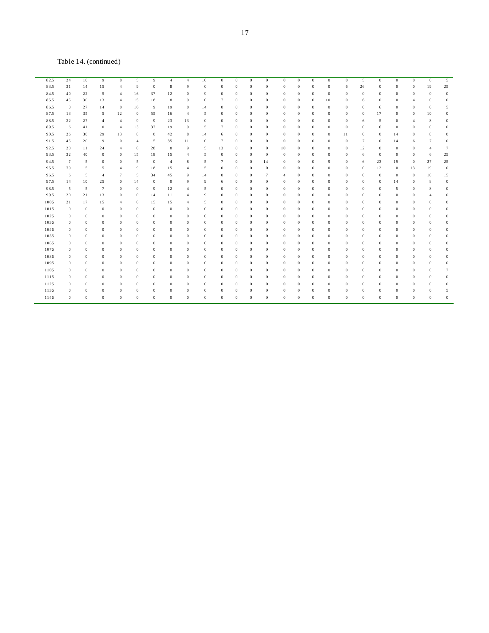Table 14. (continued)

| 82.5 | 24               | $10\,$       | 9                | 8                | 5              | 9            | $\overline{4}$   | $\overline{4}$ | 10             | $\boldsymbol{0}$ | $\bf{0}$       | $\boldsymbol{0}$ | $\bf{0}$       | $\bf{0}$       | $\boldsymbol{0}$ | $\bf{0}$     | $\mathbf{0}$ | $\boldsymbol{0}$ | 5              | $\boldsymbol{0}$ | $\boldsymbol{0}$ | $\bf{0}$       | $\boldsymbol{0}$ | 5                |
|------|------------------|--------------|------------------|------------------|----------------|--------------|------------------|----------------|----------------|------------------|----------------|------------------|----------------|----------------|------------------|--------------|--------------|------------------|----------------|------------------|------------------|----------------|------------------|------------------|
| 83.5 | 31               | 14           | 15               | $\overline{4}$   | 9              | $\mathbf{0}$ | 8                | 9              | $\bf{0}$       | $\mathbf{0}$     | $\bf{0}$       | $\mathbf{0}$     | $\bf{0}$       | $\theta$       | $\bf{0}$         | $\mathbf{0}$ | $\mathbf{0}$ | 6                | 26             | $\bf{0}$         | $\mathbf{0}$     | $\theta$       | 19               | 25               |
| 84.5 | 40               | 22           | 5                | $\overline{4}$   | 16             | 37           | 12               | $\theta$       | 9              | $\bf{0}$         | $\bf{0}$       | $\overline{0}$   | $\bf{0}$       | $\overline{0}$ | $\mathbf{0}$     | $\bf{0}$     | $\bf{0}$     | $\bf{0}$         | $\bf{0}$       | $\bf{0}$         | $\bf{0}$         | $\bf{0}$       | $\mathbf{0}$     | $\mathbf{0}$     |
| 85.5 | 45               | 30           | 13               | $\overline{4}$   | 15             | 18           | $\,$ 8 $\,$      | 9              | 10             | $\overline{7}$   | $\bf{0}$       | $\mathbf{0}$     | $\bf{0}$       | $\Omega$       | $\bf{0}$         | 0            | 10           | $\mathbf{0}$     | 6              | $\bf{0}$         | $\mathbf{0}$     | $\overline{4}$ | $\theta$         | $\bf{0}$         |
| 86.5 | $\mathbf{0}$     | 27           | 14               | $\boldsymbol{0}$ | 16             | 9            | 19               | $\mathbf{0}$   | 14             | $\bf{0}$         | $\bf{0}$       | $\bf{0}$         | $\bf{0}$       | $\overline{0}$ | $\bf{0}$         | $\bf{0}$     | $\mathbf{0}$ | $\mathbf{0}$     | $\overline{0}$ | 6                | $\theta$         | $\bf{0}$       | $\theta$         | 5                |
| 87.5 | 13               | 35           | 5                | 12               | $\bf{0}$       | 55           | 16               | $\overline{4}$ | 5              | $\mathbf{0}$     | $\overline{0}$ | $\Omega$         | $\bf{0}$       | $\Omega$       | $\theta$         | $\mathbf{0}$ | $\Omega$     | $\mathbf{0}$     | $\Omega$       | 17               | $\Omega$         | $\bf{0}$       | 10               | $\theta$         |
| 88.5 | 22               | 27           | $\overline{4}$   | 4                | 9              | 9            | 23               | 13             | $\bf{0}$       | $\bf{0}$         | $\bf{0}$       | $\overline{0}$   | $\bf{0}$       | $\mathbf{0}$   | $\bf{0}$         | $\bf{0}$     | $\bf{0}$     | $\bf{0}$         | 6              | 5                | $\mathbf{0}$     | 4              | 8                | $\bf{0}$         |
| 89.5 | 6                | 41           | $\boldsymbol{0}$ | $\overline{4}$   | 13             | 37           | 19               | 9              | 5              | $\overline{7}$   | $\overline{0}$ | $\mathbf{0}$     | $\overline{0}$ | $\mathbf{0}$   | $\bf{0}$         | $\bf{0}$     | $\mathbf{0}$ | $\boldsymbol{0}$ | $\overline{0}$ | 6                | $\mathbf{0}$     | $\theta$       | $\theta$         | $\theta$         |
| 90.5 | 26               | 30           | 29               | 13               | 8              | $\bf{0}$     | 42               | 8              | 14             | 6                | $\bf{0}$       | $\theta$         | $\bf{0}$       | $\mathbf{0}$   | $\theta$         | $\bf{0}$     | $\mathbf{0}$ | 11               | $\theta$       | $\bf{0}$         | 14               | $\theta$       | 8                | $\bf{0}$         |
| 91.5 | 45               | 20           | 9                | $\mathbf{0}$     | $\overline{4}$ | 5            | 35               | 11             | $\bf{0}$       | 7                | $\mathbf{0}$   | $\mathbf{0}$     | $\bf{0}$       | $\theta$       | $\theta$         | $\mathbf{0}$ | $\mathbf{0}$ | $\mathbf{0}$     | $\overline{7}$ | $\theta$         | 14               | 6              | $7\phantom{.0}$  | 10               |
| 92.5 | 20               | 11           | 24               | 4                | $\bf{0}$       | 28           | 8                | 9              | 5              | 13               | $\bf{0}$       | $\bf{0}$         | $\bf{0}$       | 10             | $\bf{0}$         | $\bf{0}$     | $\bf{0}$     | $\bf{0}$         | 12             | $\bf{0}$         | $\bf{0}$         | $\bf{0}$       | $\overline{4}$   | $\overline{7}$   |
| 93.5 | 32               | 40           | $\theta$         | $\mathbf{0}$     | 15             | 18           | 15               | 4              | 5              | $\mathbf{0}$     | $\bf{0}$       | $\mathbf{0}$     | $\overline{0}$ | $\theta$       | $\theta$         | $\mathbf{0}$ | $\mathbf{0}$ | $\mathbf{0}$     | 6              | $\bf{0}$         | $\mathbf{0}$     | $\theta$       | 6                | 25               |
| 94.5 | $\overline{7}$   | 5            | $\bf{0}$         | $\bf{0}$         | 5              | $\bf{0}$     | $\overline{4}$   | 8              | 5              | 7                | $\bf{0}$       | $\bf{0}$         | 14             | $\overline{0}$ | $\bf{0}$         | $\bf{0}$     | 9            | $\bf{0}$         | 6              | 23               | 19               | $\bf{0}$       | 27               | 25               |
| 95.5 | 79               | 5            | 5                | 4                | 9              | 18           | 15               | 4              | 5              | $\mathbf{0}$     | $\overline{0}$ | $\overline{0}$   | $\bf{0}$       | $\Omega$       | $\mathbf{0}$     | $\mathbf{0}$ | $\mathbf{0}$ | $\mathbf{0}$     | $\theta$       | 12               | $\mathbf{0}$     | 13             | 19               | $\mathbf{0}$     |
| 96.5 | 6                | 5            | $\overline{4}$   | $\overline{7}$   | 5              | 34           | 45               | 9              | 14             | $\bf{0}$         | $\bf{0}$       | $\bf{0}$         | $\overline{7}$ | 4              | $\bf{0}$         | $\bf{0}$     | $\Omega$     | $\bf{0}$         | $\overline{0}$ | $\bf{0}$         | $\bf{0}$         | $\bf{0}$       | 10               | 15               |
| 97.5 | 14               | 10           | 25               | $\mathbf{0}$     | 14             | $\bf{0}$     | $\boldsymbol{0}$ | 9              | 9              | 6                | $\bf{0}$       | $\theta$         | $\overline{0}$ | $\mathbf{0}$   | $\mathbf{0}$     | $\mathbf{0}$ | $\mathbf{0}$ | $\mathbf{0}$     | $\theta$       | $\bf{0}$         | 14               | $\bf{0}$       | 8                | $\mathbf{0}$     |
| 98.5 | 5                | 5            | $\tau$           | $\mathbf{0}$     | $\bf{0}$       | 9            | 12               | $\overline{4}$ | 5              | $\mathbf{0}$     | $\bf{0}$       | $\mathbf{0}$     | $\bf{0}$       | $\mathbf{0}$   | $\bf{0}$         | $\bf{0}$     | $\mathbf{0}$ | $\mathbf{0}$     | $\theta$       | $\theta$         | 5                | $\mathbf{0}$   | 8                | $\mathbf{0}$     |
| 99.5 | 20               | 21           | 13               | $\mathbf{0}$     | $\bf{0}$       | 14           | 11               | $\overline{4}$ | 9              | $\mathbf{0}$     | $\bf{0}$       | $\mathbf{0}$     | $\bf{0}$       | $\overline{0}$ | $\mathbf{0}$     | $\bf{0}$     | $\mathbf{0}$ | $\mathbf{0}$     | $\theta$       | $\bf{0}$         | $\mathbf{0}$     | $\theta$       | $\overline{4}$   | $\mathbf{0}$     |
| 1005 | 21               | 17           | 15               | $\overline{4}$   | $\bf{0}$       | 15           | 15               | 4              | 5              | $\bf{0}$         | $\mathbf{0}$   | $\mathbf{0}$     | $\bf{0}$       | $\mathbf{0}$   | $\overline{0}$   | 0            | $\mathbf{0}$ | $\bf{0}$         | $\overline{0}$ | $\bf{0}$         | $\theta$         | $\mathbf{0}$   | $\theta$         | $\theta$         |
| 1015 | $\boldsymbol{0}$ | $\mathbf{0}$ | $\mathbf{0}$     | $\mathbf{0}$     | $\bf{0}$       | $\bf{0}$     | $\bf{0}$         | $\theta$       | $\bf{0}$       | $\mathbf{0}$     | $\bf{0}$       | $\mathbf{0}$     | $\overline{0}$ | $\mathbf{0}$   | $\bf{0}$         | $\mathbf{0}$ | $\mathbf{0}$ | $\mathbf{0}$     | $\overline{0}$ | $\theta$         | $\mathbf{0}$     | $\mathbf{0}$   | $\theta$         | $\theta$         |
| 1025 | $\bf{0}$         | $\mathbf{0}$ | $\bf{0}$         | $\mathbf{0}$     | $\bf{0}$       | $\bf{0}$     | $\bf{0}$         | $\bf{0}$       | $\bf{0}$       | $\bf{0}$         | $\bf{0}$       | $\mathbf{0}$     | $\bf{0}$       | $\theta$       | $\bf{0}$         | $\bf{0}$     | $\mathbf{0}$ | $\bf{0}$         | $\theta$       | $\bf{0}$         | $\mathbf{0}$     | $\bf{0}$       | $\bf{0}$         | $\bf{0}$         |
| 1035 | $\mathbf{0}$     | $\theta$     | $\bf{0}$         | $\mathbf{0}$     | $\mathbf{0}$   | $\mathbf{0}$ | $\bf{0}$         | $\mathbf{0}$   | $\mathbf{0}$   | $\mathbf{0}$     | $\bf{0}$       | $\mathbf{0}$     | $\bf{0}$       | $\overline{0}$ | $\theta$         | $\mathbf{0}$ | $\mathbf{0}$ | $\mathbf{0}$     | $\theta$       | $\theta$         | $\mathbf{0}$     | $\theta$       | $\theta$         | $\bf{0}$         |
| 1045 | $\bf{0}$         | $\bf{0}$     | $\theta$         | $\bf{0}$         | $\bf{0}$       | $\bf{0}$     | $\bf{0}$         | $\theta$       | $\bf{0}$       | $\theta$         | $\bf{0}$       | $\overline{0}$   | $\bf{0}$       | $\overline{0}$ | $\mathbf{0}$     | $\bf{0}$     | $\mathbf{0}$ | $\bf{0}$         | $\Omega$       | $\bf{0}$         | $\Omega$         | $\bf{0}$       | $\theta$         | $\theta$         |
| 1055 | $\bf{0}$         | $\bf{0}$     | $\mathbf{0}$     | $\mathbf{0}$     | $\bf{0}$       | $\bf{0}$     | $\bf{0}$         | $\theta$       | $\bf{0}$       | $\bf{0}$         | $\overline{0}$ | $\bf{0}$         | $\bf{0}$       | $\Omega$       | $\bf{0}$         | $\bf{0}$     | $\mathbf{0}$ | $\bf{0}$         | $\Omega$       | $\bf{0}$         | $\Omega$         | $\bf{0}$       | $\Omega$         | $\theta$         |
| 1065 | $\bf{0}$         | $\bf{0}$     | $\bf{0}$         | $\mathbf{0}$     | $\bf{0}$       | $\bf{0}$     | $\bf{0}$         | $\bf{0}$       | $\bf{0}$       | $\bf{0}$         | $\bf{0}$       | $\bf{0}$         | $\bf{0}$       | $\overline{0}$ | $\bf{0}$         | $\bf{0}$     | $\Omega$     | $\bf{0}$         | $\Omega$       | $\bf{0}$         | $\mathbf{0}$     | $\bf{0}$       | $\bf{0}$         | $\bf{0}$         |
| 1075 | $\bf{0}$         | $\bf{0}$     | $\bf{0}$         | $\bf{0}$         | $\bf{0}$       | $\bf{0}$     | $\bf{0}$         | $\bf{0}$       | $\bf{0}$       | $\bf{0}$         | $\bf{0}$       | $\bf{0}$         | $\bf{0}$       | $\overline{0}$ | $\bf{0}$         | $\bf{0}$     | $\bf{0}$     | $\bf{0}$         | $\overline{0}$ | $\bf{0}$         | $\bf{0}$         | $\bf{0}$       | $\bf{0}$         | $\bf{0}$         |
| 1085 | $\bf{0}$         | $\bf{0}$     | $\theta$         | $\mathbf{0}$     | $\bf{0}$       | $\bf{0}$     | $\bf{0}$         | $\theta$       | $\bf{0}$       | $\mathbf{0}$     | $\overline{0}$ | $\bf{0}$         | $\bf{0}$       | $\Omega$       | $\bf{0}$         | $\bf{0}$     | $\Omega$     | $\bf{0}$         | $\Omega$       | $\bf{0}$         | $\Omega$         | $\theta$       | $\theta$         | $\theta$         |
| 1095 | $\boldsymbol{0}$ | $\bf{0}$     | $\mathbf{0}$     | $\mathbf{0}$     | $\bf{0}$       | $\bf{0}$     | $\bf{0}$         | $\theta$       | $\bf{0}$       | $\mathbf{0}$     | $\overline{0}$ | $\mathbf{0}$     | $\bf{0}$       | $\theta$       | $\mathbf{0}$     | 0            | $\mathbf{0}$ | $\mathbf{0}$     | $\overline{0}$ | $\bf{0}$         | $\theta$         | $\theta$       | $\theta$         | $\theta$         |
| 1105 | $\bf{0}$         | $\mathbf{0}$ | $\bf{0}$         | $\mathbf{0}$     | $\bf{0}$       | $\mathbf{0}$ | $\bf{0}$         | $\overline{0}$ | $\bf{0}$       | $\mathbf{0}$     | $\bf{0}$       | $\mathbf{0}$     | $\bf{0}$       | $\mathbf{0}$   | $\mathbf{0}$     | $\bf{0}$     | $\mathbf{0}$ | $\bf{0}$         | $\theta$       | $\bf{0}$         | $\mathbf{0}$     | $\bf{0}$       | $\bf{0}$         | $7\phantom{.0}$  |
| 1115 | $\bf{0}$         | $\bf{0}$     | $\bf{0}$         | $\mathbf{0}$     | $\bf{0}$       | $\bf{0}$     | $\bf{0}$         | $\mathbf{0}$   | $\bf{0}$       | $\mathbf{0}$     | $\bf{0}$       | $\mathbf{0}$     | $\bf{0}$       | $\theta$       | $\bf{0}$         | $\mathbf{0}$ | $\mathbf{0}$ | $\mathbf{0}$     | $\theta$       | $\bf{0}$         | $\mathbf{0}$     | $\bf{0}$       | $\theta$         | $\boldsymbol{0}$ |
| 1125 | $\bf{0}$         | $\theta$     | $\theta$         | $\mathbf{0}$     | $\bf{0}$       | $\mathbf{0}$ | $\bf{0}$         | $\theta$       | $\bf{0}$       | $\theta$         | $\bf{0}$       | $\theta$         | $\bf{0}$       | $\mathbf{0}$   | $\theta$         | $\mathbf{0}$ | $\Omega$     | $\mathbf{0}$     | $\Omega$       | $\mathbf{0}$     | $\Omega$         | $\theta$       | $\theta$         | $\theta$         |
| 1135 | $\bf{0}$         | $\mathbf{0}$ | $\theta$         | $\mathbf{0}$     | $\mathbf{0}$   | $\mathbf{0}$ | $\bf{0}$         | $\theta$       | $\mathbf{0}$   | $\mathbf{0}$     | $\mathbf{0}$   | $\theta$         | $\bf{0}$       | $\mathbf{0}$   | $\theta$         | $\mathbf{0}$ | $\mathbf{0}$ | $\mathbf{0}$     | $\overline{0}$ | $\bf{0}$         | $\theta$         | $\theta$       | $\theta$         | 5                |
| 1145 | $\bf{0}$         | $\theta$     | $\theta$         | $\mathbf{0}$     | $\mathbf{0}$   | $\mathbf{0}$ | $\theta$         | $\theta$       | $\overline{0}$ | $\overline{0}$   | $\overline{0}$ | $\Omega$         | $\overline{0}$ | $\Omega$       | $\mathbf{0}$     | $\mathbf{0}$ | $\Omega$     | $\mathbf{0}$     | $\Omega$       | $\mathbf{0}$     | $\Omega$         | $\theta$       | $\theta$         | $\theta$         |
|      |                  |              |                  |                  |                |              |                  |                |                |                  |                |                  |                |                |                  |              |              |                  |                |                  |                  |                |                  |                  |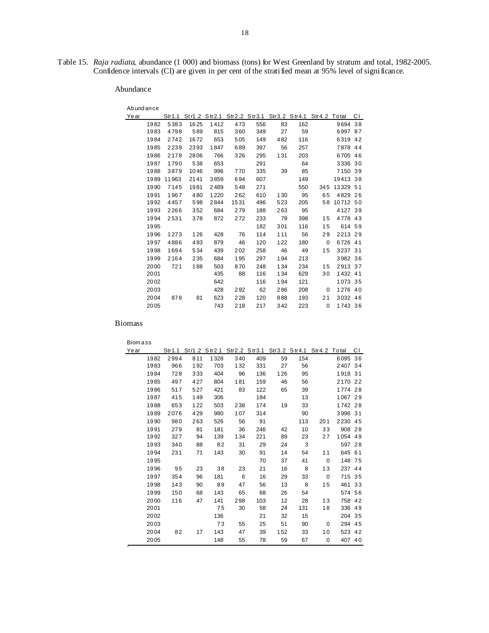Table 15. *Raja radiata*, abundance (1 000) and biomass (tons) for West Greenland by stratum and total, 1982-2005. Confidence intervals (CI) are given in per cent of the stratified mean at 95% level of significance.

### Abundance

| Abundance |       |                                                               |      |      |     |     |     |          |          |    |
|-----------|-------|---------------------------------------------------------------|------|------|-----|-----|-----|----------|----------|----|
| Year      |       | Str1.1 Str1.2 Str2.1 Str2.2 Str3.1 Str3.2 Str4.1 Str4.2 Total |      |      |     |     |     |          |          | СI |
| 1982      | 5383  | 1625                                                          | 1412 | 473  | 556 | 83  | 162 |          | 9694     | 38 |
| 1983      | 4798  | 589                                                           | 815  | 360  | 349 | 27  | 59  |          | 6997 87  |    |
| 1984      | 2742  | 1672                                                          | 653  | 505  | 149 | 482 | 116 |          | 6319 42  |    |
| 1985      | 2239  | 2393                                                          | 1847 | 689  | 397 | 56  | 257 |          | 7878 44  |    |
| 1986      | 2178  | 2806                                                          | 766  | 326  | 295 | 131 | 203 |          | 6705 46  |    |
| 1987      | 1790  | 538                                                           | 653  |      | 291 |     | 64  |          | 3336 30  |    |
| 1988      | 3879  | 1046                                                          | 996  | 770  | 335 | 39  | 85  |          | 7150     | 39 |
| 1989      | 11963 | 2141                                                          | 3859 | 694  | 607 |     | 149 |          | 19413 38 |    |
| 1990      | 7145  | 1981                                                          | 2489 | 548  | 271 |     | 550 | 345      | 13329 51 |    |
| 1991      | 1967  | 480                                                           | 1220 | 262  | 610 | 130 | 95  | 65       | 4829 26  |    |
| 1992      | 4457  | 598                                                           | 2844 | 1531 | 496 | 523 | 205 | 58       | 10712 50 |    |
| 1993      | 2266  | 352                                                           | 684  | 279  | 188 | 263 | 95  |          | 4127 39  |    |
| 1994      | 2531  | 378                                                           | 872  | 272  | 233 | 79  | 398 | 15       | 4778 43  |    |
| 1995      |       |                                                               |      |      | 182 | 301 | 116 | 15       | 614 59   |    |
| 1996      | 1273  | 126                                                           | 428  | 76   | 114 | 111 | 56  | 29       | 2213 29  |    |
| 1997      | 4886  | 493                                                           | 879  | 46   | 120 | 122 | 180 | 0        | 6726 41  |    |
| 1998      | 1694  | 534                                                           | 439  | 202  | 258 | 46  | 49  | 15       | 3237 31  |    |
| 1999      | 2164  | 235                                                           | 684  | 195  | 297 | 194 | 213 |          | 3982 36  |    |
| 2000      | 721   | 188                                                           | 503  | 870  | 248 | 134 | 234 | 15       | 2913 37  |    |
| 2001      |       |                                                               | 435  | 88   | 116 | 134 | 629 | 30       | 1432 41  |    |
| 2002      |       |                                                               | 642  |      | 116 | 194 | 121 |          | 1073 35  |    |
| 2003      |       |                                                               | 428  | 292  | 62  | 286 | 208 | 0        | 1276 40  |    |
| 2004      | 878   | 81                                                            | 623  | 228  | 120 | 888 | 193 | 21       | 3032 46  |    |
| 2005      |       |                                                               | 743  | 218  | 217 | 342 | 223 | $\Omega$ | 1743 36  |    |

Biomass

Biom a ss

| Year |      |     |      |     |     |     | Str1.1 Str1.2 Str2.1 Str2.2 Str3.1 Str3.2 Str4.1 Str4.2 Total |             |         | СI |
|------|------|-----|------|-----|-----|-----|---------------------------------------------------------------|-------------|---------|----|
| 1982 | 2994 | 811 | 1328 | 340 | 409 | 59  | 154                                                           |             | 6095    | 36 |
| 1983 | 966  | 192 | 703  | 132 | 331 | 27  | 56                                                            |             | 2407 34 |    |
| 1984 | 728  | 333 | 404  | 96  | 136 | 126 | 95                                                            |             | 1918 31 |    |
| 1985 | 497  | 427 | 804  | 181 | 159 | 46  | 56                                                            |             | 2170 22 |    |
| 1986 | 517  | 527 | 421  | 83  | 122 | 65  | 39                                                            |             | 1774 28 |    |
| 1987 | 415  | 149 | 306  |     | 184 |     | 13                                                            |             | 1067 29 |    |
| 1988 | 653  | 122 | 503  | 238 | 174 | 19  | 33                                                            |             | 1742 28 |    |
| 1989 | 2076 | 429 | 980  | 107 | 314 |     | 90                                                            |             | 3996 31 |    |
| 1990 | 980  | 263 | 526  | 56  | 91  |     | 113                                                           | 201         | 2230 45 |    |
| 1991 | 279  | 81  | 181  | 36  | 246 | 42  | 10                                                            | 33          | 908 28  |    |
| 1992 | 327  | 94  | 139  | 134 | 221 | 89  | 23                                                            | 27          | 1054 49 |    |
| 1993 | 340  | 88  | 82   | 31  | 29  | 24  | 3                                                             |             | 597 28  |    |
| 1994 | 231  | 71  | 143  | 30  | 91  | 14  | 54                                                            | 11          | 645 61  |    |
| 1995 |      |     |      |     | 70  | 37  | 41                                                            | $\mathbf 0$ | 148 75  |    |
| 1996 | 95   | 23  | 38   | 23  | 21  | 16  | 8                                                             | 13          | 237 44  |    |
| 1997 | 354  | 96  | 181  | 6   | 16  | 29  | 33                                                            | 0           | 715 35  |    |
| 1998 | 143  | 90  | 89   | 47  | 56  | 13  | 8                                                             | 15          | 461 33  |    |
| 1999 | 150  | 68  | 143  | 65  | 68  | 26  | 54                                                            |             | 574 56  |    |
| 2000 | 116  | 47  | 141  | 298 | 103 | 12  | 28                                                            | 13          | 758 42  |    |
| 2001 |      |     | 75   | 30  | 58  | 24  | 131                                                           | 18          | 336 49  |    |
| 2002 |      |     | 136  |     | 21  | 32  | 15                                                            |             | 204 35  |    |
| 2003 |      |     | 73   | 55  | 25  | 51  | 90                                                            | 0           | 294 45  |    |
| 2004 | 82   | 17  | 143  | 47  | 39  | 152 | 33                                                            | 10          | 523 42  |    |
| 2005 |      |     | 148  | 55  | 78  | 59  | 67                                                            | 0           | 407 40  |    |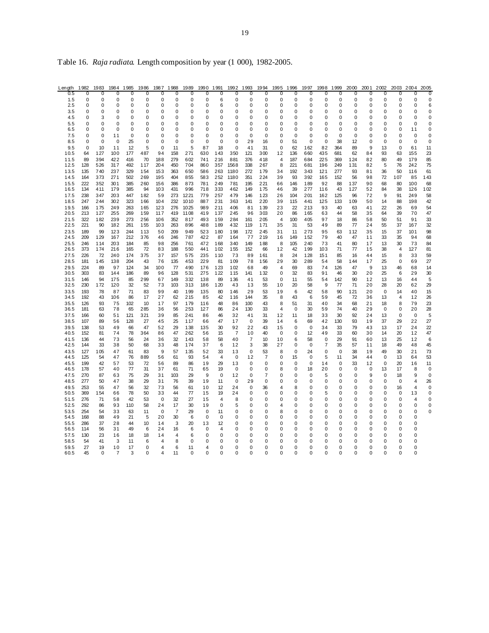| Table 16. Raja radiata. Length composition by year (1 000), 1982-2005. |  |  |  |
|------------------------------------------------------------------------|--|--|--|
|                                                                        |  |  |  |

| Lenath       | 1982           | 1983                    | 1984                    | 1985             | 1986           | 1987              | 1988                | 1989           | 1990                    | 1991           | 1992           | 1993                 | 1994           | 1995                 | 1996          | 1997              | 1998          | 1999                       | 2000                 | 2001          | 2002                       | 2003             | 2004                | 2005              |
|--------------|----------------|-------------------------|-------------------------|------------------|----------------|-------------------|---------------------|----------------|-------------------------|----------------|----------------|----------------------|----------------|----------------------|---------------|-------------------|---------------|----------------------------|----------------------|---------------|----------------------------|------------------|---------------------|-------------------|
| 0.5          | $\overline{0}$ | 0                       | 0                       | 0                | $\overline{0}$ | $\Omega$          | $\overline{0}$      | $\overline{0}$ | 0                       | 0              | $\overline{0}$ | 0                    | $\overline{0}$ | $\Omega$             | $\Omega$      | 0                 | 0             | 0                          | $\Omega$             | 0             | $\Omega$                   | O                | 0                   | 0                 |
| 1.5<br>2.5   | 0<br>0         | 0<br>0                  | 0<br>0                  | $\mathbf 0$<br>0 | 0<br>0         | 0<br>0            | 0<br>0              | 0<br>0         | 0<br>0                  | 6<br>6         | 0<br>0         | $\Omega$<br>0        | O<br>0         | 0<br>0               | $\Omega$<br>0 | $\Omega$<br>0     | $\Omega$<br>0 | $\mathbf 0$<br>0           | 0<br>0               | 0<br>0        | 0<br>0                     | 0<br>0           | 0<br>0              | 0<br>6            |
| 3.5          | 0              | $\Omega$                | $\Omega$                | $\Omega$         | $\Omega$       | $\Omega$          | 0                   | $\Omega$       | $\Omega$                | $\Omega$       | $\Omega$       | $\Omega$             | $\Omega$       | $\Omega$             | $\Omega$      | $\Omega$          | O             | $\Omega$                   | $\Omega$             | $\Omega$      | $\Omega$                   | $\Omega$         | $\Omega$            | $\Omega$          |
| 4.5          | 0              | 3                       | 0                       | 0                | 0              | 0                 | 0                   | 0              | 0                       | 0              | 0              | 0                    | 0              | 0                    | 0             | 0                 | 0             | $\mathbf 0$                | 0                    | 0             | 0                          | $\mathbf 0$      | 0                   | 0                 |
| 5.5          | $\mathbf 0$    | $\mathbf 0$<br>$\Omega$ | $\mathbf 0$<br>$\Omega$ | $\mathbf 0$      | $\Omega$       | $\mathbf 0$       | 0                   | 0              | $\mathbf 0$<br>$\Omega$ | $\mathbf 0$    | 0              | $\Omega$<br>$\Omega$ | 0<br>O         | 0<br>$\Omega$        | 0<br>$\Omega$ | 0<br>ŋ            | $\Omega$<br>ŋ | $\mathbf 0$                | 0                    | 0<br>O        | $\mathbf 0$<br>$\Omega$    | $\mathbf 0$      | $\mathbf 0$         | $\overline{0}$    |
| 6.5<br>7.5   | 0<br>0         | 0                       | 11                      | 0<br>0           | 0<br>0         | 0<br>0            | 0<br>0              | 0<br>0         | 0                       | 0<br>0         | 0<br>0         | 0                    | O              | 0                    | 0             | 0                 | 0             | $\mathbf 0$<br>$\mathbf 0$ | $\mathbf 0$<br>0     | 0             | 0                          | $\mathbf 0$<br>0 | 11<br>0             | 0<br>$\mathbf 0$  |
| 8.5          | 0              | 0                       | 0                       | 25               | $\Omega$       | 0                 | $\Omega$            | 0              | 0                       | 0              | 0              | 29                   | 16             | 0                    | 51            | 0                 | 0             | 38                         | 12                   | 0             | 0                          | 0                | 0                   | 0                 |
| 9.5          | $\mathbf 0$    | 10                      | 11                      | 12               | 5              | $\Omega$          | 11                  | 5              | 87                      | 18             | 0              | 41                   | 31             | $\Omega$             | 62            | 162               | 82            | 364                        | 89                   | 9             | 13                         | $\mathbf 0$      | 61                  | 11                |
| 10.5<br>11.5 | 64<br>89       | 127<br>394              | 100<br>422              | 177<br>416       | 487<br>70      | 94<br>188         | 158<br>279          | 271<br>602     | 630<br>741              | 143<br>216     | 350<br>881     | 121<br>376           | 300<br>418     | 12<br>$\overline{4}$ | 136<br>187    | 660<br>684        | 435<br>225    | 681<br>369                 | 62<br>124            | 84<br>82      | 93<br>80                   | 63<br>49         | 155<br>179          | 23<br>85          |
| 12.5         | 128            | 526                     | 317                     | 492              | 117            | 204               | 450                 | 704            | 860                     | 357            | 1568           | 338                  | 267            | 8                    | 221           | 681               | 196           | 249                        | 131                  | 82            | 5                          | 76               | 242                 | 75                |
| 13.5         | 135            | 740                     | 237                     | 329              | 154            | 153               | 363                 | 650            | 586                     | 263            | 1180           | 272                  | 179            | 34                   | 192           | 343               | 121           | 277                        | 93                   | 81            | 36                         | 50               | 116                 | 61                |
| 14.5<br>15.5 | 164<br>222     | 373<br>352              | 271<br>301              | 502<br>385       | 269<br>260     | 195               | 404<br>386          | 855<br>873     | 583<br>781              | 252<br>249     | 1180<br>781    | 351<br>195           | 224<br>221     | 39                   | 93<br>146     | 392<br>189        | 165<br>92     | 152<br>88                  | 56<br>137            | 98<br>90      | 72<br>68                   | 107<br>80        | 85<br>100           | 143<br>68         |
| 16.5         | 134            | 411                     | 179                     | 385              | 94             | 156<br>103        | 431                 | 996            | 718                     | 333            | 462            | 149                  | 175            | 66<br>46             | 39            | 277               | 116           | 43                         | 127                  | 52            | 84                         | 38               | 126                 | 102               |
| 17.5         | 238            | 347                     | 203                     | 447              | 182            | 59                | 273                 | 1221           | 779                     | 257            | 479            | 146                  | 123            | 26                   | 104           | 201               | 162           | 125                        | 96                   | 72            | 9                          | 91               | 249                 | 58                |
| 18.5         | 247            | 244                     | 302                     | 323              | 166            | 104               | 232                 | 1010           | 887                     | 231            | 363            | 141                  | 220            | 39                   | 115           | 441               | 125           | 133                        | 109                  | 50            | 14                         | 88               | 198                 | 42                |
| 19.5<br>20.5 | 166<br>213     | 175<br>127              | 249<br>255              | 263<br>269       | 165<br>159     | 123<br>117        | 276<br>419          | 1025<br>1108   | 989<br>419              | 211<br>137     | 406<br>245     | 81<br>96             | 139<br>303     | 23<br>20             | 22<br>86      | 213<br>165        | 93<br>63      | 40<br>44                   | 63<br>58             | 41<br>35      | 22<br>64                   | 26<br>39         | 69<br>70            | 54<br>47          |
| 21.5         | 322            | 182                     | 239                     | 273              | 256            | 106               | 352                 | 817            | 493                     | 159            | 284            | 161                  | 205            | 4                    | 100           | 405               | 97            | 18                         | 86                   | 58            | 50                         | 51               | 91                  | 33                |
| 22.5         | 221            | 90                      | 182                     | 261              | 155            | 103               | 263                 | 896            | 488                     | 189            | 432            | 119                  | 171            | 35                   | 31            | 53                | 49            | 89                         | 77                   | 24            | 55                         | 37               | 167                 | 32                |
| 23.5<br>24.5 | 189<br>209     | 99<br>129               | 123<br>167              | 244<br>212       | 113<br>376     | 50<br>46          | 209<br>246          | 949<br>787     | 523<br>422              | 180<br>87      | 198<br>164     | 172<br>77            | 245<br>219     | 31<br>16             | 11<br>149     | 273<br>152        | 95<br>79      | 63<br>40                   | 112<br>47            | 35<br>11      | 15<br>33                   | 37<br>35         | 101<br>94           | 98<br>68          |
| 25.5         | 246            | 114                     | 203                     | 184              | 85             | 98                | 256                 | 761            | 472                     | 168            | 340            | 149                  | 188            | 8                    | 105           | 240               | 73            | 41                         | 80                   | 17            | 13                         | 30               | 73                  | 84                |
| 26.5         | 373            | 174                     | 216                     | 165              | 72             | 83                | 188                 | 550            | 441                     | 102            | 155            | 152                  | 66             | 12                   | 42            | 199               | 103           | 71                         | 77                   | 15            | 38                         | 4                | 127                 | 81                |
| 27.5<br>28.5 | 226<br>181     | 72<br>145               | 240<br>138              | 174<br>204       | 375<br>43      | 37<br>76          | 157<br>135          | 575<br>453     | 235<br>229              | 110<br>81      | 73<br>109      | 89<br>78             | 161<br>156     | 8<br>29              | 24<br>30      | 128<br>289        | 151<br>54     | 85<br>58                   | 16<br>144            | 44<br>17      | 15<br>25                   | 8<br>0           | 33<br>69            | 59<br>27          |
| 29.5         | 224            | 89                      | 97                      | 124              | 34             | 100               | 77                  | 490            | 176                     | 123            | 102            | 68                   | 49             | 4                    | 69            | 83                | 74            | 126                        | 47                   | 9             | 13                         | 46               | 68                  | 14                |
| 30.5         | 303            | 83                      | 144                     | 186              | 89             | 96                | 128                 | 531            | 275                     | 122            | 115            | 141                  | 132            | 0                    | 32            | 83                | 91            | 46                         | 30                   | 20            | 25                         | 6                | 29                  | 30                |
| 31.5<br>32.5 | 146<br>230     | 94<br>172               | 175<br>120              | 85<br>32         | 299<br>52      | 67<br>73          | 149<br>103          | 332<br>313     | 138<br>186              | 89<br>120      | 136<br>43      | 41<br>13             | 53<br>55       | 0<br>10              | 11<br>20      | 55<br>58          | 54<br>9       | 142<br>77                  | 90<br>71             | 12<br>20      | 13<br>28                   | 16<br>20         | 44<br>62            | 5<br>29           |
| 33.5         | 193            | 78                      | 87                      | 71               | 83             | 99                | 40                  | 199            | 135                     | 80             | 146            | 29                   | 53             | 19                   | 6             | 42                | 58            | 90                         | 121                  | 20            | $\mathbf 0$                | 14               | 40                  | 15                |
| 34.5         | 192            | 43                      | 106                     | 86               | 17             | 27                | 62                  | 215            | 85                      | 42             | 116            | 144                  | 35             | 8                    | 43            | 6                 | 59            | 45                         | 72                   | 36            | 13                         | $\overline{4}$   | 12                  | 26                |
| 35.5<br>36.5 | 126<br>181     | 93<br>63                | 75<br>78                | 102<br>65        | 10<br>285      | 17<br>36          | 97<br>56            | 179<br>253     | 116<br>127              | 48<br>86       | 86<br>24       | 100<br>130           | 43<br>33       | 8<br>4               | 51<br>0       | 31<br>30          | 40<br>59      | 34<br>74                   | 68<br>40             | 21<br>29      | 18<br>0                    | 8<br>0           | 79<br>20            | 23<br>28          |
| 37.5         | 166            | 60                      | 51                      | 121              | 321            | 39                | 85                  | 241            | 86                      | 46             | 32             | 41                   | 31             | 12                   | 11            | 18                | 33            | 30                         | 92                   | 24            | 13                         | $\mathbf 0$      | $\mathbf 0$         | 5                 |
| 38.5         | 107            | 89                      | 56                      | 128              | 27             | 45                | 25                  | 117            | 66                      | 47             | 17             | 0                    | 39             | 14                   | 6             | 69                | 42            | 130                        | 93                   | 19            | 37                         | 29               | 22                  | 27                |
| 39.5<br>40.5 | 138<br>152     | 53                      | 49<br>74                | 66<br>78         | 47<br>364      | 52                | 29<br>47            | 138<br>262     | 135<br>56               | 30             | 92<br>7        | 22<br>10             | 43<br>40       | 15<br>0              | 0<br>0        | $\mathbf 0$<br>12 | 34<br>49      | 33<br>33                   | 79<br>60             | 43            | 13                         | 17<br>20         | 24<br>12            | 22<br>47          |
| 41.5         | 136            | 81<br>44                | 73                      | 56               | 24             | 86<br>36          | 32                  | 143            | 58                      | 15<br>58       | 40             | $\overline{7}$       | 10             | 10                   | 6             | 58                | $\mathbf 0$   | 29                         | 91                   | 30<br>60      | 14<br>13                   | 25               | 12                  | 6                 |
| 42.5         | 144            | 33                      | 38                      | 50               | 68             | 33                | 48                  | 174            | 37                      | 6              | 12             | 3                    | 38             | 27                   | 0             | 0                 | 7             | 35                         | 57                   | 11            | 18                         | 49               | 48                  | 45                |
| 43.5         | 127            | 105                     | 47                      | 61               | 83             | 9                 | 57                  | 135            | 52                      | 33             | 13             | 0                    | 53             | 8                    | $\mathbf 0$   | 24                | 0             | $\mathbf 0$                | 38                   | 19            | 49                         | 30               | 21                  | 73                |
| 44.5<br>45.5 | 125<br>199     | 54<br>42                | 47<br>57                | 76<br>53         | 889<br>72      | 56<br>56          | 61<br>89            | 93<br>86       | 54<br>19                | 4<br>29        | 0<br>13        | 12<br>0              | 7<br>0         | 0<br>0               | 15<br>0       | $\mathbf 0$<br>0  | 5<br>14       | 11<br>$\mathbf 0$          | 34<br>33             | 44<br>12      | $\mathbf 0$<br>$\mathbf 0$ | 13<br>20         | 64<br>16            | 53<br>11          |
| 46.5         | 178            | 57                      | 40                      | 77               | 31             | 37                | 61                  | 71             | 65                      | 19             | 0              | 0                    | 0              | 8                    | 0             | 18                | 20            | 0                          | 0                    | $\mathbf 0$   | 13                         | 17               | 8                   | $\mathbf 0$       |
| 47.5         | 270            | 87                      | 63                      | 75               | 29             | 31                | 103                 | 29             | 9                       | $\mathbf 0$    | 12             | 0                    | 7              | $\Omega$             | $\Omega$      | $\Omega$          | 5             | 0                          | 0                    | 9             | 0                          | 18               | 9                   | 0                 |
| 48.5<br>49.5 | 277<br>253     | 50<br>55                | 47<br>47                | 38<br>56         | 29<br>32       | 31<br>73          | 76<br>56            | 39<br>61       | 19<br>10                | 11<br>12       | 0<br>24        | 29<br>$\mathbf 0$    | 0<br>36        | 0<br>$\overline{4}$  | 0<br>8        | 0<br>0            | 0<br>0        | 0<br>$\mathbf 0$           | 0<br>0               | 0<br>0        | 0<br>$\mathbf 0$           | 0<br>16          | 4<br>$\overline{4}$ | 26<br>$\mathbf 0$ |
| 50.5         | 369            | 154                     | 66                      | 78               | 50             | 33                | 44                  | 77             | 15                      | 19             | 24             | 0                    | 0              | 0                    | 0             | 0                 | 5             | 0                          | 0                    | 0             | 0                          | 0                | 13                  | 0                 |
| 51.5         | 276            | 71                      | 58                      | 42               | 53             | $\mathbf 0$       | 32                  | 27             | 15                      | $\overline{4}$ | 8              | 0                    | 0              | 0                    | 0             | 0                 | 0             | $\mathbf 0$                | 0                    | 0             | 0                          | 0                | 4                   | $\mathbf 0$       |
| 52.5<br>53.5 | 292<br>254     | 86                      | 93                      | 110<br>63        | 58             | 24<br>$\mathbf 0$ | 17                  | 30<br>29       | 19<br>$\mathbf 0$       | 0<br>11        | 5<br>0         | 0<br>$\Omega$        | O<br>O         | 4<br>8               | O<br>$\Omega$ | O<br>$\Omega$     | ŋ<br>$\Omega$ | 0<br>$\mathbf 0$           | $\Omega$<br>$\Omega$ | 0<br>$\Omega$ | 0<br>0                     | 0<br>0           | 0<br>$\mathbf 0$    | 0<br>0            |
| 54.5         | 168            | 54<br>88                | 33<br>49                | 21               | 11<br>5        | 20                | 7<br>30             | 6              | 0                       | 0              | 0              | 0                    | 0              | 0                    | 0             | 0                 | $\Omega$      | 0                          | 0                    | 0             | 0                          | 0                | 0                   |                   |
| 55.5         | 286            | 37                      | 28                      | 44               | 10             | 14                | 3                   | 20             | 13                      | 12             | $\Omega$       | $\Omega$             | $\Omega$       | $\Omega$             | $\Omega$      | $\Omega$          | O             | $\Omega$                   | $\Omega$             | $\Omega$      | $\Omega$                   | $\Omega$         | 0                   |                   |
| 56.5         | 114            | 56                      | 31                      | 49               | 6              | 24                | 16                  | 6              | 0                       | 4              | 0              | 0                    | 0              | 0                    | 0             | 0                 | 0             | 0                          | 0                    | 0             | 0                          | 0                | 0                   |                   |
| 57.5<br>58.5 | 130<br>54      | 23<br>41                | 16<br>3                 | 18<br>11         | 18<br>6        | 14<br>4           | $\overline{4}$<br>8 | 6<br>0         | 0<br>0                  | 0<br>0         | 0<br>0         | $\Omega$<br>U        | 0<br>O         | 0<br>$\Omega$        | $\Omega$<br>O | 0<br>ŋ            | $\Omega$<br>ŋ | $\mathbf 0$<br>0           | 0<br>$\Omega$        | 0<br>0        | 0<br>$\Omega$              | 0<br>0           | 0<br>0              |                   |
| 59.5         | 27             | 19                      | 10                      | 17               | 0              | $\overline{4}$    | 6                   | 11             | 4                       | 0              | 0              | ŋ                    | O              | $\mathbf 0$          | 0             | 0                 | $\Omega$      | $\mathbf 0$                | $\mathbf 0$          | 0             | $\mathbf 0$                | $\mathbf 0$      | $\mathbf 0$         |                   |
| 60.5         | 45             | $\Omega$                | 7                       | З                | $\Omega$       | $\overline{4}$    | 11                  | O              | O                       |                | n              |                      |                |                      |               |                   |               |                            | $\Omega$             |               | $\Omega$                   | $\Omega$         |                     |                   |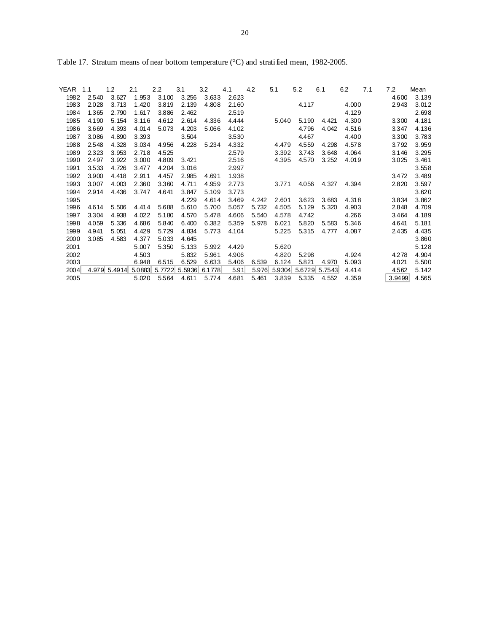| YEAR | 1.1   | 1.2          | 2.1    | 2.2   | 3.1           | 3.2    | 4.1   | 4.2   | 5.1    | 5.2    | 6.1    | 6.2   | 7.1 | 7.2    | Mean  |
|------|-------|--------------|--------|-------|---------------|--------|-------|-------|--------|--------|--------|-------|-----|--------|-------|
| 1982 | 2.540 | 3.627        | 1.953  | 3.100 | 3.256         | 3.633  | 2.623 |       |        |        |        |       |     | 4.600  | 3.139 |
| 1983 | 2.028 | 3.713        | 1.420  | 3.819 | 2.139         | 4.808  | 2.160 |       |        | 4.117  |        | 4.000 |     | 2.943  | 3.012 |
| 1984 | 1.365 | 2.790        | 1.617  | 3.886 | 2.462         |        | 2.519 |       |        |        |        | 4.129 |     |        | 2.698 |
| 1985 | 4.190 | 5.154        | 3.116  | 4.612 | 2.614         | 4.336  | 4.444 |       | 5.040  | 5.190  | 4.421  | 4.300 |     | 3.300  | 4.181 |
| 1986 | 3.669 | 4.393        | 4.014  | 5.073 | 4.203         | 5.066  | 4.102 |       |        | 4.796  | 4.042  | 4.516 |     | 3.347  | 4.136 |
| 1987 | 3.086 | 4.890        | 3.393  |       | 3.504         |        | 3.530 |       |        | 4.467  |        | 4.400 |     | 3.300  | 3.783 |
| 1988 | 2.548 | 4.328        | 3.034  | 4.956 | 4.228         | 5.234  | 4.332 |       | 4.479  | 4.559  | 4.298  | 4.578 |     | 3.792  | 3.959 |
| 1989 | 2.323 | 3.953        | 2.718  | 4.525 |               |        | 2.579 |       | 3.392  | 3.743  | 3.648  | 4.064 |     | 3.146  | 3.295 |
| 1990 | 2.497 | 3.922        | 3.000  | 4.809 | 3.421         |        | 2.516 |       | 4.395  | 4.570  | 3.252  | 4.019 |     | 3.025  | 3.461 |
| 1991 | 3.533 | 4.726        | 3.477  | 4.204 | 3.016         |        | 2.997 |       |        |        |        |       |     |        | 3.558 |
| 1992 | 3.900 | 4.418        | 2.911  | 4.457 | 2.985         | 4.691  | 1.938 |       |        |        |        |       |     | 3.472  | 3.489 |
| 1993 | 3.007 | 4.003        | 2.360  | 3.360 | 4.711         | 4.959  | 2.773 |       | 3.771  | 4.056  | 4.327  | 4.394 |     | 2.820  | 3.597 |
| 1994 | 2.914 | 4.436        | 3.747  | 4.641 | 3.847         | 5.109  | 3.773 |       |        |        |        |       |     |        | 3.620 |
| 1995 |       |              |        |       | 4.229         | 4.614  | 3.469 | 4.242 | 2.601  | 3.623  | 3.683  | 4.318 |     | 3.834  | 3.862 |
| 1996 | 4.614 | 5.506        | 4.414  | 5.688 | 5.610         | 5.700  | 5.057 | 5.732 | 4.505  | 5.129  | 5.320  | 4.903 |     | 2.848  | 4.709 |
| 1997 | 3.304 | 4.938        | 4.022  | 5.180 | 4.570         | 5.478  | 4.606 | 5.540 | 4.578  | 4.742  |        | 4.266 |     | 3.464  | 4.189 |
| 1998 | 4.059 | 5.336        | 4.686  | 5.840 | 6.400         | 6.382  | 5.359 | 5.978 | 6.021  | 5.820  | 5.583  | 5.346 |     | 4.641  | 5.181 |
| 1999 | 4.941 | 5.051        | 4.429  | 5.729 | 4.834         | 5.773  | 4.104 |       | 5.225  | 5.315  | 4.777  | 4.087 |     | 2.435  | 4.435 |
| 2000 | 3.085 | 4.583        | 4.377  | 5.033 | 4.645         |        |       |       |        |        |        |       |     |        | 3.860 |
| 2001 |       |              | 5.007  | 5.350 | 5.133         | 5.992  | 4.429 |       | 5.620  |        |        |       |     |        | 5.128 |
| 2002 |       |              | 4.503  |       | 5.832         | 5.961  | 4.906 |       | 4.820  | 5.298  |        | 4.924 |     | 4.278  | 4.904 |
| 2003 |       |              | 6.948  | 6.515 | 6.529         | 6.633  | 5.406 | 6.539 | 6.124  | 5.821  | 4.970  | 5.093 |     | 4.021  | 5.500 |
| 2004 |       | 4.979 5.4914 | 5.0883 |       | 5.7722 5.5936 | 6.1778 | 5.91  | 5.976 | 5.9304 | 5.6729 | 5.7543 | 4.414 |     | 4.562  | 5.142 |
| 2005 |       |              | 5.020  | 5.564 | 4.611         | 5.774  | 4.681 | 5.461 | 3.839  | 5.335  | 4.552  | 4.359 |     | 3.9499 | 4.565 |

Table 17. Stratum means of near bottom temperature (°C) and stratified mean, 1982-2005.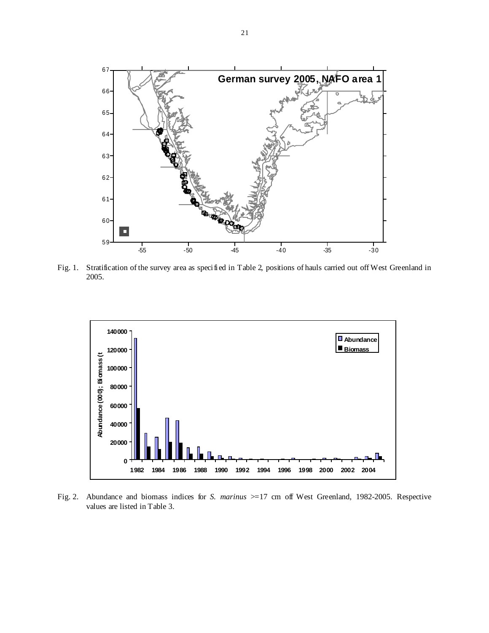

Fig. 1. Stratification of the survey area as specified in Table 2, positions of hauls carried out off West Greenland in 2005.



Fig. 2. Abundance and biomass indices for *S. marinus* >=17 cm off West Greenland, 1982-2005. Respective values are listed in Table 3.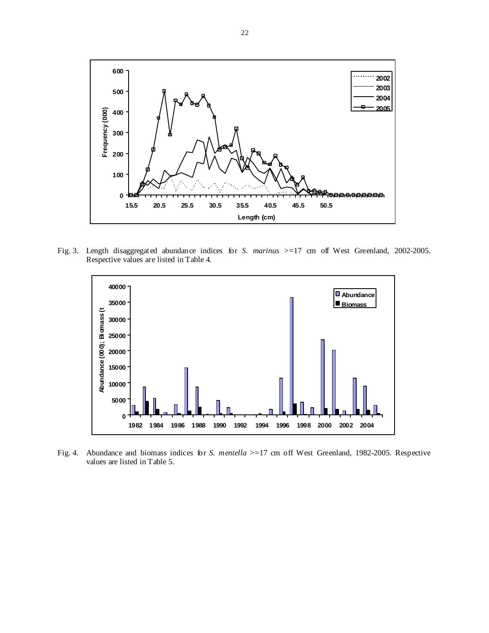

Fig. 3. Length disaggregated abundance indices for *S. marinus* >=17 cm off West Greenland, 2002-2005. Respective values are listed in Table 4.



Fig. 4. Abundance and biomass indices for *S. mentella* >=17 cm off West Greenland, 1982-2005. Respective values are listed in Table 5.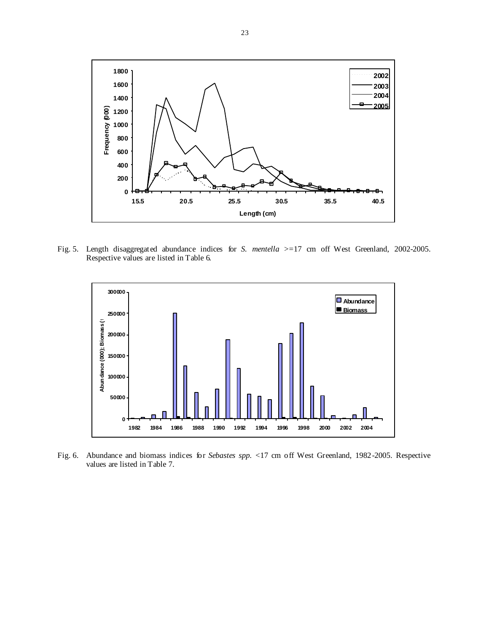

Fig. 5. Length disaggregated abundance indices for *S. mentella* >=17 cm off West Greenland, 2002-2005. Respective values are listed in Table 6.



Fig. 6. Abundance and biomass indices for *Sebastes spp.* <17 cm off West Greenland, 1982-2005. Respective values are listed in Table 7.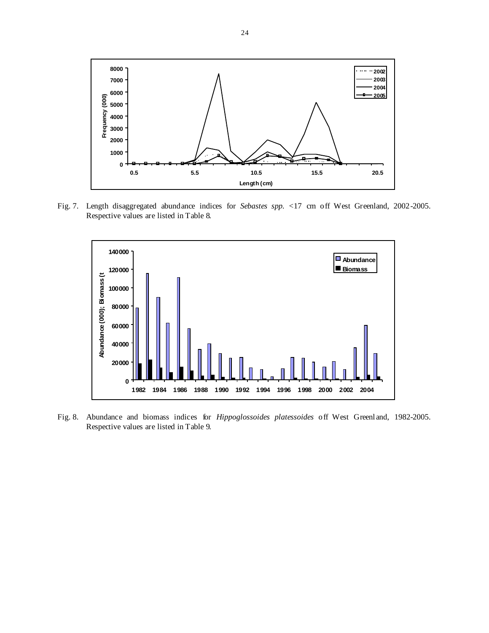

Fig. 7. Length disaggregated abundance indices for *Sebastes spp.* <17 cm off West Greenland, 2002-2005. Respective values are listed in Table 8.



Fig. 8. Abundance and biomass indices for *Hippoglossoides platessoides* off West Greenland, 1982-2005. Respective values are listed in Table 9.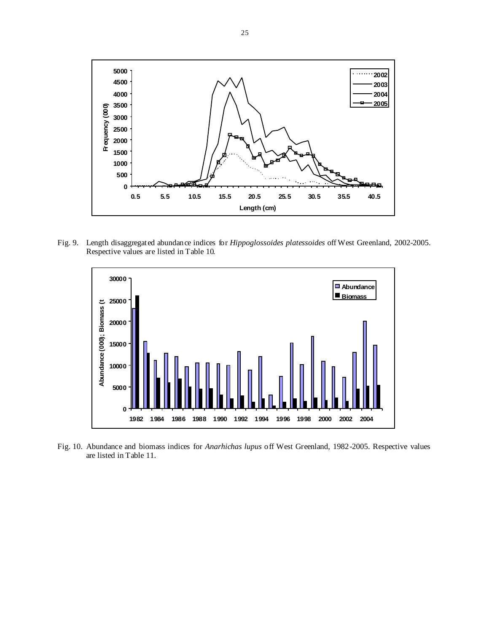

Fig. 9. Length disaggregated abundance indices for *Hippoglossoides platessoides* off West Greenland, 2002-2005. Respective values are listed in Table 10.



Fig. 10. Abundance and biomass indices for *Anarhichas lupus* off West Greenland, 1982-2005. Respective values are listed in Table 11.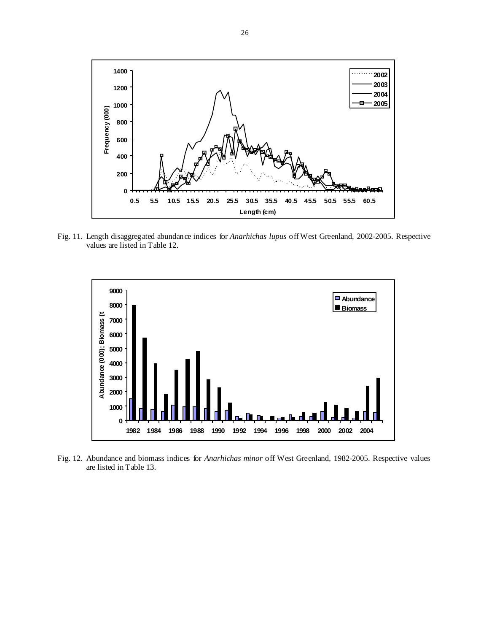

Fig. 11. Length disaggregated abundance indices for *Anarhichas lupus* off West Greenland, 2002-2005. Respective values are listed in Table 12.



Fig. 12. Abundance and biomass indices for *Anarhichas minor* off West Greenland, 1982-2005. Respective values are listed in Table 13.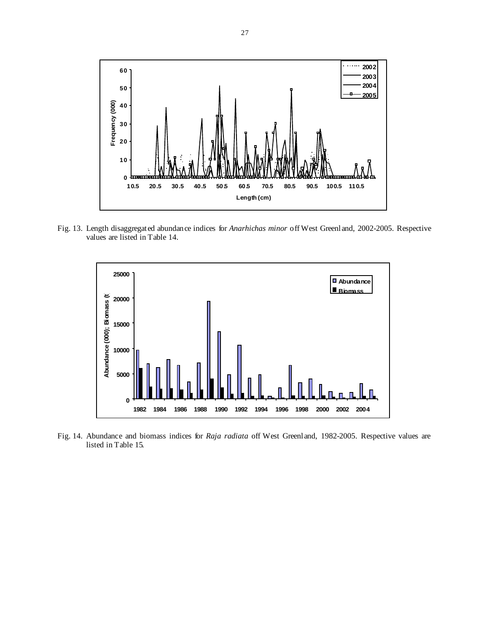

Fig. 13. Length disaggregated abundance indices for *Anarhichas minor* off West Greenland, 2002-2005. Respective values are listed in Table 14.



Fig. 14. Abundance and biomass indices for *Raja radiata* off West Greenland, 1982-2005. Respective values are listed in Table 15.